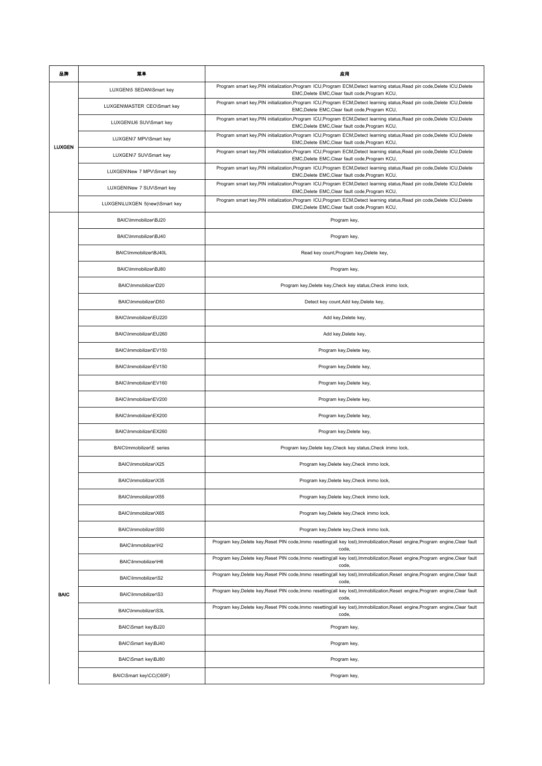| 品牌            | 葉草                             | 应用                                                                                                                                                                            |
|---------------|--------------------------------|-------------------------------------------------------------------------------------------------------------------------------------------------------------------------------|
|               | LUXGEN\5 SEDAN\Smart key       | Program smart key, PIN initialization, Program ICU, Program ECM, Detect learning status, Read pin code, Delete ICU, Delete<br>EMC, Delete EMC, Clear fault code, Program KCU, |
|               | LUXGEN\MASTER CEO\Smart key    | Program smart key, PIN initialization, Program ICU, Program ECM, Detect learning status, Read pin code, Delete ICU, Delete<br>EMC, Delete EMC, Clear fault code, Program KCU, |
|               | LUXGEN\U6 SUV\Smart key        | Program smart key, PIN initialization, Program ICU, Program ECM, Detect learning status, Read pin code, Delete ICU, Delete<br>EMC, Delete EMC, Clear fault code, Program KCU, |
|               | LUXGEN\7 MPV\Smart key         | Program smart key, PIN initialization, Program ICU, Program ECM, Detect learning status, Read pin code, Delete ICU, Delete<br>EMC, Delete EMC, Clear fault code, Program KCU, |
| <b>LUXGEN</b> | LUXGEN\7 SUV\Smart key         | Program smart key, PIN initialization, Program ICU, Program ECM, Detect learning status, Read pin code, Delete ICU, Delete<br>EMC, Delete EMC, Clear fault code, Program KCU, |
|               | LUXGEN\New 7 MPV\Smart key     | Program smart key, PIN initialization, Program ICU, Program ECM, Detect learning status, Read pin code, Delete ICU, Delete<br>EMC, Delete EMC, Clear fault code, Program KCU, |
|               | LUXGEN\New 7 SUV\Smart key     | Program smart key, PIN initialization, Program ICU, Program ECM, Detect learning status, Read pin code, Delete ICU, Delete<br>EMC, Delete EMC, Clear fault code, Program KCU, |
|               | LUXGEN\LUXGEN 5(new)\Smart key | Program smart key, PIN initialization, Program ICU, Program ECM, Detect learning status, Read pin code, Delete ICU, Delete<br>EMC, Delete EMC, Clear fault code, Program KCU, |
|               | BAIC\Immobilizer\BJ20          | Program key,                                                                                                                                                                  |
|               | BAIC\Immobilizer\BJ40          | Program key,                                                                                                                                                                  |
|               | BAIC\Immobilizer\BJ40L         | Read key count, Program key, Delete key,                                                                                                                                      |
|               | BAIC\Immobilizer\BJ80          | Program key,                                                                                                                                                                  |
|               | BAIC\Immobilizer\D20           | Program key, Delete key, Check key status, Check immo lock,                                                                                                                   |
|               | BAIC\Immobilizer\D50           | Detect key count, Add key, Delete key,                                                                                                                                        |
|               | BAIC\Immobilizer\EU220         | Add key, Delete key,                                                                                                                                                          |
|               | BAIC\Immobilizer\EU260         | Add key, Delete key,                                                                                                                                                          |
|               | BAIC\Immobilizer\EV150         | Program key, Delete key,                                                                                                                                                      |
|               | BAIC\Immobilizer\EV150         | Program key, Delete key,                                                                                                                                                      |
|               | BAIC\Immobilizer\EV160         | Program key, Delete key,                                                                                                                                                      |
|               | BAIC\Immobilizer\EV200         | Program key, Delete key,                                                                                                                                                      |
|               | BAIC\Immobilizer\EX200         | Program key, Delete key,                                                                                                                                                      |
|               | BAIC\Immobilizer\EX260         | Program key, Delete key,                                                                                                                                                      |
|               | BAIC\Immobilizer\E series      | Program key, Delete key, Check key status, Check immo lock,                                                                                                                   |
|               | BAIC\Immobilizer\X25           | Program key, Delete key, Check immo lock,                                                                                                                                     |
|               | BAIC\Immobilizer\X35           | Program key, Delete key, Check immo lock,                                                                                                                                     |
|               | BAIC\Immobilizer\X55           | Program key, Delete key, Check immo lock,                                                                                                                                     |
|               | BAIC\Immobilizer\X65           | Program key, Delete key, Check immo lock,                                                                                                                                     |
|               | BAIC\Immobilizer\S50           | Program key, Delete key, Check immo lock,                                                                                                                                     |
|               | BAIC\Immobilizer\H2            | Program key, Delete key, Reset PIN code, Immo resetting(all key lost), Immobilization, Reset engine, Program engine, Clear fault<br>code,                                     |
|               | BAIC\Immobilizer\H6            | Program key, Delete key, Reset PIN code, Immo resetting(all key lost), Immobilization, Reset engine, Program engine, Clear fault<br>code,                                     |
|               | BAIC\Immobilizer\S2            | Program key, Delete key, Reset PIN code, Immo resetting(all key lost), Immobilization, Reset engine, Program engine, Clear fault<br>code,                                     |
| <b>BAIC</b>   | BAIC\Immobilizer\S3            | Program key, Delete key, Reset PIN code, Immo resetting(all key lost), Immobilization, Reset engine, Program engine, Clear fault<br>code,                                     |
|               | BAIC\Immobilizer\S3L           | Program key, Delete key, Reset PIN code, Immo resetting(all key lost), Immobilization, Reset engine, Program engine, Clear fault<br>code,                                     |
|               | BAIC\Smart key\BJ20            | Program key,                                                                                                                                                                  |
|               | BAIC\Smart key\BJ40            | Program key,                                                                                                                                                                  |
|               | BAIC\Smart key\BJ80            | Program key,                                                                                                                                                                  |
|               | BAIC\Smart key\CC(C60F)        | Program key,                                                                                                                                                                  |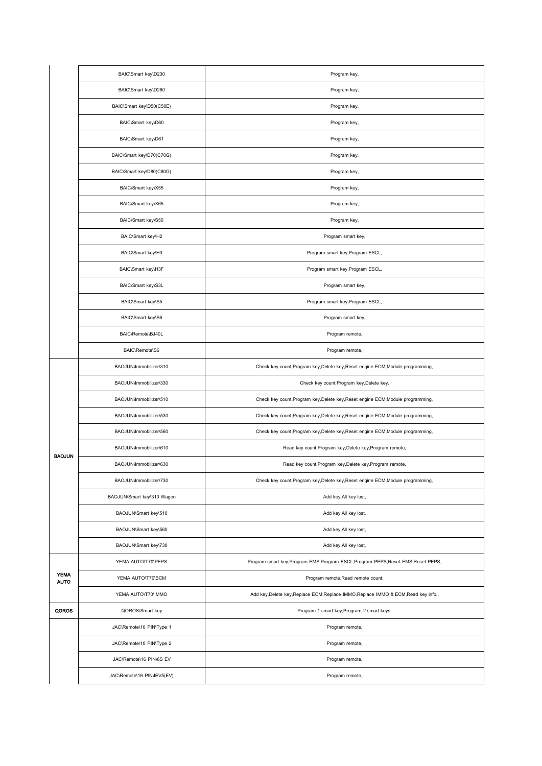|                            | BAIC\Smart key\D230        | Program key,                                                                        |
|----------------------------|----------------------------|-------------------------------------------------------------------------------------|
|                            | BAIC\Smart key\D280        | Program key,                                                                        |
|                            | BAIC\Smart key\D50(C50E)   | Program key,                                                                        |
|                            | BAIC\Smart key\D60         | Program key,                                                                        |
|                            | BAIC\Smart key\D61         | Program key,                                                                        |
|                            | BAIC\Smart key\D70(C70G)   | Program key,                                                                        |
|                            | BAIC\Smart key\D80(C80G)   | Program key,                                                                        |
|                            | BAIC\Smart key\X55         | Program key,                                                                        |
|                            | BAIC\Smart key\X65         | Program key,                                                                        |
|                            | BAIC\Smart key\S50         | Program key,                                                                        |
|                            | BAIC\Smart key\H2          | Program smart key,                                                                  |
|                            | BAIC\Smart key\H3          | Program smart key, Program ESCL,                                                    |
|                            | BAIC\Smart key\H3F         | Program smart key, Program ESCL,                                                    |
|                            | BAIC\Smart key\S3L         | Program smart key,                                                                  |
|                            | BAIC\Smart key\S5          | Program smart key, Program ESCL,                                                    |
|                            | BAIC\Smart key\S6          | Program smart key,                                                                  |
|                            | BAIC\Remote\BJ40L          | Program remote,                                                                     |
|                            | BAIC\Remote\S6             | Program remote,                                                                     |
|                            | BAOJUN\Immobilizer\310     | Check key count, Program key, Delete key, Reset engine ECM, Module programming,     |
|                            | BAOJUN\Immobilizer\330     | Check key count, Program key, Delete key,                                           |
|                            | BAOJUN\Immobilizer\510     | Check key count, Program key, Delete key, Reset engine ECM, Module programming,     |
|                            | BAOJUN\Immobilizer\530     | Check key count, Program key, Delete key, Reset engine ECM, Module programming,     |
|                            | BAOJUN\Immobilizer\560     | Check key count, Program key, Delete key, Reset engine ECM, Module programming,     |
| <b>BAOJUN</b>              | BAOJUN\Immobilizer\610     | Read key count, Program key, Delete key, Program remote,                            |
|                            | BAOJUN\Immobilizer\630     | Read key count, Program key, Delete key, Program remote,                            |
|                            | BAOJUN\Immobilizer\730     | Check key count, Program key, Delete key, Reset engine ECM, Module programming,     |
|                            | BAOJUN\Smart key\310 Wagon | Add key, All key lost,                                                              |
|                            | BAOJUN\Smart key\510       | Add key, All key lost,                                                              |
|                            | BAOJUN\Smart key\560       | Add key, All key lost,                                                              |
|                            | BAOJUN\Smart key\730       | Add key, All key lost,                                                              |
|                            | YEMA AUTO\T70\PEPS         | Program smart key, Program EMS, Program ESCL, Program PEPS, Reset EMS, Reset PEPS,  |
| <b>YEMA</b><br><b>AUTO</b> | YEMA AUTO\T70\BCM          | Program remote, Read remote count,                                                  |
|                            | YEMA AUTO\T70\IMMO         | Add key, Delete key, Replace ECM, Replace IMMO, Replace IMMO & ECM, Read key info., |
| QOROS                      | QOROS\Smart key            | Program 1 smart key, Program 2 smart keys,                                          |
|                            | JAC\Remote\10 PIN\Type 1   | Program remote,                                                                     |
|                            | JAC\Remote\10 PIN\Type 2   | Program remote,                                                                     |
|                            | JAC\Remote\16 PIN\6S EV    | Program remote,                                                                     |
|                            | JAC\Remote\16 PIN\IEV5(EV) | Program remote,                                                                     |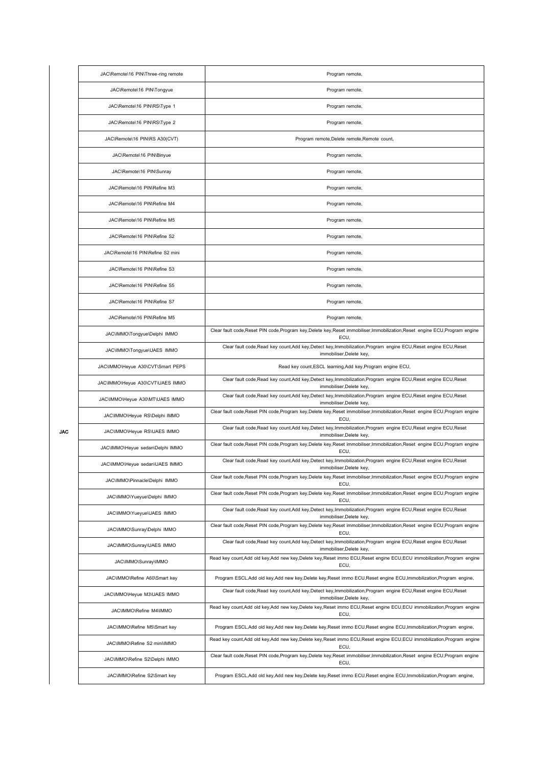|     | JAC\Remote\16 PIN\Three-ring remote | Program remote,                                                                                                                                |
|-----|-------------------------------------|------------------------------------------------------------------------------------------------------------------------------------------------|
|     | JAC\Remote\16 PIN\Tongyue           | Program remote,                                                                                                                                |
|     | JAC\Remote\16 PIN\RS\Type 1         | Program remote,                                                                                                                                |
|     | JAC\Remote\16 PIN\RS\Type 2         | Program remote,                                                                                                                                |
|     | JAC\Remote\16 PIN\RS A30(CVT)       | Program remote, Delete remote, Remote count,                                                                                                   |
|     | JAC\Remote\16 PIN\Binyue            | Program remote,                                                                                                                                |
|     | JAC\Remote\16 PIN\Sunray            | Program remote,                                                                                                                                |
|     | JAC\Remote\16 PIN\Refine M3         | Program remote,                                                                                                                                |
|     | JAC\Remote\16 PIN\Refine M4         | Program remote,                                                                                                                                |
|     | JAC\Remote\16 PIN\Refine M5         | Program remote,                                                                                                                                |
|     | JAC\Remote\16 PIN\Refine S2         | Program remote,                                                                                                                                |
|     | JAC\Remote\16 PIN\Refine S2 mini    | Program remote,                                                                                                                                |
|     | JAC\Remote\16 PIN\Refine S3         | Program remote,                                                                                                                                |
|     | JAC\Remote\16 PIN\Refine S5         | Program remote,                                                                                                                                |
|     | JAC\Remote\16 PIN\Refine S7         | Program remote,                                                                                                                                |
|     | JAC\Remote\16 PIN\Refine M5         | Program remote,                                                                                                                                |
|     | JAC\IMMO\Tongyue\Delphi IMMO        | Clear fault code, Reset PIN code, Program key, Delete key, Reset immobiliser, Immobilization, Reset engine ECU, Program engine<br>ECU,         |
|     | JAC\IMMO\Tongyue\UAES IMMO          | Clear fault code, Read key count, Add key, Detect key, Immobilization, Program engine ECU, Reset engine ECU, Reset<br>immobiliser, Delete key, |
|     | JAC\IMMO\Heyue A30\CVT\Smart PEPS   | Read key count, ESCL learning, Add key, Program engine ECU,                                                                                    |
|     | JAC\IMMO\Heyue A30\CVT\UAES IMMO    | Clear fault code, Read key count, Add key, Detect key, Immobilization, Program engine ECU, Reset engine ECU, Reset<br>immobiliser, Delete key, |
|     | JAC\IMMO\Heyue A30\MT\UAES IMMO     | Clear fault code, Read key count, Add key, Detect key, Immobilization, Program engine ECU, Reset engine ECU, Reset<br>immobiliser, Delete key, |
|     | JAC\IMMO\Heyue RS\Delphi IMMO       | Clear fault code, Reset PIN code, Program key, Delete key, Reset immobiliser, Immobilization, Reset engine ECU, Program engine<br>ECU,         |
| JAC | JAC\IMMO\Heyue RS\UAES IMMO         | Clear fault code, Read key count, Add key, Detect key, Immobilization, Program engine ECU, Reset engine ECU, Reset<br>immobiliser, Delete key, |
|     | JAC\IMMO\Heyue sedan\Delphi IMMO    | Clear fault code, Reset PIN code, Program key, Delete key, Reset immobiliser, Immobilization, Reset engine ECU, Program engine<br>ECU,         |
|     | JAC\IMMO\Heyue sedan\UAES IMMO      | Clear fault code, Read key count, Add key, Detect key, Immobilization, Program engine ECU, Reset engine ECU, Reset<br>immobiliser, Delete key, |
|     | JAC\IMMO\Pinnacle\Delphi IMMO       | Clear fault code, Reset PIN code, Program key, Delete key, Reset immobiliser, Immobilization, Reset engine ECU, Program engine<br>ECU,         |
|     | JAC\IMMO\Yueyue\Delphi IMMO         | Clear fault code, Reset PIN code, Program key, Delete key, Reset immobiliser, Immobilization, Reset engine ECU, Program engine<br>ECU,         |
|     | JAC\IMMO\Yueyue\UAES IMMO           | Clear fault code, Read key count, Add key, Detect key, Immobilization, Program engine ECU, Reset engine ECU, Reset<br>immobiliser, Delete key, |
|     | JAC\IMMO\Sunray\Delphi IMMO         | Clear fault code, Reset PIN code, Program key, Delete key, Reset immobiliser, Immobilization, Reset engine ECU, Program engine<br>ECU,         |
|     | JAC\IMMO\Sunray\UAES IMMO           | Clear fault code, Read key count, Add key, Detect key, Immobilization, Program engine ECU, Reset engine ECU, Reset<br>immobiliser, Delete key, |
|     | JAC\IMMO\Sunray\IMMO                | Read key count, Add old key, Add new key, Delete key, Reset immo ECU, Reset engine ECU, ECU immobilization, Program engine<br>ECU,             |
|     | JAC\IMMO\Refine A60\Smart key       | Program ESCL, Add old key, Add new key, Delete key, Reset immo ECU, Reset engine ECU, Immobilization, Program engine,                          |
|     | JAC\IMMO\Heyue M3\UAES IMMO         | Clear fault code, Read key count, Add key, Detect key, Immobilization, Program engine ECU, Reset engine ECU, Reset<br>immobiliser, Delete key, |
|     | JAC\IMMO\Refine M4\IMMO             | Read key count, Add old key, Add new key, Delete key, Reset immo ECU, Reset engine ECU, ECU immobilization, Program engine<br>ECU,             |
|     | JAC\IMMO\Refine M5\Smart key        | Program ESCL, Add old key, Add new key, Delete key, Reset immo ECU, Reset engine ECU, Immobilization, Program engine,                          |
|     | JAC\IMMO\Refine S2 mini\IMMO        | Read key count, Add old key, Add new key, Delete key, Reset immo ECU, Reset engine ECU, ECU immobilization, Program engine<br>ECU,             |
|     | JAC\IMMO\Refine S2\Delphi IMMO      | Clear fault code, Reset PIN code, Program key, Delete key, Reset immobiliser, Immobilization, Reset engine ECU, Program engine<br>ECU,         |
|     | JAC\IMMO\Refine S2\Smart key        | Program ESCL, Add old key, Add new key, Delete key, Reset immo ECU, Reset engine ECU, Immobilization, Program engine,                          |
|     |                                     |                                                                                                                                                |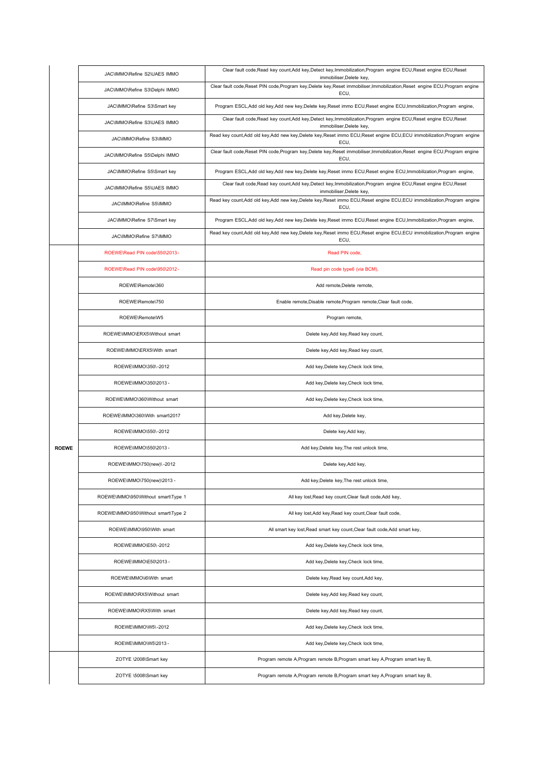|              | JAC\IMMO\Refine S2\UAES IMMO        | Clear fault code, Read key count, Add key, Detect key, Immobilization, Program engine ECU, Reset engine ECU, Reset<br>immobiliser, Delete key, |
|--------------|-------------------------------------|------------------------------------------------------------------------------------------------------------------------------------------------|
|              | JAC\IMMO\Refine S3\Delphi IMMO      | Clear fault code, Reset PIN code, Program key, Delete key, Reset immobiliser, Immobilization, Reset engine ECU, Program engine<br>ECU,         |
|              | JAC\IMMO\Refine S3\Smart key        | Program ESCL, Add old key, Add new key, Delete key, Reset immo ECU, Reset engine ECU, Immobilization, Program engine,                          |
|              | JAC\IMMO\Refine S3\UAES IMMO        | Clear fault code, Read key count, Add key, Detect key, Immobilization, Program engine ECU, Reset engine ECU, Reset<br>immobiliser, Delete key, |
|              | JAC\IMMO\Refine S3\IMMO             | Read key count, Add old key, Add new key, Delete key, Reset immo ECU, Reset engine ECU, ECU immobilization, Program engine<br>ECU,             |
|              | JAC\IMMO\Refine S5\Delphi IMMO      | Clear fault code, Reset PIN code, Program key, Delete key, Reset immobiliser, Immobilization, Reset engine ECU, Program engine<br>ECU,         |
|              | JAC\IMMO\Refine S5\Smart key        | Program ESCL, Add old key, Add new key, Delete key, Reset immo ECU, Reset engine ECU, Immobilization, Program engine,                          |
|              | JAC\IMMO\Refine S5\UAES IMMO        | Clear fault code, Read key count, Add key, Detect key, Immobilization, Program engine ECU, Reset engine ECU, Reset<br>immobiliser, Delete key, |
|              | JAC\IMMO\Refine S5\IMMO             | Read key count, Add old key, Add new key, Delete key, Reset immo ECU, Reset engine ECU, ECU immobilization, Program engine<br>ECU,             |
|              | JAC\IMMO\Refine S7\Smart key        | Program ESCL, Add old key, Add new key, Delete key, Reset immo ECU, Reset engine ECU, Immobilization, Program engine,                          |
|              | JAC\IMMO\Refine S7\IMMO             | Read key count, Add old key, Add new key, Delete key, Reset immo ECU, Reset engine ECU, ECU immobilization, Program engine<br>ECU,             |
|              | ROEWE\Read PIN code\550\2013-       | Read PIN code.                                                                                                                                 |
|              | ROEWE\Read PIN code\950\2012-       | Read pin code type6 (via BCM),                                                                                                                 |
|              | ROEWE\Remote\360                    | Add remote, Delete remote,                                                                                                                     |
|              | ROEWE\Remote\750                    | Enable remote, Disable remote, Program remote, Clear fault code,                                                                               |
|              | ROEWE\Remote\W5                     | Program remote,                                                                                                                                |
|              | ROEWE\IMMO\ERX5\Without smart       | Delete key, Add key, Read key count,                                                                                                           |
|              | ROEWE\IMMO\ERX5\With smart          | Delete key, Add key, Read key count,                                                                                                           |
|              | ROEWE\IMMO\350\-2012                | Add key, Delete key, Check lock time,                                                                                                          |
|              | ROEWE\IMMO\350\2013 -               | Add key, Delete key, Check lock time,                                                                                                          |
|              | ROEWE\IMMO\360\Without smart        | Add key, Delete key, Check lock time,                                                                                                          |
|              | ROEWE\IMMO\360\With smart\2017      | Add key, Delete key,                                                                                                                           |
|              | ROEWE\IMMO\550\-2012                | Delete key, Add key,                                                                                                                           |
| <b>ROEWE</b> | ROEWE\IMMO\550\2013 -               | Add key, Delete key, The rest unlock time,                                                                                                     |
|              | ROEWE\IMMO\750(new)\-2012           | Delete key, Add key,                                                                                                                           |
|              | ROEWE\IMMO\750(new)\2013 -          | Add key, Delete key, The rest unlock time,                                                                                                     |
|              | ROEWE\IMMO\950\Without smart\Type 1 | All key lost, Read key count, Clear fault code, Add key,                                                                                       |
|              | ROEWE\IMMO\950\Without smart\Type 2 | All key lost, Add key, Read key count, Clear fault code,                                                                                       |
|              | ROEWE\IMMO\950\With smart           | All smart key lost, Read smart key count, Clear fault code, Add smart key,                                                                     |
|              | ROEWE\IMMO\E50\-2012                | Add key, Delete key, Check lock time,                                                                                                          |
|              | ROEWE\IMMO\E50\2013 -               | Add key, Delete key, Check lock time,                                                                                                          |
|              | ROEWE\IMMO\i6\With smart            | Delete key, Read key count, Add key,                                                                                                           |
|              | ROEWE\IMMO\RX5\Without smart        | Delete key, Add key, Read key count,                                                                                                           |
|              | ROEWE\IMMO\RX5\With smart           | Delete key, Add key, Read key count,                                                                                                           |
|              | ROEWE\IMMO\W5\-2012                 | Add key, Delete key, Check lock time,                                                                                                          |
|              | ROEWE\IMMO\W5\2013 -                | Add key, Delete key, Check lock time,                                                                                                          |
|              | ZOTYE \2008\Smart key               | Program remote A, Program remote B, Program smart key A, Program smart key B,                                                                  |
|              | ZOTYE \5008\Smart key               | Program remote A, Program remote B, Program smart key A, Program smart key B,                                                                  |
|              |                                     |                                                                                                                                                |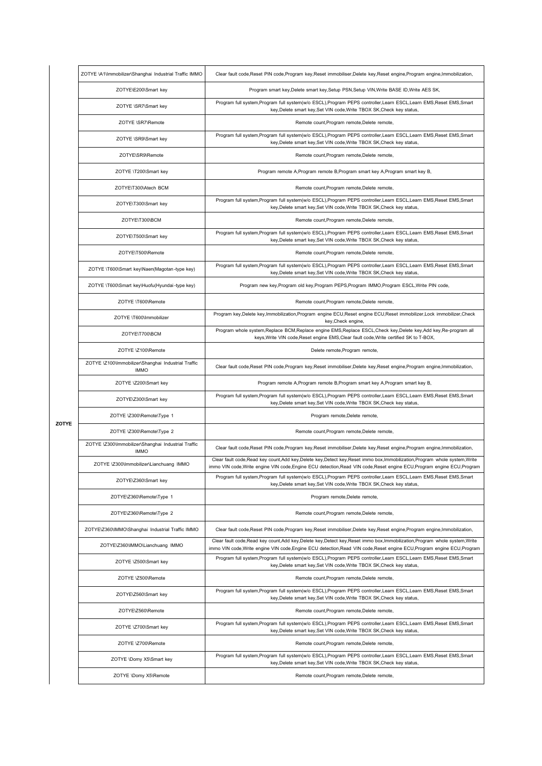|       | ZOTYE \A1\Immobilizer\Shanghai Industrial Traffic IMMO             | Clear fault code, Reset PIN code, Program key, Reset immobiliser, Delete key, Reset engine, Program engine, Immobilization,                                                                                                                                |
|-------|--------------------------------------------------------------------|------------------------------------------------------------------------------------------------------------------------------------------------------------------------------------------------------------------------------------------------------------|
|       | ZOTYE\E200\Smart key                                               | Program smart key, Delete smart key, Setup PSN, Setup VIN, Write BASE ID, Write AES SK,                                                                                                                                                                    |
|       | ZOTYE \SR7\Smart key                                               | Program full system, Program full system(w/o ESCL), Program PEPS controller, Learn ESCL, Learn EMS, Reset EMS, Smart<br>key, Delete smart key, Set VIN code, Write TBOX SK, Check key status,                                                              |
|       | ZOTYE \SR7\Remote                                                  | Remote count, Program remote, Delete remote,                                                                                                                                                                                                               |
|       | ZOTYE \SR9\Smart key                                               | Program full system, Program full system(w/o ESCL), Program PEPS controller, Learn ESCL, Learn EMS, Reset EMS, Smart<br>key, Delete smart key, Set VIN code, Write TBOX SK, Check key status,                                                              |
|       | ZOTYE\SR9\Remote                                                   | Remote count, Program remote, Delete remote,                                                                                                                                                                                                               |
|       | ZOTYE \T200\Smart key                                              | Program remote A, Program remote B, Program smart key A, Program smart key B,                                                                                                                                                                              |
|       | ZOTYE\T300\Atech BCM                                               | Remote count, Program remote, Delete remote,                                                                                                                                                                                                               |
|       | ZOTYE\T300\Smart key                                               | Program full system, Program full system(w/o ESCL), Program PEPS controller, Learn ESCL, Learn EMS, Reset EMS, Smart<br>key, Delete smart key, Set VIN code, Write TBOX SK, Check key status,                                                              |
|       | ZOTYE\T300\BCM                                                     | Remote count, Program remote, Delete remote,                                                                                                                                                                                                               |
|       | ZOTYE\T500\Smart key                                               | Program full system, Program full system(w/o ESCL), Program PEPS controller, Learn ESCL, Learn EMS, Reset EMS, Smart<br>key, Delete smart key, Set VIN code, Write TBOX SK, Check key status,                                                              |
|       | ZOTYE\T500\Remote                                                  | Remote count, Program remote, Delete remote,                                                                                                                                                                                                               |
|       | ZOTYE \T600\Smart key\Naen(Magotan-type key)                       | Program full system, Program full system(w/o ESCL), Program PEPS controller, Learn ESCL, Learn EMS, Reset EMS, Smart<br>key, Delete smart key, Set VIN code, Write TBOX SK, Check key status,                                                              |
|       | ZOTYE \T600\Smart key\Huofu(Hyundai-type key)                      | Program new key, Program old key, Program PEPS, Program IMMO, Program ESCL, Write PIN code,                                                                                                                                                                |
|       | ZOTYE \T600\Remote                                                 | Remote count, Program remote, Delete remote,                                                                                                                                                                                                               |
|       | ZOTYE \T600\Immobilizer                                            | Program key, Delete key, Immobilization, Program engine ECU, Reset engine ECU, Reset immobilizer, Lock immobilizer, Check<br>key, Check engine,                                                                                                            |
|       | ZOTYE\T700\BCM                                                     | Program whole system, Replace BCM, Replace engine EMS, Replace ESCL, Check key, Delete key, Add key, Re-program all<br>keys, Write VIN code, Reset engine EMS, Clear fault code, Write certified SK to T-BOX,                                              |
|       | ZOTYE \Z100\Remote                                                 | Delete remote, Program remote,                                                                                                                                                                                                                             |
|       | ZOTYE \Z100\Immobilizer\Shanghai Industrial Traffic<br><b>IMMO</b> | Clear fault code, Reset PIN code, Program key, Reset immobiliser, Delete key, Reset engine, Program engine, Immobilization,                                                                                                                                |
|       | ZOTYE \Z200\Smart key                                              | Program remote A, Program remote B, Program smart key A, Program smart key B,                                                                                                                                                                              |
|       | ZOTYE\Z300\Smart key                                               | Program full system, Program full system(w/o ESCL), Program PEPS controller, Learn ESCL, Learn EMS, Reset EMS, Smart<br>key, Delete smart key, Set VIN code, Write TBOX SK, Check key status,                                                              |
|       | ZOTYE \Z300\Remote\Type 1                                          | Program remote, Delete remote,                                                                                                                                                                                                                             |
| ZOTYE | ZOTYE \Z300\Remote\Type 2                                          | Remote count, Program remote, Delete remote,                                                                                                                                                                                                               |
|       | ZOTYE \Z300\Immobilizer\Shanghai Industrial Traffic<br><b>IMMO</b> | Clear fault code, Reset PIN code, Program key, Reset immobiliser, Delete key, Reset engine, Program engine, Immobilization,                                                                                                                                |
|       | ZOTYE \Z300\Immobilizer\Lianchuang IMMO                            | Clear fault code, Read key count, Add key, Delete key, Detect key, Reset immo box, Immobilization, Program whole system, Write<br>immo VIN code,Write engine VIN code,Engine ECU detection,Read VIN code,Reset engine ECU,Program engine ECU,Program       |
|       | ZOTYE\Z360\Smart key                                               | Program full system, Program full system(w/o ESCL), Program PEPS controller, Learn ESCL, Learn EMS, Reset EMS, Smart<br>key, Delete smart key, Set VIN code, Write TBOX SK, Check key status,                                                              |
|       | ZOTYE\Z360\Remote\Type 1                                           | Program remote, Delete remote,                                                                                                                                                                                                                             |
|       | ZOTYE\Z360\Remote\Type 2                                           | Remote count, Program remote, Delete remote,                                                                                                                                                                                                               |
|       | ZOTYE\Z360\IMMO\Shanghai Industrial Traffic IMMO                   | Clear fault code, Reset PIN code, Program key, Reset immobiliser, Delete key, Reset engine, Program engine, Immobilization,                                                                                                                                |
|       | ZOTYE\Z360\IMMO\Lianchuang IMMO                                    | Clear fault code, Read key count, Add key, Delete key, Detect key, Reset immo box, Immobilization, Program whole system, Write<br>immo VIN code, Write engine VIN code, Engine ECU detection, Read VIN code, Reset engine ECU, Program engine ECU, Program |
|       | ZOTYE \Z500\Smart key                                              | Program full system, Program full system(w/o ESCL), Program PEPS controller, Learn ESCL, Learn EMS, Reset EMS, Smart<br>key, Delete smart key, Set VIN code, Write TBOX SK, Check key status,                                                              |
|       | ZOTYE \Z500\Remote                                                 | Remote count, Program remote, Delete remote,                                                                                                                                                                                                               |
|       | ZOTYE\Z560\Smart key                                               | Program full system, Program full system(w/o ESCL), Program PEPS controller, Learn ESCL, Learn EMS, Reset EMS, Smart<br>key, Delete smart key, Set VIN code, Write TBOX SK, Check key status,                                                              |
|       | ZOTYE\Z560\Remote                                                  | Remote count, Program remote, Delete remote,                                                                                                                                                                                                               |
|       | ZOTYE \Z700\Smart key                                              | Program full system, Program full system(w/o ESCL), Program PEPS controller, Learn ESCL, Learn EMS, Reset EMS, Smart<br>key, Delete smart key, Set VIN code, Write TBOX SK, Check key status,                                                              |
|       | ZOTYE \Z700\Remote                                                 | Remote count, Program remote, Delete remote,                                                                                                                                                                                                               |
|       | ZOTYE \Domy X5\Smart key                                           | Program full system, Program full system(w/o ESCL), Program PEPS controller, Learn ESCL, Learn EMS, Reset EMS, Smart<br>key, Delete smart key, Set VIN code, Write TBOX SK, Check key status,                                                              |
|       | ZOTYE \Domy X5\Remote                                              | Remote count, Program remote, Delete remote,                                                                                                                                                                                                               |
|       |                                                                    |                                                                                                                                                                                                                                                            |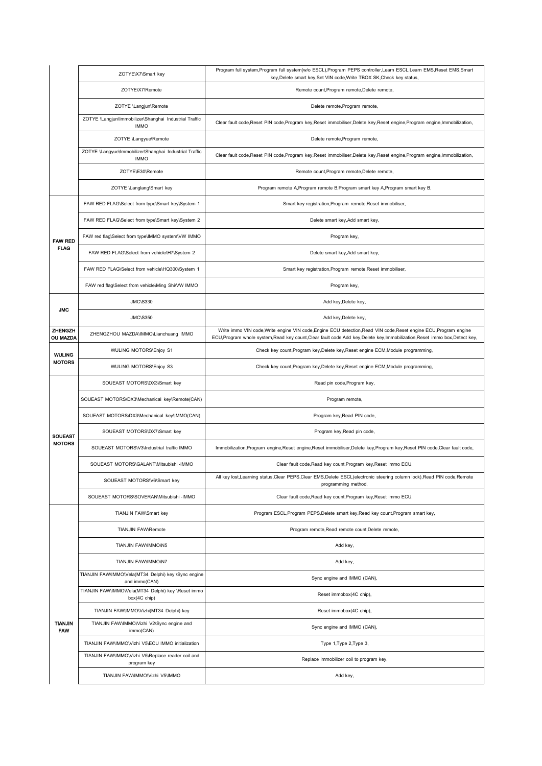|                              | ZOTYE\X7\Smart key                                                    | Program full system, Program full system(w/o ESCL), Program PEPS controller, Learn ESCL, Learn EMS, Reset EMS, Smart<br>key, Delete smart key, Set VIN code, Write TBOX SK, Check key status,                                                      |
|------------------------------|-----------------------------------------------------------------------|----------------------------------------------------------------------------------------------------------------------------------------------------------------------------------------------------------------------------------------------------|
|                              | ZOTYE\X7\Remote                                                       | Remote count, Program remote, Delete remote,                                                                                                                                                                                                       |
|                              | ZOTYE \Langjun\Remote                                                 | Delete remote, Program remote,                                                                                                                                                                                                                     |
|                              | ZOTYE \Langjun\Immobilizer\Shanghai Industrial Traffic<br><b>IMMO</b> | Clear fault code, Reset PIN code, Program key, Reset immobiliser, Delete key, Reset engine, Program engine, Immobilization,                                                                                                                        |
|                              | ZOTYE \Langyue\Remote                                                 | Delete remote, Program remote,                                                                                                                                                                                                                     |
|                              | ZOTYE \Langyue\Immobilizer\Shanghai Industrial Traffic<br><b>IMMO</b> | Clear fault code, Reset PIN code, Program key, Reset immobiliser, Delete key, Reset engine, Program engine, Immobilization,                                                                                                                        |
|                              | ZOTYE\E30\Remote                                                      | Remote count, Program remote, Delete remote,                                                                                                                                                                                                       |
|                              | ZOTYE \Langlang\Smart key                                             | Program remote A, Program remote B, Program smart key A, Program smart key B,                                                                                                                                                                      |
|                              | FAW RED FLAG\Select from type\Smart key\System 1                      | Smart key registration, Program remote, Reset immobiliser,                                                                                                                                                                                         |
|                              | FAW RED FLAG\Select from type\Smart key\System 2                      | Delete smart key, Add smart key,                                                                                                                                                                                                                   |
| <b>FAW RED</b>               | FAW red flag\Select from type\IMMO system\VW IMMO                     | Program key,                                                                                                                                                                                                                                       |
| <b>FLAG</b>                  | FAW RED FLAG\Select from vehicle\H7\System 2                          | Delete smart key, Add smart key,                                                                                                                                                                                                                   |
|                              | FAW RED FLAG\Select from vehicle\HQ300\System 1                       | Smart key registration, Program remote, Reset immobiliser,                                                                                                                                                                                         |
|                              | FAW red flag\Select from vehicle\Ming Shi\VW IMMO                     | Program key,                                                                                                                                                                                                                                       |
| <b>JMC</b>                   | <b>JMC\S330</b>                                                       | Add key, Delete key,                                                                                                                                                                                                                               |
|                              | <b>JMC\S350</b>                                                       | Add key, Delete key,                                                                                                                                                                                                                               |
| ZHENGZH<br>OU MAZDA          | ZHENGZHOU MAZDA\IMMO\Lianchuang IMMO                                  | Write immo VIN code, Write engine VIN code, Engine ECU detection, Read VIN code, Reset engine ECU, Program engine<br>ECU, Program whole system, Read key count, Clear fault code, Add key, Delete key, Immobilization, Reset immo box, Detect key, |
|                              | WULING MOTORS\Enjoy S1                                                | Check key count, Program key, Delete key, Reset engine ECM, Module programming,                                                                                                                                                                    |
| <b>WULING</b>                |                                                                       |                                                                                                                                                                                                                                                    |
| <b>MOTORS</b>                | WULING MOTORS\Enjoy S3                                                | Check key count, Program key, Delete key, Reset engine ECM, Module programming,                                                                                                                                                                    |
|                              | SOUEAST MOTORS\DX3\Smart key                                          | Read pin code, Program key,                                                                                                                                                                                                                        |
|                              | SOUEAST MOTORS\DX3\Mechanical key\Remote(CAN)                         | Program remote,                                                                                                                                                                                                                                    |
|                              | SOUEAST MOTORS\DX3\Mechanical key\IMMO(CAN)                           | Program key, Read PIN code,                                                                                                                                                                                                                        |
| <b>SOUEAST</b>               | SOUEAST MOTORS\DX7\Smart key                                          | Program key, Read pin code,                                                                                                                                                                                                                        |
| <b>MOTORS</b>                | SOUEAST MOTORS\V3\Industrial traffic IMMO                             | Immobilization, Program engine, Reset engine, Reset immobiliser, Delete key, Program key, Reset PIN code, Clear fault code,                                                                                                                        |
|                              | SOUEAST MOTORS\GALANT\Mitsubishi -IMMO                                | Clear fault code, Read key count, Program key, Reset immo ECU,                                                                                                                                                                                     |
|                              | SOUEAST MOTORS\V6\Smart key                                           | All key lost, Learning status, Clear PEPS, Clear EMS, Delete ESCL (electronic steering column lock), Read PIN code, Remote<br>programming method,                                                                                                  |
|                              | SOUEAST MOTORS\SOVERAN\Mitsubishi -IMMO                               | Clear fault code, Read key count, Program key, Reset immo ECU,                                                                                                                                                                                     |
|                              | TIANJIN FAW\Smart key                                                 | Program ESCL, Program PEPS, Delete smart key, Read key count, Program smart key,                                                                                                                                                                   |
|                              | TIANJIN FAW\Remote                                                    | Program remote, Read remote count, Delete remote,                                                                                                                                                                                                  |
|                              | TIANJIN FAW\IMMO\N5                                                   | Add key,                                                                                                                                                                                                                                           |
|                              | TIANJIN FAW\IMMO\N7                                                   | Add key,                                                                                                                                                                                                                                           |
|                              | TIANJIN FAW\IMMO\Vela(MT34 Delphi) key \Sync engine<br>and immo(CAN)  | Sync engine and IMMO (CAN),                                                                                                                                                                                                                        |
|                              | TIANJIN FAW\IMMO\Vela(MT34 Delphi) key \Reset immo<br>box(4C chip)    | Reset immobox(4C chip),                                                                                                                                                                                                                            |
|                              | TIANJIN FAW\IMMO\Vizhi(MT34 Delphi) key                               | Reset immobox(4C chip),                                                                                                                                                                                                                            |
| <b>TIANJIN</b><br><b>FAW</b> | TIANJIN FAW\IMMO\Vizhi V2\Sync engine and<br>immo(CAN)                | Sync engine and IMMO (CAN),                                                                                                                                                                                                                        |
|                              | TIANJIN FAW\IMMO\Vizhi V5\ECU IMMO initialization                     | Type 1, Type 2, Type 3,                                                                                                                                                                                                                            |
|                              | TIANJIN FAW\IMMO\Vizhi V5\Replace reader coil and<br>program key      | Replace immobilizer coil to program key,                                                                                                                                                                                                           |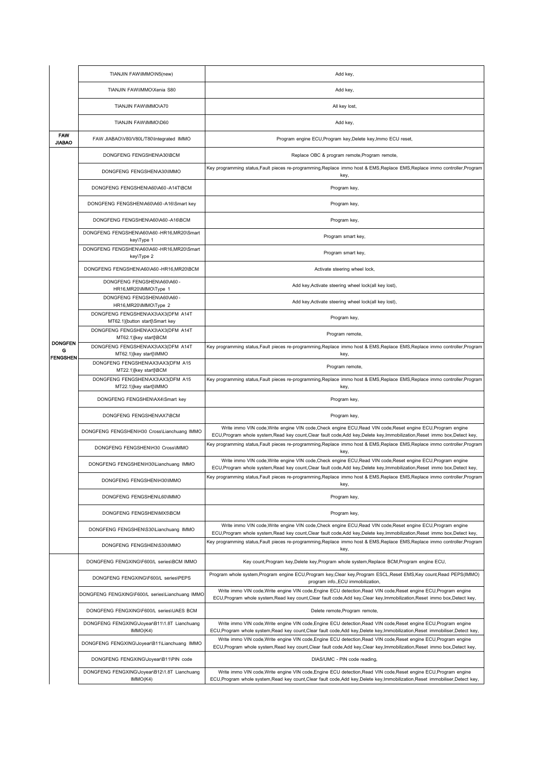|                             | TIANJIN FAW\IMMO\N5(new)                                              | Add key,                                                                                                                                                                                                                                              |  |
|-----------------------------|-----------------------------------------------------------------------|-------------------------------------------------------------------------------------------------------------------------------------------------------------------------------------------------------------------------------------------------------|--|
|                             | TIANJIN FAW\IMMO\Xenia S80                                            | Add key,                                                                                                                                                                                                                                              |  |
|                             | TIANJIN FAW\IMMO\A70                                                  | All key lost,                                                                                                                                                                                                                                         |  |
|                             | TIANJIN FAW\IMMO\D60                                                  | Add key,                                                                                                                                                                                                                                              |  |
| <b>FAW</b><br><b>JIABAO</b> | FAW JIABAO\V80/V80L/T80\Integrated IMMO                               | Program engine ECU, Program key, Delete key, Immo ECU reset,                                                                                                                                                                                          |  |
|                             | DONGFENG FENGSHEN\A30\BCM                                             | Replace OBC & program remote, Program remote,                                                                                                                                                                                                         |  |
|                             | DONGFENG FENGSHEN\A30\IMMO                                            | Key programming status,Fault pieces re-programming,Replace immo host & EMS,Replace EMS,Replace immo controller,Program<br>key,                                                                                                                        |  |
|                             | DONGFENG FENGSHEN\A60\A60-A14T\BCM                                    | Program key,                                                                                                                                                                                                                                          |  |
|                             | DONGFENG FENGSHEN\A60\A60-A16\Smart key                               | Program key,                                                                                                                                                                                                                                          |  |
|                             | DONGFENG FENGSHEN\A60\A60-A16\BCM                                     | Program key,                                                                                                                                                                                                                                          |  |
|                             | DONGFENG FENGSHEN\A60\A60-HR16,MR20\Smart<br>key\Type 1               | Program smart key,                                                                                                                                                                                                                                    |  |
|                             | DONGFENG FENGSHEN\A60\A60-HR16,MR20\Smart<br>key\Type 2               | Program smart key,                                                                                                                                                                                                                                    |  |
|                             | DONGFENG FENGSHEN\A60\A60-HR16,MR20\BCM                               | Activate steering wheel lock,                                                                                                                                                                                                                         |  |
|                             | DONGFENG FENGSHEN\A60\A60-<br>HR16, MR20\IMMO\Type 1                  | Add key, Activate steering wheel lock(all key lost),                                                                                                                                                                                                  |  |
|                             | DONGFENG FENGSHEN\A60\A60-<br>HR16, MR20\IMMO\Type 2                  | Add key, Activate steering wheel lock(all key lost),                                                                                                                                                                                                  |  |
|                             | DONGFENG FENGSHEN\AX3\AX3(DFM A14T<br>MT62.1)[button start]\Smart key | Program key,                                                                                                                                                                                                                                          |  |
| <b>DONGFEN</b>              | DONGFENG FENGSHEN\AX3\AX3(DFM A14T<br>MT62.1)[key start]\BCM          | Program remote,                                                                                                                                                                                                                                       |  |
| G<br><b>FENGSHEN</b>        | DONGFENG FENGSHEN\AX3\AX3(DFM A14T<br>MT62.1)[key start]\IMMO         | Key programming status,Fault pieces re-programming,Replace immo host & EMS,Replace EMS,Replace immo controller,Program<br>key,                                                                                                                        |  |
|                             | DONGFENG FENGSHEN\AX3\AX3(DFM A15<br>MT22.1)[key start]\BCM           | Program remote,                                                                                                                                                                                                                                       |  |
|                             | DONGFENG FENGSHEN\AX3\AX3(DFM A15<br>MT22.1)[key start]\IMMO          | Key programming status, Fault pieces re-programming, Replace immo host & EMS, Replace EMS, Replace immo controller, Program<br>key,                                                                                                                   |  |
|                             | DONGFENG FENGSHEN\AX4\Smart key                                       | Program key,                                                                                                                                                                                                                                          |  |
|                             | DONGFENG FENGSHEN\AX7\BCM                                             | Program key,                                                                                                                                                                                                                                          |  |
|                             | DONGFENG FENGSHEN\H30 Cross\Lianchuang IMMO                           | Write immo VIN code, Write engine VIN code, Check engine ECU, Read VIN code, Reset engine ECU, Program engine<br>ECU,Program whole system,Read key count,Clear fault code,Add key,Delete key,Immobilization,Reset immo box,Detect key,                |  |
|                             | DONGFENG FENGSHEN\H30 Cross\IMMO                                      | Key programming status,Fault pieces re-programming,Replace immo host & EMS,Replace EMS,Replace immo controller,Program<br>key,                                                                                                                        |  |
|                             | DONGFENG FENGSHEN\H30\Lianchuang IMMO                                 | Write immo VIN code, Write engine VIN code, Check engine ECU, Read VIN code, Reset engine ECU, Program engine<br>ECU,Program whole system,Read key count,Clear fault code,Add key,Delete key,Immobilization,Reset immo box,Detect key,                |  |
|                             | DONGFENG FENGSHEN\H30\IMMO                                            | Key programming status, Fault pieces re-programming, Replace immo host & EMS, Replace EMS, Replace immo controller, Program<br>key,                                                                                                                   |  |
|                             | DONGFENG FENGSHEN\L60\IMMO                                            | Program key,                                                                                                                                                                                                                                          |  |
|                             | DONGFENG FENGSHEN\MX5\BCM                                             | Program key,                                                                                                                                                                                                                                          |  |
|                             | DONGFENG FENGSHEN\S30\Lianchuang IMMO                                 | Write immo VIN code, Write engine VIN code, Check engine ECU, Read VIN code, Reset engine ECU, Program engine<br>ECU, Program whole system, Read key count, Clear fault code, Add key, Delete key, Immobilization, Reset immo box, Detect key,        |  |
|                             | DONGFENG FENGSHEN\S30\IMMO                                            | Key programming status,Fault pieces re-programming,Replace immo host & EMS,Replace EMS,Replace immo controller,Program<br>key,                                                                                                                        |  |
|                             | DONGFENG FENGXING\F600/L series\BCM IMMO                              | Key count, Program key, Delete key, Program whole system, Replace BCM, Program engine ECU,                                                                                                                                                            |  |
|                             | DONGFENG FENGXING\F600/L series\PEPS                                  | Program whole system, Program engine ECU, Program key, Clear key, Program ESCL, Reset EMS, Key count, Read PEPS(IMMO)<br>program info., ECU immobilization,                                                                                           |  |
|                             | DONGFENG FENGXING\F600/L series\Lianchuang IMMC                       | Write immo VIN code, Write engine VIN code, Engine ECU detection, Read VIN code, Reset engine ECU, Program engine<br>ECU, Program whole system, Read key count, Clear fault code, Add key, Clear key, Immobilization, Reset immo box, Detect key,     |  |
|                             | DONGFENG FENGXING\F600/L series\UAES BCM                              | Delete remote, Program remote,                                                                                                                                                                                                                        |  |
|                             | DONGFENG FENGXING\Joyear\B11\1.8T Lianchuang<br>IMMO(K4)              | Write immo VIN code, Write engine VIN code, Engine ECU detection, Read VIN code, Reset engine ECU, Program engine<br>ECU, Program whole system, Read key count, Clear fault code, Add key, Delete key, Immobilization, Reset immobiliser, Detect key, |  |
|                             | DONGFENG FENGXING\Joyear\B11\Lianchuang IMMO                          | Write immo VIN code, Write engine VIN code, Engine ECU detection, Read VIN code, Reset engine ECU, Program engine<br>ECU, Program whole system, Read key count, Clear fault code, Add key, Clear key, Immobilization, Reset immo box, Detect key,     |  |
|                             | DONGFENG FENGXING\Joyear\B11\PIN code                                 | DIAS/UMC - PIN code reading,                                                                                                                                                                                                                          |  |
|                             | DONGFENG FENGXING\Joyear\B12\1.8T Lianchuang<br>IMMO(K4)              | Write immo VIN code, Write engine VIN code, Engine ECU detection, Read VIN code, Reset engine ECU, Program engine<br>ECU,Program whole system,Read key count,Clear fault code,Add key,Delete key,Immobilization,Reset immobiliser,Detect key,         |  |
|                             |                                                                       |                                                                                                                                                                                                                                                       |  |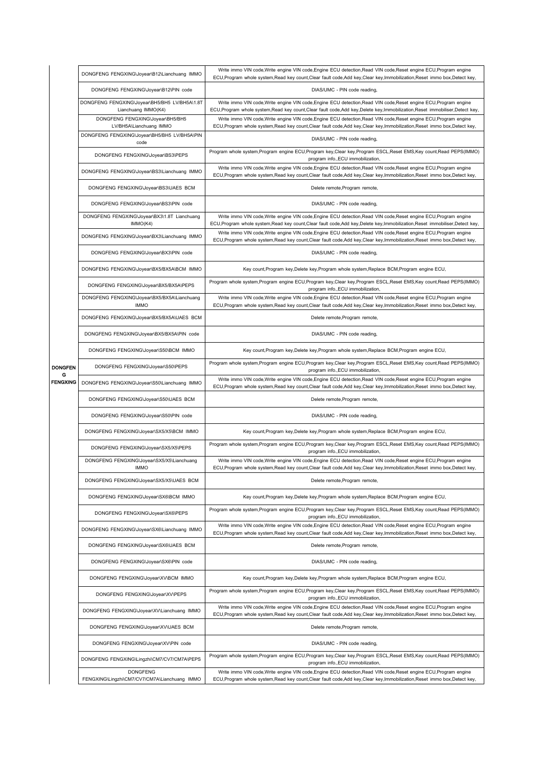| DONGFENG FENGXING\Joyear\B12\Lianchuang IMMO                         | Write immo VIN code, Write engine VIN code, Engine ECU detection, Read VIN code, Reset engine ECU, Program engine<br>ECU, Program whole system, Read key count, Clear fault code, Add key, Clear key, Immobilization, Reset immo box, Detect key,     |
|----------------------------------------------------------------------|-------------------------------------------------------------------------------------------------------------------------------------------------------------------------------------------------------------------------------------------------------|
| DONGFENG FENGXING\Joyear\B12\PIN code                                | DIAS/UMC - PIN code reading,                                                                                                                                                                                                                          |
| DONGFENG FENGXING\Joyear\BH5/BH5 LV/BH5A\1.8T<br>Lianchuang IMMO(K4) | Write immo VIN code, Write engine VIN code, Engine ECU detection, Read VIN code, Reset engine ECU, Program engine<br>ECU,Program whole system,Read key count,Clear fault code,Add key,Delete key,Immobilization,Reset immobiliser,Detect key,         |
| DONGFENG FENGXING\Joyear\BH5/BH5<br>LV/BH5A\Lianchuang IMMO          | Write immo VIN code, Write engine VIN code, Engine ECU detection, Read VIN code, Reset engine ECU, Program engine<br>ECU, Program whole system, Read key count, Clear fault code, Add key, Clear key, Immobilization, Reset immo box, Detect key,     |
| DONGFENG FENGXING\Joyear\BH5/BH5 LV/BH5A\PIN<br>code                 | DIAS/UMC - PIN code reading,                                                                                                                                                                                                                          |
| DONGFENG FENGXING\Joyear\BS3\PEPS                                    | Program whole system, Program engine ECU, Program key, Clear key, Program ESCL, Reset EMS, Key count, Read PEPS(IMMO)<br>program info., ECU immobilization,                                                                                           |
| DONGFENG FENGXING\Joyear\BS3\Lianchuang IMMO                         | Write immo VIN code, Write engine VIN code, Engine ECU detection, Read VIN code, Reset engine ECU, Program engine<br>ECU, Program whole system, Read key count, Clear fault code, Add key, Clear key, Immobilization, Reset immo box, Detect key,     |
| DONGFENG FENGXING\Joyear\BS3\UAES BCM                                | Delete remote, Program remote,                                                                                                                                                                                                                        |
| DONGFENG FENGXING\Joyear\BS3\PIN code                                | DIAS/UMC - PIN code reading,                                                                                                                                                                                                                          |
| DONGFENG FENGXING\Joyear\BX3\1.8T Lianchuang<br>IMMO(K4)             | Write immo VIN code, Write engine VIN code, Engine ECU detection, Read VIN code, Reset engine ECU, Program engine<br>ECU, Program whole system, Read key count, Clear fault code, Add key, Delete key, Immobilization, Reset immobiliser, Detect key, |
| DONGFENG FENGXING\Joyear\BX3\Lianchuang IMMO                         | Write immo VIN code, Write engine VIN code, Engine ECU detection, Read VIN code, Reset engine ECU, Program engine<br>ECU, Program whole system, Read key count, Clear fault code, Add key, Clear key, Immobilization, Reset immo box, Detect key,     |
| DONGFENG FENGXING\Joyear\BX3\PIN code                                | DIAS/UMC - PIN code reading,                                                                                                                                                                                                                          |
| DONGFENG FENGXING\Joyear\BX5/BX5A\BCM IMMO                           | Key count, Program key, Delete key, Program whole system, Replace BCM, Program engine ECU,                                                                                                                                                            |
| DONGFENG FENGXING\Joyear\BX5/BX5A\PEPS                               | Program whole system, Program engine ECU, Program key, Clear key, Program ESCL, Reset EMS, Key count, Read PEPS(IMMO)<br>program info., ECU immobilization,                                                                                           |
| DONGFENG FENGXING\Joyear\BX5/BX5A\Lianchuang<br><b>IMMO</b>          | Write immo VIN code, Write engine VIN code, Engine ECU detection, Read VIN code, Reset engine ECU, Program engine<br>ECU, Program whole system, Read key count, Clear fault code, Add key, Clear key, Immobilization, Reset immo box, Detect key,     |
| DONGFENG FENGXING\Joyear\BX5/BX5A\UAES BCM                           | Delete remote, Program remote,                                                                                                                                                                                                                        |
| DONGFENG FENGXING\Joyear\BX5/BX5A\PIN code                           | DIAS/UMC - PIN code reading,                                                                                                                                                                                                                          |
| DONGFENG FENGXING\Joyear\S50\BCM IMMO                                | Key count, Program key, Delete key, Program whole system, Replace BCM, Program engine ECU,                                                                                                                                                            |
| DONGFENG FENGXING\Joyear\S50\PEPS<br>DONGFEN                         | Program whole system, Program engine ECU, Program key, Clear key, Program ESCL, Reset EMS, Key count, Read PEPS(IMMO)<br>program info., ECU immobilization,                                                                                           |
| FENGXING<br>DONGFENG FENGXING\Joyear\S50\Lianchuang IMMO             | Write immo VIN code, Write engine VIN code, Engine ECU detection, Read VIN code, Reset engine ECU, Program engine<br>ECU, Program whole system, Read key count, Clear fault code, Add key, Clear key, Immobilization, Reset immo box, Detect key,     |
| DONGFENG FENGXING\Joyear\S50\UAES BCM                                | Delete remote, Program remote,                                                                                                                                                                                                                        |
| DONGFENG FENGXING\Joyear\S50\PIN code                                | DIAS/UMC - PIN code reading,                                                                                                                                                                                                                          |
| DONGFENG FENGXING\Joyear\SX5/X5\BCM IMMO                             | Key count, Program key, Delete key, Program whole system, Replace BCM, Program engine ECU,                                                                                                                                                            |
| DONGFENG FENGXING\Joyear\SX5/X5\PEPS                                 | Program whole system,Program engine ECU,Program key,Clear key,Program ESCL,Reset EMS,Key count,Read PEPS(IMMO)<br>program info., ECU immobilization,                                                                                                  |
| DONGFENG FENGXING\Joyear\SX5/X5\Lianchuang<br><b>IMMO</b>            | Write immo VIN code, Write engine VIN code, Engine ECU detection, Read VIN code, Reset engine ECU, Program engine<br>ECU, Program whole system, Read key count, Clear fault code, Add key, Clear key, Immobilization, Reset immo box, Detect key,     |
| DONGFENG FENGXING\Joyear\SX5/X5\UAES BCM                             | Delete remote, Program remote,                                                                                                                                                                                                                        |
| DONGFENG FENGXING\Joyear\SX6\BCM IMMO                                | Key count, Program key, Delete key, Program whole system, Replace BCM, Program engine ECU,                                                                                                                                                            |
| DONGFENG FENGXING\Joyear\SX6\PEPS                                    | Program whole system,Program engine ECU,Program key,Clear key,Program ESCL,Reset EMS,Key count,Read PEPS(IMMO)<br>program info., ECU immobilization,                                                                                                  |
| DONGFENG FENGXING\Joyear\SX6\Lianchuang IMMO                         | Write immo VIN code, Write engine VIN code, Engine ECU detection, Read VIN code, Reset engine ECU, Program engine<br>ECU, Program whole system, Read key count, Clear fault code, Add key, Clear key, Immobilization, Reset immo box, Detect key,     |
| DONGFENG FENGXING\Joyear\SX6\UAES BCM                                | Delete remote, Program remote,                                                                                                                                                                                                                        |
| DONGFENG FENGXING\Joyear\SX6\PIN code                                | DIAS/UMC - PIN code reading,                                                                                                                                                                                                                          |
| DONGFENG FENGXING\Joyear\XV\BCM IMMO                                 | Key count, Program key, Delete key, Program whole system, Replace BCM, Program engine ECU,                                                                                                                                                            |
|                                                                      | Program whole system, Program engine ECU, Program key, Clear key, Program ESCL, Reset EMS, Key count, Read PEPS(IMMO)<br>program info., ECU immobilization,                                                                                           |
| DONGFENG FENGXING\Joyear\XV\PEPS                                     |                                                                                                                                                                                                                                                       |
| DONGFENG FENGXING\Joyear\XV\Lianchuang IMMO                          | Write immo VIN code, Write engine VIN code, Engine ECU detection, Read VIN code, Reset engine ECU, Program engine<br>ECU, Program whole system, Read key count, Clear fault code, Add key, Clear key, Immobilization, Reset immo box, Detect key,     |
| DONGFENG FENGXING\Joyear\XV\UAES BCM                                 | Delete remote, Program remote,                                                                                                                                                                                                                        |
| DONGFENG FENGXING\Joyear\XV\PIN code                                 | DIAS/UMC - PIN code reading,                                                                                                                                                                                                                          |
| DONGFENG FENGXING\Lingzhi\CM7/CV7/CM7A\PEPS                          | Program whole system, Program engine ECU, Program key, Clear key, Program ESCL, Reset EMS, Key count, Read PEPS(IMMO)<br>program info., ECU immobilization,                                                                                           |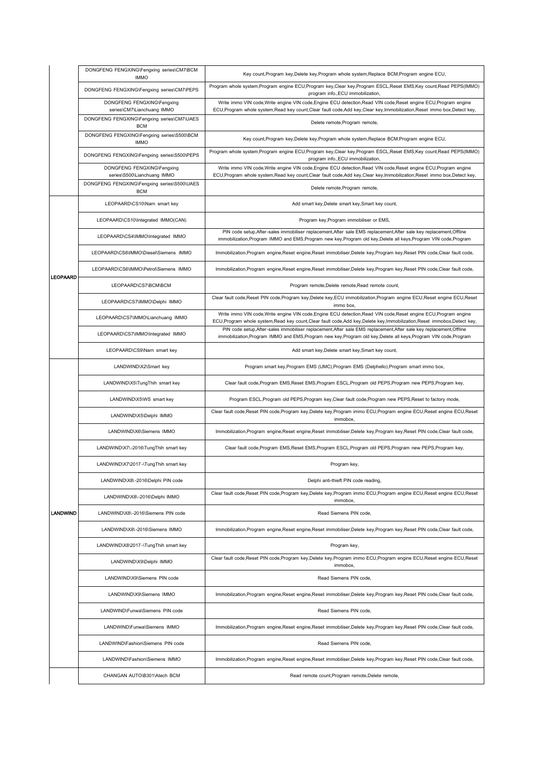|                 | DONGFENG FENGXING\Fengxing series\CM7\BCM<br><b>IMMO</b>  | Key count, Program key, Delete key, Program whole system, Replace BCM, Program engine ECU,                                                                                                                                                 |
|-----------------|-----------------------------------------------------------|--------------------------------------------------------------------------------------------------------------------------------------------------------------------------------------------------------------------------------------------|
|                 | DONGFENG FENGXING\Fengxing series\CM7\PEPS                | Program whole system, Program engine ECU, Program key, Clear key, Program ESCL, Reset EMS, Key count, Read PEPS(IMMO)<br>program info., ECU immobilization,                                                                                |
|                 | DONGFENG FENGXING\Fengxing<br>series\CM7\Lianchuang IMMO  | Write immo VIN code, Write engine VIN code, Engine ECU detection, Read VIN code, Reset engine ECU, Program engine<br>ECU,Program whole system,Read key count,Clear fault code,Add key,Clear key,Immobilization,Reset immo box,Detect key,  |
|                 | DONGFENG FENGXING\Fengxing series\CM7\UAES<br><b>BCM</b>  | Delete remote, Program remote,                                                                                                                                                                                                             |
|                 | DONGFENG FENGXING\Fengxing series\S500\BCM<br><b>IMMO</b> | Key count, Program key, Delete key, Program whole system, Replace BCM, Program engine ECU,                                                                                                                                                 |
|                 | DONGFENG FENGXING\Fengxing series\S500\PEPS               | Program whole system, Program engine ECU, Program key, Clear key, Program ESCL, Reset EMS, Key count, Read PEPS(IMMO)<br>program info., ECU immobilization,                                                                                |
|                 | DONGFENG FENGXING\Fengxing<br>series\S500\Lianchuang IMMO | Write immo VIN code, Write engine VIN code, Engine ECU detection, Read VIN code, Reset engine ECU, Program engine<br>ECU,Program whole system,Read key count,Clear fault code,Add key,Clear key,Immobilization,Reset immo box,Detect key,  |
|                 | DONGFENG FENGXING\Fengxing series\S500\UAES<br><b>BCM</b> | Delete remote, Program remote,                                                                                                                                                                                                             |
|                 | LEOPAARD\CS10\Nam smart key                               | Add smart key, Delete smart key, Smart key count,                                                                                                                                                                                          |
|                 | LEOPAARD\CS10\Integrated IMMO(CAN)                        | Program key, Program immobiliser or EMS,                                                                                                                                                                                                   |
|                 | LEOPAARD\CS4\IMMO\Integrated IMMO                         | PIN code setup, After-sales immobiliser replacement, After sale EMS replacement, After sale key replacement, Offline<br>immobilization, Program IMMO and EMS, Program new key, Program old key, Delete all keys, Program VIN code, Program |
|                 | LEOPAARD\CS6\IMMO\Diesel\Siemens IMMO                     | Immobilization, Program engine, Reset engine, Reset immobiliser, Delete key, Program key, Reset PIN code, Clear fault code,                                                                                                                |
| <b>LEOPAARD</b> | LEOPAARD\CS6\IMMO\Petrol\Siemens IMMO                     | Immobilization, Program engine, Reset engine, Reset immobiliser, Delete key, Program key, Reset PIN code, Clear fault code,                                                                                                                |
|                 | LEOPAARD\CS7\BCM\BCM                                      | Program remote, Delete remote, Read remote count,                                                                                                                                                                                          |
|                 | LEOPAARD\CS7\IMMO\Delphi IMMO                             | Clear fault code, Reset PIN code, Program key, Delete key, ECU immobilization, Program engine ECU, Reset engine ECU, Reset<br>immo box,                                                                                                    |
|                 | LEOPAARD\CS7\IMMO\Lianchuang IMMO                         | Write immo VIN code, Write engine VIN code, Engine ECU detection, Read VIN code, Reset engine ECU, Program engine<br>ECU,Program whole system,Read key count,Clear fault code,Add key,Delete key,Immobilization,Reset immobox,Detect key,  |
|                 | LEOPAARD\CS7\IMMO\Integrated IMMO                         | PIN code setup, After-sales immobiliser replacement, After sale EMS replacement, After sale key replacement, Offline<br>immobilization, Program IMMO and EMS, Program new key, Program old key, Delete all keys, Program VIN code, Program |
|                 | LEOPAARD\CS9\Narn smart key                               | Add smart key, Delete smart key, Smart key count,                                                                                                                                                                                          |
|                 | LANDWIND\X2\Smart key                                     | Program smart key, Program EMS (UMC), Program EMS (Delphello), Program smart immo box,                                                                                                                                                     |
|                 | LANDWIND\X5\TungThih smart key                            | Clear fault code, Program EMS, Reset EMS, Program ESCL, Program old PEPS, Program new PEPS, Program key,                                                                                                                                   |
|                 | LANDWIND\X5\WS smart key                                  | Program ESCL, Program old PEPS, Program key, Clear fault code, Program new PEPS, Reset to factory mode,                                                                                                                                    |
|                 | LANDWIND\X5\Delphi IMMO                                   | Clear fault code, Reset PIN code, Program key, Delete key, Program immo ECU, Program engine ECU, Reset engine ECU, Reset<br>immobox.                                                                                                       |
|                 | LANDWIND\X6\Siemens IMMO                                  | Immobilization, Program engine, Reset engine, Reset immobiliser, Delete key, Program key, Reset PIN code, Clear fault code,                                                                                                                |
|                 | LANDWIND\X7\-2016\TungThih smart key                      | Clear fault code, Program EMS, Reset EMS, Program ESCL, Program old PEPS, Program new PEPS, Program key,                                                                                                                                   |
|                 | LANDWIND\X7\2017-\TungThih smart key                      | Program key,                                                                                                                                                                                                                               |
|                 | LANDWIND\X8\-2016\Delphi PIN code                         | Delphi anti-thieft PIN code reading,                                                                                                                                                                                                       |
|                 | LANDWIND\X8\-2016\Delphi IMMO                             | Clear fault code, Reset PIN code, Program key, Delete key, Program immo ECU, Program engine ECU, Reset engine ECU, Reset<br>immobox,                                                                                                       |
| <b>LANDWIND</b> | LANDWIND\X8\-2016\Siemens PIN code                        | Read Siemens PIN code.                                                                                                                                                                                                                     |
|                 | LANDWIND\X8\-2016\Siemens IMMO                            | Immobilization, Program engine, Reset engine, Reset immobiliser, Delete key, Program key, Reset PIN code, Clear fault code,                                                                                                                |
|                 | LANDWIND\X8\2017 -\TungThih smart key                     | Program key,                                                                                                                                                                                                                               |
|                 | LANDWIND\X9\Delphi IMMO                                   | Clear fault code, Reset PIN code, Program key, Delete key, Program immo ECU, Program engine ECU, Reset engine ECU, Reset<br>immobox,                                                                                                       |
|                 | LANDWIND\X9\Siemens PIN code                              | Read Siemens PIN code,                                                                                                                                                                                                                     |
|                 | LANDWIND\X9\Siemens IMMO                                  | Immobilization, Program engine, Reset engine, Reset immobiliser, Delete key, Program key, Reset PIN code, Clear fault code,                                                                                                                |
|                 | LANDWIND\Funwa\Siemens PIN code                           | Read Siemens PIN code,                                                                                                                                                                                                                     |
|                 | LANDWIND\Funwa\Siemens IMMO                               | Immobilization, Program engine, Reset engine, Reset immobiliser, Delete key, Program key, Reset PIN code, Clear fault code,                                                                                                                |
|                 | LANDWIND\Fashion\Siemens PIN code                         | Read Siemens PIN code,                                                                                                                                                                                                                     |
|                 | LANDWIND\Fashion\Siemens IMMO                             | Immobilization, Program engine, Reset engine, Reset immobiliser, Delete key, Program key, Reset PIN code, Clear fault code,                                                                                                                |
|                 | CHANGAN AUTO\B301\Atech BCM                               | Read remote count, Program remote, Delete remote,                                                                                                                                                                                          |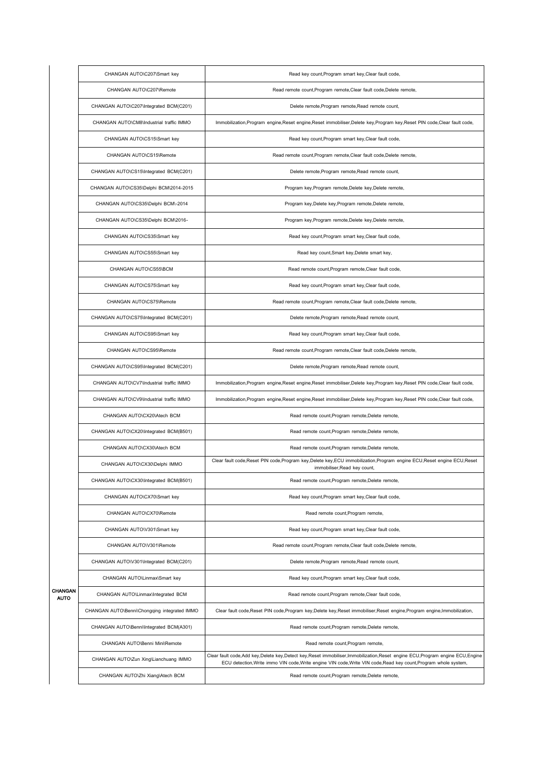|                        | CHANGAN AUTO\C207\Smart key                  | Read key count, Program smart key, Clear fault code,                                                                                                                                                                                                   |
|------------------------|----------------------------------------------|--------------------------------------------------------------------------------------------------------------------------------------------------------------------------------------------------------------------------------------------------------|
|                        | CHANGAN AUTO\C207\Remote                     | Read remote count, Program remote, Clear fault code, Delete remote,                                                                                                                                                                                    |
|                        | CHANGAN AUTO\C207\Integrated BCM(C201)       | Delete remote, Program remote, Read remote count,                                                                                                                                                                                                      |
|                        | CHANGAN AUTO\CM8\Industrial traffic IMMO     | Immobilization, Program engine, Reset engine, Reset immobiliser, Delete key, Program key, Reset PIN code, Clear fault code,                                                                                                                            |
|                        | CHANGAN AUTO\CS15\Smart key                  | Read key count, Program smart key, Clear fault code,                                                                                                                                                                                                   |
|                        | CHANGAN AUTO\CS15\Remote                     | Read remote count, Program remote, Clear fault code, Delete remote,                                                                                                                                                                                    |
|                        | CHANGAN AUTO\CS15\Integrated BCM(C201)       | Delete remote, Program remote, Read remote count,                                                                                                                                                                                                      |
|                        | CHANGAN AUTO\CS35\Delphi BCM\2014-2015       | Program key, Program remote, Delete key, Delete remote,                                                                                                                                                                                                |
|                        | CHANGAN AUTO\CS35\Delphi BCM\-2014           | Program key, Delete key, Program remote, Delete remote,                                                                                                                                                                                                |
|                        | CHANGAN AUTO\CS35\Delphi BCM\2016-           | Program key, Program remote, Delete key, Delete remote,                                                                                                                                                                                                |
|                        | CHANGAN AUTO\CS35\Smart key                  | Read key count, Program smart key, Clear fault code,                                                                                                                                                                                                   |
|                        | CHANGAN AUTO\CS55\Smart key                  | Read key count, Smart key, Delete smart key,                                                                                                                                                                                                           |
|                        | CHANGAN AUTO\CS55\BCM                        | Read remote count, Program remote, Clear fault code,                                                                                                                                                                                                   |
|                        | CHANGAN AUTO\CS75\Smart key                  | Read key count, Program smart key, Clear fault code,                                                                                                                                                                                                   |
|                        | CHANGAN AUTO\CS75\Remote                     | Read remote count, Program remote, Clear fault code, Delete remote,                                                                                                                                                                                    |
|                        | CHANGAN AUTO\CS75\Integrated BCM(C201)       | Delete remote, Program remote, Read remote count,                                                                                                                                                                                                      |
|                        | CHANGAN AUTO\CS95\Smart key                  | Read key count, Program smart key, Clear fault code,                                                                                                                                                                                                   |
|                        | CHANGAN AUTO\CS95\Remote                     | Read remote count, Program remote, Clear fault code, Delete remote,                                                                                                                                                                                    |
|                        | CHANGAN AUTO\CS95\Integrated BCM(C201)       | Delete remote, Program remote, Read remote count,                                                                                                                                                                                                      |
|                        | CHANGAN AUTO\CV7\Industrial traffic IMMO     | Immobilization, Program engine, Reset engine, Reset immobiliser, Delete key, Program key, Reset PIN code, Clear fault code,                                                                                                                            |
|                        | CHANGAN AUTO\CV9\Industrial traffic IMMO     | Immobilization, Program engine, Reset engine, Reset immobiliser, Delete key, Program key, Reset PIN code, Clear fault code,                                                                                                                            |
|                        | CHANGAN AUTO\CX20\Atech BCM                  | Read remote count, Program remote, Delete remote,                                                                                                                                                                                                      |
|                        | CHANGAN AUTO\CX20\Integrated BCM(B501)       | Read remote count, Program remote, Delete remote,                                                                                                                                                                                                      |
|                        | CHANGAN AUTO\CX30\Atech BCM                  | Read remote count, Program remote, Delete remote,                                                                                                                                                                                                      |
|                        | CHANGAN AUTO\CX30\Delphi IMMO                | Clear fault code, Reset PIN code, Program key, Delete key, ECU immobilization, Program engine ECU, Reset engine ECU, Reset<br>immobiliser, Read key count,                                                                                             |
|                        | CHANGAN AUTO\CX30\Integrated BCM(B501)       | Read remote count, Program remote, Delete remote,                                                                                                                                                                                                      |
|                        | CHANGAN AUTO\CX70\Smart key                  | Read key count, Program smart key, Clear fault code,                                                                                                                                                                                                   |
|                        | CHANGAN AUTO\CX70\Remote                     | Read remote count, Program remote,                                                                                                                                                                                                                     |
|                        | CHANGAN AUTO\V301\Smart key                  | Read key count, Program smart key, Clear fault code,                                                                                                                                                                                                   |
|                        | CHANGAN AUTO\V301\Remote                     | Read remote count, Program remote, Clear fault code, Delete remote,                                                                                                                                                                                    |
|                        | CHANGAN AUTO\V301\Integrated BCM(C201)       | Delete remote, Program remote, Read remote count,                                                                                                                                                                                                      |
|                        | CHANGAN AUTO\Linmax\Smart key                | Read key count, Program smart key, Clear fault code,                                                                                                                                                                                                   |
| CHANGAN<br><b>AUTO</b> | CHANGAN AUTO\Linmax\Integrated BCM           | Read remote count, Program remote, Clear fault code,                                                                                                                                                                                                   |
|                        | CHANGAN AUTO\Benni\Chongqing integrated IMMO | Clear fault code, Reset PIN code, Program key, Delete key, Reset immobiliser, Reset engine, Program engine, Immobilization,                                                                                                                            |
|                        | CHANGAN AUTO\Benni\Integrated BCM(A301)      | Read remote count, Program remote, Delete remote,                                                                                                                                                                                                      |
|                        | CHANGAN AUTO\Benni Mini\Remote               | Read remote count, Program remote,                                                                                                                                                                                                                     |
|                        | CHANGAN AUTO\Zun Xing\Lianchuang IMMO        | Clear fault code, Add key, Delete key, Detect key, Reset immobiliser, Immobilization, Reset engine ECU, Program engine ECU, Engine<br>ECU detection, Write immo VIN code, Write engine VIN code, Write VIN code, Read key count, Program whole system, |
|                        | CHANGAN AUTO\Zhi Xiang\Atech BCM             | Read remote count, Program remote, Delete remote,                                                                                                                                                                                                      |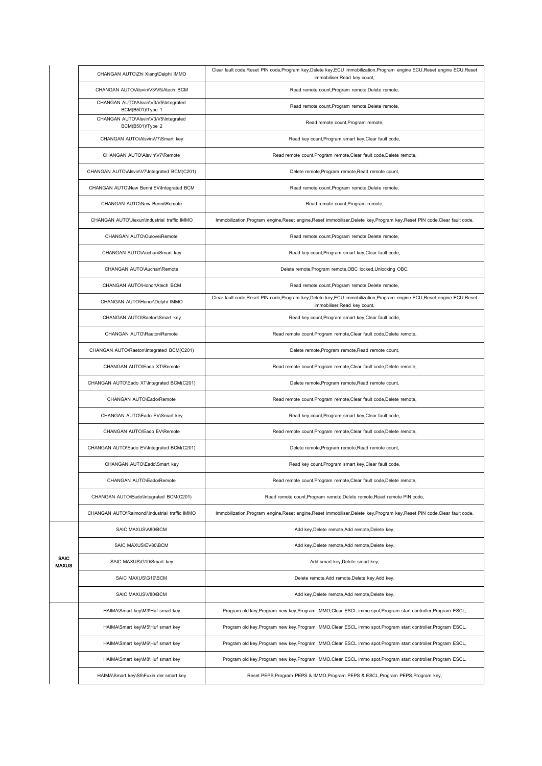|                      | CHANGAN AUTO\Zhi Xiang\Delphi IMMO                       | Clear fault code, Reset PIN code, Program key, Delete key, ECU immobilization, Program engine ECU, Reset engine ECU, Reset<br>immobiliser, Read key count, |
|----------------------|----------------------------------------------------------|------------------------------------------------------------------------------------------------------------------------------------------------------------|
|                      | CHANGAN AUTO\Alsvin\V3/V5\Atech BCM                      | Read remote count, Program remote, Delete remote,                                                                                                          |
|                      | CHANGAN AUTO\Alsvin\V3/V5\Integrated<br>BCM(B501)\Type 1 | Read remote count, Program remote, Delete remote,                                                                                                          |
|                      | CHANGAN AUTO\Alsvin\V3/V5\Integrated<br>BCM(B501)\Type 2 | Read remote count, Program remote,                                                                                                                         |
|                      | CHANGAN AUTO\Alsvin\V7\Smart key                         | Read key count, Program smart key, Clear fault code,                                                                                                       |
|                      | CHANGAN AUTO\Alsvin\V7\Remote                            | Read remote count, Program remote, Clear fault code, Delete remote,                                                                                        |
|                      | CHANGAN AUTO\Alsvin\V7\Integrated BCM(C201)              | Delete remote, Program remote, Read remote count,                                                                                                          |
|                      | CHANGAN AUTO\New Benni EV\Integrated BCM                 | Read remote count, Program remote, Delete remote,                                                                                                          |
|                      | CHANGAN AUTO\New Benni\Remote                            | Read remote count, Program remote,                                                                                                                         |
|                      | CHANGAN AUTO\Jiexun\Industrial traffic IMMO              | Immobilization, Program engine, Reset engine, Reset immobiliser, Delete key, Program key, Reset PIN code, Clear fault code,                                |
|                      | CHANGAN AUTO\Oulove\Remote                               | Read remote count, Program remote, Delete remote,                                                                                                          |
|                      | CHANGAN AUTO\Auchan\Smart key                            | Read key count, Program smart key, Clear fault code,                                                                                                       |
|                      | CHANGAN AUTO\Auchan\Remote                               | Delete remote, Program remote, OBC locked, Unlocking OBC,                                                                                                  |
|                      | CHANGAN AUTO\Honor\Atech BCM                             | Read remote count, Program remote, Delete remote,                                                                                                          |
|                      | CHANGAN AUTO\Honor\Delphi IMMO                           | Clear fault code, Reset PIN code, Program key, Delete key, ECU immobilization, Program engine ECU, Reset engine ECU, Reset<br>immobiliser, Read key count, |
|                      | CHANGAN AUTO\Raeton\Smart key                            | Read key count, Program smart key, Clear fault code,                                                                                                       |
|                      | CHANGAN AUTO\Raeton\Remote                               | Read remote count, Program remote, Clear fault code, Delete remote,                                                                                        |
|                      | CHANGAN AUTO\Raeton\Integrated BCM(C201)                 | Delete remote, Program remote, Read remote count,                                                                                                          |
|                      | CHANGAN AUTO\Eado XT\Remote                              | Read remote count, Program remote, Clear fault code, Delete remote,                                                                                        |
|                      | CHANGAN AUTO\Eado XT\Integrated BCM(C201)                | Delete remote, Program remote, Read remote count,                                                                                                          |
|                      | CHANGAN AUTO\Eado\Remote                                 | Read remote count, Program remote, Clear fault code, Delete remote,                                                                                        |
|                      | CHANGAN AUTO\Eado EV\Smart key                           | Read key count, Program smart key, Clear fault code,                                                                                                       |
|                      | CHANGAN AUTO\Eado EV\Remote                              | Read remote count, Program remote, Clear fault code, Delete remote,                                                                                        |
|                      | CHANGAN AUTO\Eado EV\Integrated BCM(C201)                | Delete remote, Program remote, Read remote count,                                                                                                          |
|                      | CHANGAN AUTO\Eado\Smart key                              | Read key count, Program smart key, Clear fault code,                                                                                                       |
|                      | CHANGAN AUTO\Eado\Remote                                 | Read remote count, Program remote, Clear fault code, Delete remote,                                                                                        |
|                      | CHANGAN AUTO\Eado\Integrated BCM(C201)                   | Read remote count, Program remote, Delete remote, Read remote PIN code,                                                                                    |
|                      | CHANGAN AUTO\Raimondi\Industrial traffic IMMO            | Immobilization, Program engine, Reset engine, Reset immobiliser, Delete key, Program key, Reset PIN code, Clear fault code,                                |
|                      | SAIC MAXUS\A80\BCM                                       | Add key, Delete remote, Add remote, Delete key,                                                                                                            |
|                      | SAIC MAXUS\EV80\BCM                                      | Add key, Delete remote, Add remote, Delete key,                                                                                                            |
| <b>SAIC</b><br>MAXUS | SAIC MAXUS\G10\Smart key                                 | Add smart key, Delete smart key,                                                                                                                           |
|                      | SAIC MAXUS\G10\BCM                                       | Delete remote, Add remote, Delete key, Add key,                                                                                                            |
|                      | SAIC MAXUS\V80\BCM                                       | Add key, Delete remote, Add remote, Delete key,                                                                                                            |
|                      | HAIMA\Smart key\M3\Huf smart key                         | Program old key, Program new key, Program IMMO, Clear ESCL immo spot, Program start controller, Program ESCL,                                              |
|                      | HAIMA\Smart key\M5\Huf smart key                         | Program old key, Program new key, Program IMMO, Clear ESCL immo spot, Program start controller, Program ESCL,                                              |
|                      | HAIMA\Smart key\M6\Huf smart key                         | Program old key, Program new key, Program IMMO, Clear ESCL immo spot, Program start controller, Program ESCL,                                              |
|                      | HAIMA\Smart key\M8\Huf smart key                         | Program old key, Program new key, Program IMMO, Clear ESCL immo spot, Program start controller, Program ESCL,                                              |
|                      | HAIMA\Smart key\S5\Fuxin der smart key                   | Reset PEPS, Program PEPS & IMMO, Program PEPS & ESCL, Program PEPS, Program key,                                                                           |
|                      |                                                          |                                                                                                                                                            |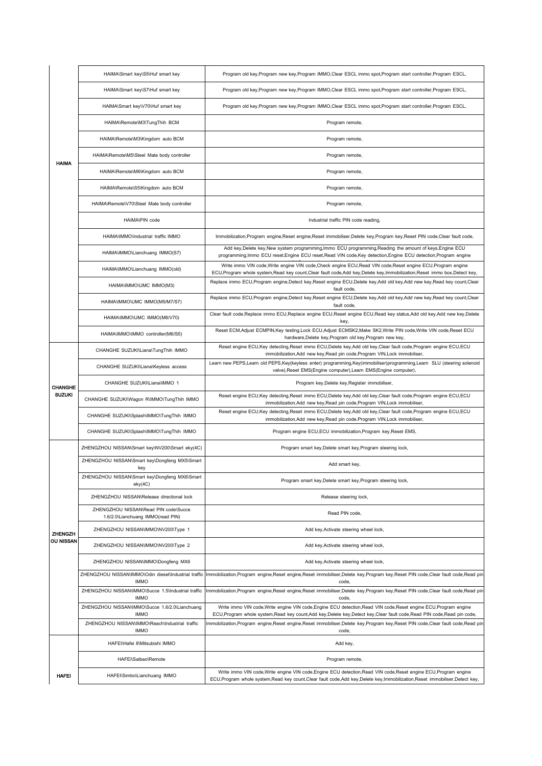|                | HAIMA\Smart key\S5\Huf smart key                                          | Program old key, Program new key, Program IMMO, Clear ESCL immo spot, Program start controller, Program ESCL,                                                                                                                                                       |
|----------------|---------------------------------------------------------------------------|---------------------------------------------------------------------------------------------------------------------------------------------------------------------------------------------------------------------------------------------------------------------|
|                | HAIMA\Smart key\S7\Huf smart key                                          | Program old key, Program new key, Program IMMO, Clear ESCL immo spot, Program start controller, Program ESCL,                                                                                                                                                       |
|                | HAIMA\Smart key\V70\Huf smart key                                         | Program old key, Program new key, Program IMMO, Clear ESCL immo spot, Program start controller, Program ESCL,                                                                                                                                                       |
|                | HAIMA\Remote\M3\TungThih BCM                                              | Program remote,                                                                                                                                                                                                                                                     |
|                | HAIMA\Remote\M3\Kingdom auto BCM                                          | Program remote,                                                                                                                                                                                                                                                     |
| <b>HAIMA</b>   | HAIMA\Remote\M5\Steel Mate body controller                                | Program remote,                                                                                                                                                                                                                                                     |
|                | HAIMA\Remote\M6\Kingdom auto BCM                                          | Program remote,                                                                                                                                                                                                                                                     |
|                | HAIMA\Remote\S5\Kingdom auto BCM                                          | Program remote,                                                                                                                                                                                                                                                     |
|                | HAIMA\Remote\V70\Steel Mate body controller                               | Program remote,                                                                                                                                                                                                                                                     |
|                | HAIMA\PIN code                                                            | Industrial traffic PIN code reading,                                                                                                                                                                                                                                |
|                | HAIMA\IMMO\Industrial traffic IMMO                                        | Immobilization, Program engine, Reset engine, Reset immobiliser, Delete key, Program key, Reset PIN code, Clear fault code,                                                                                                                                         |
|                | HAIMA\IMMO\Lianchuang IMMO(S7)                                            | Add key, Delete key, New system programming, Immo ECU programming, Reading the amount of keys, Engine ECU<br>programming, Immo ECU reset, Engine ECU reset, Read VIN code, Key detection, Engine ECU detection, Program engine                                      |
|                | HAIMA\IMMO\Lianchuang IMMO(old)                                           | Write immo VIN code, Write engine VIN code, Check engine ECU, Read VIN code, Reset engine ECU, Program engine<br>ECU, Program whole system, Read key count, Clear fault code, Add key, Delete key, Immobilization, Reset immo box, Detect key,                      |
|                | HAIMA\IMMO\UMC IMMO(M3)                                                   | Replace immo ECU, Program engine, Detect key, Reset engine ECU, Delete key, Add old key, Add new key, Read key count, Clear<br>fault code,                                                                                                                          |
|                | HAIMA\IMMO\UMC IMMO(M5/M7/S7)                                             | Replace immo ECU, Program engine, Detect key, Reset engine ECU, Delete key, Add old key, Add new key, Read key count, Clear<br>fault code,                                                                                                                          |
|                | HAIMA\IMMO\UMC IMMO(M8/V70)                                               | Clear fault code, Replace immo ECU, Replace engine ECU, Reset engine ECU, Read key status, Add old key, Add new key, Delete<br>key,                                                                                                                                 |
|                | HAIMA\IMMO\IMMO controller(M6/S5)                                         | Reset ECM, Adjust ECMPIN, Key testing, Lock ECU, Adjust ECMSK2, Make SK2, Write PIN code, Write VIN code, Reset ECU<br>hardware, Delete key, Program old key, Program new key,                                                                                      |
|                | CHANGHE SUZUKI\Liana\TungThih IMMO                                        | Reset engine ECU, Key detecting, Reset immo ECU, Delete key, Add old key, Clear fault code, Program engine ECU, ECU<br>immobilization, Add new key, Read pin code, Program VIN, Lock immobiliser,                                                                   |
|                | CHANGHE SUZUKI\Liana\Keyless access                                       | Learn new PEPS, Learn old PEPS, Key (keyless enter) programming, Key (immobiliser) programming, Learn SLU (steering solenoid<br>valve), Reset EMS(Engine computer), Learn EMS(Engine computer),                                                                     |
| <b>CHANGHE</b> | CHANGHE SUZUKI\Liana\IMMO 1                                               | Program key, Delete key, Register immobiliser,                                                                                                                                                                                                                      |
| <b>SUZUKI</b>  | CHANGHE SUZUKI\Wagon R\IMMO\TungThih IMMO                                 | Reset engine ECU, Key detecting, Reset immo ECU, Delete key, Add old key, Clear fault code, Program engine ECU, ECU<br>immobilization, Add new key, Read pin code, Program VIN, Lock immobiliser,                                                                   |
|                | CHANGHE SUZUKI\Splash\IMMO\TungThih IMMO                                  | Reset engine ECU, Key detecting, Reset immo ECU, Delete key, Add old key, Clear fault code, Program engine ECU, ECU<br>immobilization, Add new key, Read pin code, Program VIN, Lock immobiliser,                                                                   |
|                | CHANGHE SUZUKI\Splash\IMMO\TungThih IMMO                                  | Program engine ECU, ECU immobilization, Program key, Reset EMS,                                                                                                                                                                                                     |
|                | ZHENGZHOU NISSAN\Smart key\NV200\Smart eky(4C)                            | Program smart key, Delete smart key, Program steering lock,                                                                                                                                                                                                         |
|                | ZHENGZHOU NISSAN\Smart key\Dongfeng MX5\Smart<br>key                      | Add smart key,                                                                                                                                                                                                                                                      |
|                | ZHENGZHOU NISSAN\Smart key\Dongfeng MX6\Smart<br>$e$ ky $(4C)$            | Program smart key, Delete smart key, Program steering lock,                                                                                                                                                                                                         |
|                | ZHENGZHOU NISSAN\Release directional lock                                 | Release steering lock,                                                                                                                                                                                                                                              |
|                | ZHENGZHOU NISSAN\Read PIN code\Succe<br>1.6/2.0\Lianchuang IMMO(read PIN) | Read PIN code,                                                                                                                                                                                                                                                      |
| ZHENGZH        | ZHENGZHOU NISSAN\IMMO\NV200\Type 1                                        | Add key, Activate steering wheel lock,                                                                                                                                                                                                                              |
| OU NISSAN      | ZHENGZHOU NISSAN\IMMO\NV200\Type 2                                        | Add key, Activate steering wheel lock,                                                                                                                                                                                                                              |
|                | ZHENGZHOU NISSAN\IMMO\Dongfeng MX6                                        | Add key, Activate steering wheel lock,                                                                                                                                                                                                                              |
|                | ZHENGZHOU NISSAN\IMMO\Odin diesel\Industrial traffic<br><b>IMMO</b>       | Immobilization, Program engine, Reset engine, Reset immobiliser, Delete key, Program key, Reset PIN code, Clear fault code, Read pin<br>code,                                                                                                                       |
|                | ZHENGZHOU NISSAN\IMMO\Succe 1.5\Industrial traffic<br><b>IMMO</b>         | Immobilization,Program engine,Reset engine,Reset immobiliser,Delete key,Program key,Reset PIN code,Clear fault code,Read pin<br>code,                                                                                                                               |
|                | ZHENGZHOU NISSAN\IMMO\Succe 1.6/2.0\Lianchuang<br><b>IMMO</b>             | Write immo VIN code, Write engine VIN code, Engine ECU detection, Read VIN code, Reset engine ECU, Program engine                                                                                                                                                   |
|                | ZHENGZHOU NISSAN\IMMO\Reach\Industrial traffic<br><b>IMMO</b>             | ECU, Program whole system, Read key count, Add key, Delete key, Detect key, Clear fault code, Read PIN code, Read pin code,<br>mmobilization,Program engine,Reset engine,Reset immobiliser,Delete key,Program key,Reset PIN code,Clear fault code,Read pin<br>code, |
|                | HAFEI\Hafei 8\Mitsubishi IMMO                                             | Add key,                                                                                                                                                                                                                                                            |
|                | HAFEI\Saibao\Remote                                                       | Program remote,                                                                                                                                                                                                                                                     |
| <b>HAFEI</b>   | HAFEI\Simbo\Lianchuang IMMO                                               | Write immo VIN code, Write engine VIN code, Engine ECU detection, Read VIN code, Reset engine ECU, Program engine<br>ECU, Program whole system, Read key count, Clear fault code, Add key, Delete key, Immobilization, Reset immobiliser, Detect key,               |
|                |                                                                           |                                                                                                                                                                                                                                                                     |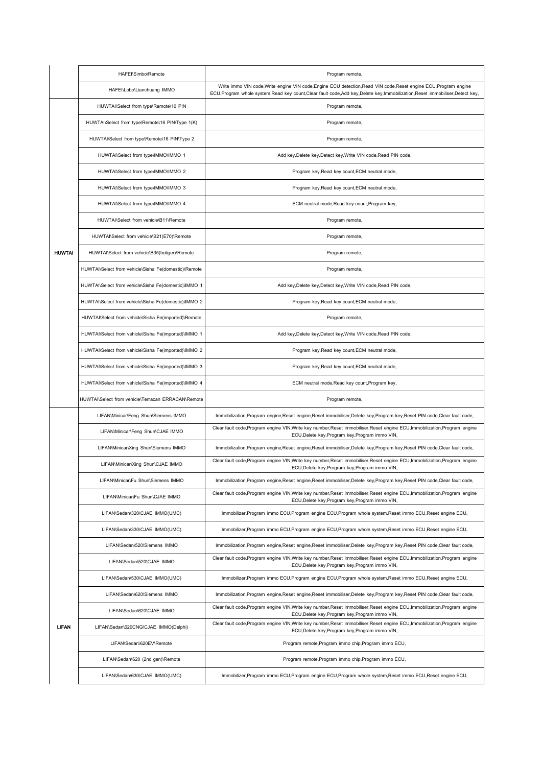|               | HAFEI\Simbo\Remote                                   | Program remote,                                                                                                                                                                                                                               |
|---------------|------------------------------------------------------|-----------------------------------------------------------------------------------------------------------------------------------------------------------------------------------------------------------------------------------------------|
|               | HAFEI\Lobo\Lianchuang IMMO                           | Write immo VIN code, Write engine VIN code, Engine ECU detection, Read VIN code, Reset engine ECU, Program engine<br>ECU,Program whole system,Read key count,Clear fault code,Add key,Delete key,Immobilization,Reset immobiliser,Detect key, |
|               | HUWTAI\Select from type\Remote\10 PIN                | Program remote,                                                                                                                                                                                                                               |
|               | HUWTAI\Select from type\Remote\16 PIN\Type 1(K)      | Program remote,                                                                                                                                                                                                                               |
|               | HUWTAI\Select from type\Remote\16 PIN\Type 2         | Program remote,                                                                                                                                                                                                                               |
|               | HUWTAI\Select from type\IMMO\IMMO 1                  | Add key, Delete key, Detect key, Write VIN code, Read PIN code,                                                                                                                                                                               |
|               | HUWTAI\Select from type\IMMO\IMMO 2                  | Program key, Read key count, ECM neutral mode,                                                                                                                                                                                                |
|               | HUWTAI\Select from type\IMMO\IMMO 3                  | Program key, Read key count, ECM neutral mode,                                                                                                                                                                                                |
|               | HUWTAI\Select from type\IMMO\IMMO 4                  | ECM neutral mode, Read key count, Program key,                                                                                                                                                                                                |
|               | HUWTAI\Select from vehicle\B11\Remote                | Program remote,                                                                                                                                                                                                                               |
|               | HUWTAI\Select from vehicle\B21(E70)\Remote           | Program remote,                                                                                                                                                                                                                               |
| <b>HUWTAI</b> | HUWTAI\Select from vehicle\B35(boliger)\Remote       | Program remote,                                                                                                                                                                                                                               |
|               | HUWTAI\Select from vehicle\Sisha Fe(domestic)\Remote | Program remote,                                                                                                                                                                                                                               |
|               | HUWTAI\Select from vehicle\Sisha Fe(domestic)\IMMO 1 | Add key, Delete key, Detect key, Write VIN code, Read PIN code,                                                                                                                                                                               |
|               | HUWTAI\Select from vehicle\Sisha Fe(domestic)\IMMO 2 | Program key, Read key count, ECM neutral mode,                                                                                                                                                                                                |
|               | HUWTAI\Select from vehicle\Sisha Fe(imported)\Remote | Program remote,                                                                                                                                                                                                                               |
|               | HUWTAI\Select from vehicle\Sisha Fe(imported)\IMMO 1 | Add key, Delete key, Detect key, Write VIN code, Read PIN code,                                                                                                                                                                               |
|               | HUWTAI\Select from vehicle\Sisha Fe(imported)\IMMO 2 | Program key, Read key count, ECM neutral mode,                                                                                                                                                                                                |
|               | HUWTAI\Select from vehicle\Sisha Fe(imported)\IMMO 3 | Program key, Read key count, ECM neutral mode,                                                                                                                                                                                                |
|               | HUWTAI\Select from vehicle\Sisha Fe(imported)\IMMO 4 | ECM neutral mode, Read key count, Program key,                                                                                                                                                                                                |
|               | HUWTAI\Select from vehicle\Terracan ERRACAN\Remote   | Program remote,                                                                                                                                                                                                                               |
|               | LIFAN\Minicar\Feng Shun\Siemens IMMO                 | Immobilization, Program engine, Reset engine, Reset immobiliser, Delete key, Program key, Reset PIN code, Clear fault code,                                                                                                                   |
|               | LIFAN\Minicar\Feng Shun\CJAE IMMO                    | Clear fault code, Program engine VIN, Write key number, Reset immobiliser, Reset engine ECU, Immobilization, Program engine<br>ECU, Delete key, Program key, Program immo VIN,                                                                |
|               | LIFAN\Minicar\Xing Shun\Siemens IMMO                 | Immobilization, Program engine, Reset engine, Reset immobiliser, Delete key, Program key, Reset PIN code, Clear fault code,                                                                                                                   |
|               | LIFAN\Minicar\Xing Shun\CJAE IMMO                    | Clear fault code, Program engine VIN, Write key number, Reset immobiliser, Reset engine ECU, Immobilization, Program engine<br>ECU, Delete key, Program key, Program immo VIN,                                                                |
|               | LIFAN\Minicar\Fu Shun\Siemens IMMO                   | Immobilization, Program engine, Reset engine, Reset immobiliser, Delete key, Program key, Reset PIN code, Clear fault code,                                                                                                                   |
|               | LIFAN\Minicar\Fu Shun\CJAE IMMO                      | Clear fault code, Program engine VIN, Write key number, Reset immobiliser, Reset engine ECU, Immobilization, Program engine<br>ECU, Delete key, Program key, Program immo VIN,                                                                |
|               | LIFAN\Sedan\320\CJAE IMMO(UMC)                       | Immobilizer, Program immo ECU, Program engine ECU, Program whole system, Reset immo ECU, Reset engine ECU,                                                                                                                                    |
|               | LIFAN\Sedan\330\CJAE IMMO(UMC)                       | Immobilizer, Program immo ECU, Program engine ECU, Program whole system, Reset immo ECU, Reset engine ECU,                                                                                                                                    |
|               | LIFAN\Sedan\520\Siemens IMMO                         | Immobilization, Program engine, Reset engine, Reset immobiliser, Delete key, Program key, Reset PIN code, Clear fault code,                                                                                                                   |
|               | LIFAN\Sedan\520\CJAE IMMO                            | Clear fault code, Program engine VIN, Write key number, Reset immobiliser, Reset engine ECU, Immobilization, Program engine<br>ECU, Delete key, Program key, Program immo VIN,                                                                |
|               | LIFAN\Sedan\530\CJAE IMMO(UMC)                       | Immobilizer, Program immo ECU, Program engine ECU, Program whole system, Reset immo ECU, Reset engine ECU,                                                                                                                                    |
|               | LIFAN\Sedan\620\Siemens IMMO                         | Immobilization, Program engine, Reset engine, Reset immobiliser, Delete key, Program key, Reset PIN code, Clear fault code,                                                                                                                   |
|               | LIFAN\Sedan\620\CJAE IMMO                            | Clear fault code, Program engine VIN, Write key number, Reset immobiliser, Reset engine ECU, Immobilization, Program engine<br>ECU, Delete key, Program key, Program immo VIN,                                                                |
| <b>LIFAN</b>  | LIFAN\Sedan\620CNG\CJAE IMMO(Delphi)                 | Clear fault code, Program engine VIN, Write key number, Reset immobiliser, Reset engine ECU, Immobilization, Program engine<br>ECU, Delete key, Program key, Program immo VIN,                                                                |
|               | LIFAN\Sedan\620EV\Remote                             | Program remote, Program immo chip, Program immo ECU,                                                                                                                                                                                          |
|               | LIFAN\Sedan\620 (2nd gen)\Remote                     | Program remote, Program immo chip, Program immo ECU,                                                                                                                                                                                          |
|               | LIFAN\Sedan\630\CJAE IMMO(UMC)                       | Immobilizer, Program immo ECU, Program engine ECU, Program whole system, Reset immo ECU, Reset engine ECU,                                                                                                                                    |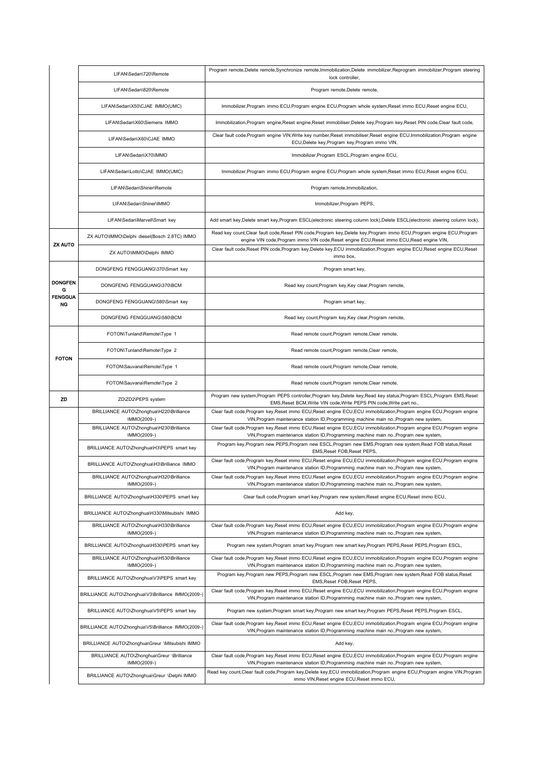|                             | LIFAN\Sedan\720\Remote                                      | Program remote, Delete remote, Synchronize remote, Immobilization, Delete immobilizer, Reprogram immobilizer, Program steering<br>lock controller,                                                                       |
|-----------------------------|-------------------------------------------------------------|--------------------------------------------------------------------------------------------------------------------------------------------------------------------------------------------------------------------------|
|                             | LIFAN\Sedan\820\Remote                                      | Program remote, Delete remote,                                                                                                                                                                                           |
|                             | LIFAN\Sedan\X50\CJAE IMMO(UMC)                              | Immobilizer, Program immo ECU, Program engine ECU, Program whole system, Reset immo ECU, Reset engine ECU,                                                                                                               |
|                             | LIFAN\Sedan\X60\Siemens IMMO                                | Immobilization, Program engine, Reset engine, Reset immobiliser, Delete key, Program key, Reset PIN code, Clear fault code,                                                                                              |
|                             | LIFAN\Sedan\X60\CJAE IMMO                                   | Clear fault code, Program engine VIN, Write key number, Reset immobiliser, Reset engine ECU, Immobilization, Program engine<br>ECU, Delete key, Program key, Program immo VIN,                                           |
|                             | LIFAN\Sedan\X70\IMMO                                        | Immobilizer, Program ESCL, Program engine ECU,                                                                                                                                                                           |
|                             | LIFAN\Sedan\Lotto\CJAE IMMO(UMC)                            | Immobilizer, Program immo ECU, Program engine ECU, Program whole system, Reset immo ECU, Reset engine ECU,                                                                                                               |
|                             | LIFAN\Sedan\Shiner\Remote                                   | Program remote, Immobilization,                                                                                                                                                                                          |
|                             | LIFAN\Sedan\Shiner\IMMO                                     | Immobilizer, Program PEPS,                                                                                                                                                                                               |
|                             | LIFAN\Sedan\Marvell\Smart key                               | Add smart key, Delete smart key, Program ESCL(electronic steering column lock), Delete ESCL(electronic steering column lock),                                                                                            |
|                             | ZX AUTO\IMMO\Delphi diesel(Bosch 2.8TC) IMMO                | Read key count, Clear fault code, Reset PIN code, Program key, Delete key, Program immo ECU, Program engine ECU, Program<br>engine VIN code, Program immo VIN code, Reset engine ECU, Reset immo ECU, Read engine VIN,   |
| <b>ZX AUTO</b>              | ZX AUTO\IMMO\Delphi IMMO                                    | Clear fault code, Reset PIN code, Program key, Delete key, ECU immobilization, Program engine ECU, Reset engine ECU, Reset<br>immo box,                                                                                  |
|                             | DONGFENG FENGGUANG\370\Smart key                            | Program smart key,                                                                                                                                                                                                       |
| <b>DONGFEN</b><br>G         | DONGFENG FENGGUANG\370\BCM                                  | Read key count, Program key, Key clear, Program remote,                                                                                                                                                                  |
| <b>FENGGUA</b><br><b>NG</b> | DONGFENG FENGGUANG\580\Smart key                            | Program smart key,                                                                                                                                                                                                       |
|                             | DONGFENG FENGGUANG\580\BCM                                  | Read key count, Program key, Key clear, Program remote,                                                                                                                                                                  |
|                             | FOTON\Tunland\Remote\Type 1                                 | Read remote count, Program remote, Clear remote,                                                                                                                                                                         |
|                             | FOTON\Tunland\Remote\Type 2                                 | Read remote count, Program remote, Clear remote,                                                                                                                                                                         |
| <b>FOTON</b>                | FOTON\Sauvana\Remote\Type 1                                 | Read remote count, Program remote, Clear remote,                                                                                                                                                                         |
|                             | FOTON\Sauvana\Remote\Type 2                                 | Read remote count, Program remote, Clear remote,                                                                                                                                                                         |
| ZD                          | ZD\ZD2\PEPS system                                          | Program new system, Program PEPS controller, Program key, Delete key, Read key status, Program ESCL, Program EMS, Reset<br>EMS, Reset BCM, Write VIN code, Write PEPS PIN code, Write part no.,                          |
|                             | BRILLIANCE AUTO\Zhonghua\H220\Brilliance<br>IMMO(2009-)     | Clear fault code, Program key, Reset immo ECU, Reset engine ECU, ECU immobilization, Program engine ECU, Program engine<br>VIN, Program maintenance station ID, Programming machine main no., Program new system,        |
|                             | BRILLIANCE AUTO\Zhonghua\H230\Brilliance<br>IMMO(2009-)     | Clear fault code, Program key, Reset immo ECU, Reset engine ECU, ECU immobilization, Program engine ECU, Program engine<br>VIN, Program maintenance station ID, Programming machine main no., Program new system,        |
|                             | BRILLIANCE AUTO\Zhonghua\H3\PEPS smart key                  | Program key, Program new PEPS, Program new ESCL, Program new EMS, Program new system, Read FOB status, Reset<br>EMS, Reset FOB, Reset PEPS,                                                                              |
|                             | BRILLIANCE AUTO\Zhonghua\H3\Brilliance IMMO                 | Clear fault code, Program key, Reset immo ECU, Reset engine ECU, ECU immobilization, Program engine ECU, Program engine<br>VIN, Program maintenance station ID, Programming machine main no., Program new system,        |
|                             | BRILLIANCE AUTO\Zhonghua\H320\Brilliance<br>IMMO(2009-)     | Clear fault code, Program key, Reset immo ECU, Reset engine ECU, ECU immobilization, Program engine ECU, Program engine<br>VIN, Program maintenance station ID, Programming machine main no., Program new system,        |
|                             | BRILLIANCE AUTO\Zhonghua\H330\PEPS smart key                | Clear fault code, Program smart key, Program new system, Reset engine ECU, Reset immo ECU,                                                                                                                               |
|                             | BRILLIANCE AUTO\Zhonghua\H330\Mitsubishi IMMO               | Add key,                                                                                                                                                                                                                 |
|                             | BRILLIANCE AUTO\Zhonghua\H330\Brilliance                    | Clear fault code, Program key, Reset immo ECU, Reset engine ECU, ECU immobilization, Program engine ECU, Program engine                                                                                                  |
|                             | IMMO(2009-)<br>BRILLIANCE AUTO\Zhonghua\H530\PEPS smart key | VIN, Program maintenance station ID, Programming machine main no., Program new system,<br>Program new system, Program smart key, Program new smart key, Program PEPS, Reset PEPS, Program ESCL,                          |
|                             | BRILLIANCE AUTO\Zhonghua\H530\Brilliance                    | Clear fault code, Program key, Reset immo ECU, Reset engine ECU, ECU immobilization, Program engine ECU, Program engine                                                                                                  |
|                             | IMMO(2009-)<br>BRILLIANCE AUTO\Zhonghua\V3\PEPS smart key   | VIN, Program maintenance station ID, Programming machine main no., Program new system,<br>Program key, Program new PEPS, Program new ESCL, Program new EMS, Program new system, Read FOB status, Reset                   |
|                             | BRILLIANCE AUTO\Zhonghua\V3\Brilliance IMMO(2009-)          | EMS.Reset FOB.Reset PEPS.<br>Clear fault code, Program key, Reset immo ECU, Reset engine ECU, ECU immobilization, Program engine ECU, Program engine                                                                     |
|                             | BRILLIANCE AUTO\Zhonghua\V5\PEPS smart key                  | VIN, Program maintenance station ID, Programming machine main no., Program new system,<br>Program new system, Program smart key, Program new smart key, Program PEPS, Reset PEPS, Program ESCL,                          |
|                             | BRILLIANCE AUTO\Zhonghua\V5\Brilliance IMMO(2009-)          | Clear fault code, Program key, Reset immo ECU, Reset engine ECU, ECU immobilization, Program engine ECU, Program engine                                                                                                  |
|                             | BRILLIANCE AUTO\Zhonghua\Greur \Mitsubishi IMMO             | VIN, Program maintenance station ID, Programming machine main no., Program new system,<br>Add key,                                                                                                                       |
|                             | BRILLIANCE AUTO\Zhonghua\Greur \Brilliance                  | Clear fault code, Program key, Reset immo ECU, Reset engine ECU, ECU immobilization, Program engine ECU, Program engine                                                                                                  |
|                             | IMMO(2009-)                                                 | VIN, Program maintenance station ID, Programming machine main no., Program new system,<br>Read key count, Clear fault code, Program key, Delete key, ECU immobilization, Program engine ECU, Program engine VIN, Program |
|                             | BRILLIANCE AUTO\Zhonghua\Greur \Delphi IMMO                 | immo VIN, Reset engine ECU, Reset immo ECU,                                                                                                                                                                              |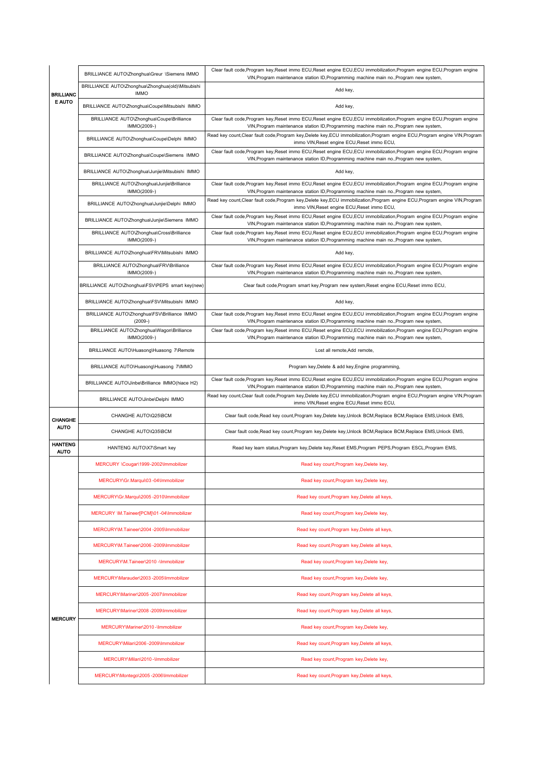|                |                               | BRILLIANCE AUTO\Zhonghua\Greur \Siemens IMMO                     | Clear fault code, Program key, Reset immo ECU, Reset engine ECU, ECU immobilization, Program engine ECU, Program engine<br>VIN, Program maintenance station ID, Programming machine main no., Program new system, |
|----------------|-------------------------------|------------------------------------------------------------------|-------------------------------------------------------------------------------------------------------------------------------------------------------------------------------------------------------------------|
|                | <b>BRILLIANC</b>              | BRILLIANCE AUTO\Zhonghua\Zhonghua(old)\Mitsubishi<br><b>IMMO</b> | Add key,                                                                                                                                                                                                          |
|                | <b>E AUTO</b>                 | BRILLIANCE AUTO\Zhonghua\Coupe\Mitsubishi IMMO                   | Add key,                                                                                                                                                                                                          |
|                |                               | BRILLIANCE AUTO\Zhonghua\Coupe\Brilliance<br>IMMO(2009-)         | Clear fault code, Program key, Reset immo ECU, Reset engine ECU, ECU immobilization, Program engine ECU, Program engine<br>VIN, Program maintenance station ID, Programming machine main no., Program new system, |
|                |                               | BRILLIANCE AUTO\Zhonghua\Coupe\Delphi IMMO                       | Read key count, Clear fault code, Program key, Delete key, ECU immobilization, Program engine ECU, Program engine VIN, Program<br>immo VIN, Reset engine ECU, Reset immo ECU,                                     |
|                |                               | BRILLIANCE AUTO\Zhonghua\Coupe\Siemens IMMO                      | Clear fault code, Program key, Reset immo ECU, Reset engine ECU, ECU immobilization, Program engine ECU, Program engine<br>VIN, Program maintenance station ID, Programming machine main no., Program new system, |
|                |                               | BRILLIANCE AUTO\Zhonghua\Junjie\Mitsubishi IMMO                  | Add key,                                                                                                                                                                                                          |
|                |                               | BRILLIANCE AUTO\Zhonghua\Junjie\Brilliance<br>IMMO(2009-)        | Clear fault code, Program key, Reset immo ECU, Reset engine ECU, ECU immobilization, Program engine ECU, Program engine<br>VIN, Program maintenance station ID, Programming machine main no., Program new system, |
|                |                               | BRILLIANCE AUTO\Zhonghua\Junjie\Delphi IMMO                      | Read key count, Clear fault code, Program key, Delete key, ECU immobilization, Program engine ECU, Program engine VIN, Program<br>immo VIN, Reset engine ECU, Reset immo ECU,                                     |
|                |                               | BRILLIANCE AUTO\Zhonghua\Junjie\Siemens IMMO                     | Clear fault code, Program key, Reset immo ECU, Reset engine ECU, ECU immobilization, Program engine ECU, Program engine<br>VIN, Program maintenance station ID, Programming machine main no., Program new system, |
|                |                               | BRILLIANCE AUTO\Zhonghua\Cross\Brilliance<br>IMMO(2009-)         | Clear fault code, Program key, Reset immo ECU, Reset engine ECU, ECU immobilization, Program engine ECU, Program engine<br>VIN, Program maintenance station ID, Programming machine main no., Program new system, |
|                |                               | BRILLIANCE AUTO\Zhonghua\FRV\Mitsubishi IMMO                     | Add key,                                                                                                                                                                                                          |
|                |                               | BRILLIANCE AUTO\Zhonghua\FRV\Brilliance<br>IMMO(2009-)           | Clear fault code, Program key, Reset immo ECU, Reset engine ECU, ECU immobilization, Program engine ECU, Program engine<br>VIN, Program maintenance station ID, Programming machine main no., Program new system, |
|                |                               | BRILLIANCE AUTO\Zhonghua\FSV\PEPS smart key(new)                 | Clear fault code, Program smart key, Program new system, Reset engine ECU, Reset immo ECU,                                                                                                                        |
|                |                               | BRILLIANCE AUTO\Zhonghua\FSV\Mitsubishi IMMO                     | Add key,                                                                                                                                                                                                          |
|                |                               | BRILLIANCE AUTO\Zhonghua\FSV\Brilliance IMMO<br>$(2009-)$        | Clear fault code, Program key, Reset immo ECU, Reset engine ECU, ECU immobilization, Program engine ECU, Program engine<br>VIN, Program maintenance station ID, Programming machine main no., Program new system, |
|                |                               | BRILLIANCE AUTO\Zhonghua\Wagon\Brilliance<br>IMMO(2009-)         | Clear fault code, Program key, Reset immo ECU, Reset engine ECU, ECU immobilization, Program engine ECU, Program engine<br>VIN, Program maintenance station ID, Programming machine main no., Program new system, |
|                |                               | BRILLIANCE AUTO\Huasong\Huasong 7\Remote                         | Lost all remote, Add remote,                                                                                                                                                                                      |
|                |                               | BRILLIANCE AUTO\Huasong\Huasong 7\IMMO                           | Program key, Delete & add key, Engine programming,                                                                                                                                                                |
|                |                               | BRILLIANCE AUTO\Jinbe\Brilliance IMMO(hiace H2)                  | Clear fault code, Program key, Reset immo ECU, Reset engine ECU, ECU immobilization, Program engine ECU, Program engine<br>VIN, Program maintenance station ID, Programming machine main no., Program new system, |
|                |                               | BRILLIANCE AUTO\Jinbe\Delphi IMMO                                | Read key count, Clear fault code, Program key, Delete key, ECU immobilization, Program engine ECU, Program engine VIN, Program<br>immo VIN, Reset engine ECU, Reset immo ECU,                                     |
| <b>CHANGHE</b> |                               | CHANGHE AUTO\Q25\BCM                                             | Clear fault code, Read key count, Program key, Delete key, Unlock BCM, Replace BCM, Replace EMS, Unlock EMS,                                                                                                      |
|                | <b>AUTO</b>                   | CHANGHE AUTO\Q35\BCM                                             | Clear fault code, Read key count, Program key, Delete key, Unlock BCM, Replace BCM, Replace EMS, Unlock EMS,                                                                                                      |
|                | <b>HANTENG</b><br><b>AUTO</b> | HANTENG AUTO\X7\Smart key                                        | Read key learn status, Program key, Delete key, Reset EMS, Program PEPS, Program ESCL, Program EMS,                                                                                                               |
|                |                               | MERCURY \Cougar\1999-2002\Immobilizer                            | Read key count, Program key, Delete key,                                                                                                                                                                          |
|                |                               | MERCURY\Gr.Marqui\03-04\Immobilizer                              | Read key count, Program key, Delete key,                                                                                                                                                                          |
|                |                               | MERCURY\Gr.Marqui\2005 -2010\Immobilizer                         | Read key count, Program key, Delete all keys,                                                                                                                                                                     |
|                |                               | MERCURY \M.Taineer[PCM]\01-04\Immobilizer                        | Read key count, Program key, Delete key,                                                                                                                                                                          |
|                |                               | MERCURY\M.Taineer\2004 -2005\Immobilizer                         | Read key count, Program key, Delete all keys,                                                                                                                                                                     |
|                |                               | MERCURY\M.Taineer\2006-2009\Immobilizer                          | Read key count, Program key, Delete all keys,                                                                                                                                                                     |
|                |                               |                                                                  |                                                                                                                                                                                                                   |
|                |                               | MERCURY\M.Taineer\2010 -\Immobilizer                             | Read key count, Program key, Delete key,                                                                                                                                                                          |
|                |                               | MERCURY\Marauder\2003 -2005\Immobilizer                          | Read key count, Program key, Delete key,                                                                                                                                                                          |
|                |                               | MERCURY\Mariner\2005-2007\Immobilizer                            | Read key count, Program key, Delete all keys,                                                                                                                                                                     |
|                |                               | MERCURY\Mariner\2008-2009\Immobilizer                            | Read key count, Program key, Delete all keys,                                                                                                                                                                     |
|                | <b>MERCURY</b>                | MERCURY\Mariner\2010-\Immobilizer                                | Read key count, Program key, Delete key,                                                                                                                                                                          |
|                |                               | MERCURY\Milan\2006-2009\Immobilizer                              | Read key count, Program key, Delete all keys,                                                                                                                                                                     |
|                |                               | MERCURY\Milan\2010-\Immobilizer                                  | Read key count, Program key, Delete key,                                                                                                                                                                          |
|                |                               | MERCURY\Montego\2005-2006\Immobilizer                            | Read key count, Program key, Delete all keys,                                                                                                                                                                     |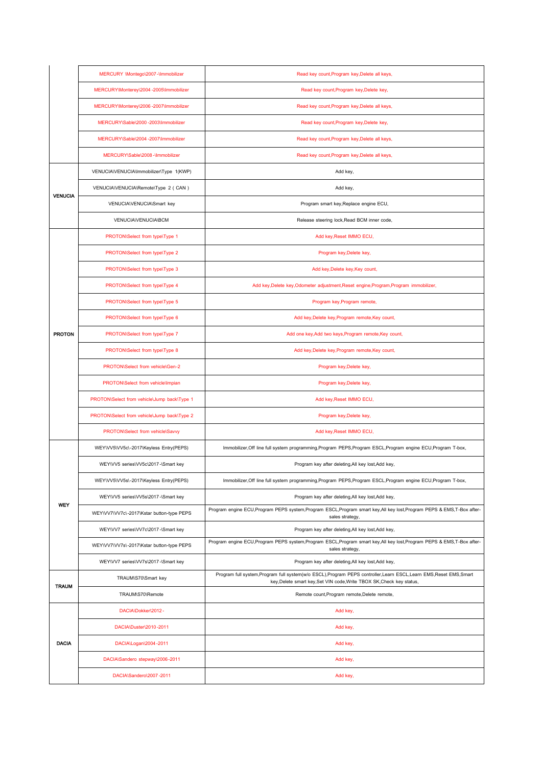|                | MERCURY \Montego\2007-\Immobilizer          | Read key count, Program key, Delete all keys,                                                                                                                                                 |
|----------------|---------------------------------------------|-----------------------------------------------------------------------------------------------------------------------------------------------------------------------------------------------|
|                | MERCURY\Monterey\2004-2005\Immobilizer      | Read key count, Program key, Delete key,                                                                                                                                                      |
|                | MERCURY\Monterey\2006-2007\Immobilizer      | Read key count, Program key, Delete all keys,                                                                                                                                                 |
|                | MERCURY\Sable\2000 -2003\Immobilizer        | Read key count, Program key, Delete key,                                                                                                                                                      |
|                | MERCURY\Sable\2004 -2007\Immobilizer        | Read key count, Program key, Delete all keys,                                                                                                                                                 |
|                | MERCURY\Sable\2008 -\Immobilizer            | Read key count, Program key, Delete all keys,                                                                                                                                                 |
|                | VENUCIA\VENUCIA\Immobilizer\Type 1(KWP)     | Add key,                                                                                                                                                                                      |
|                | VENUCIA\VENUCIA\Remote\Type 2 ( CAN )       | Add key,                                                                                                                                                                                      |
| <b>VENUCIA</b> | VENUCIA\VENUCIA\Smart key                   | Program smart key, Replace engine ECU,                                                                                                                                                        |
|                | VENUCIA\VENUCIA\BCM                         | Release steering lock, Read BCM inner code,                                                                                                                                                   |
|                | PROTON\Select from type\Type 1              | Add key, Reset IMMO ECU,                                                                                                                                                                      |
|                | PROTON\Select from type\Type 2              | Program key, Delete key,                                                                                                                                                                      |
|                | PROTON\Select from type\Type 3              | Add key, Delete key, Key count,                                                                                                                                                               |
|                | PROTON\Select from type\Type 4              | Add key, Delete key, Odometer adjustment, Reset engine, Program, Program immobilizer,                                                                                                         |
|                | PROTON\Select from type\Type 5              | Program key, Program remote,                                                                                                                                                                  |
|                | PROTON\Select from type\Type 6              | Add key, Delete key, Program remote, Key count,                                                                                                                                               |
| <b>PROTON</b>  | PROTON\Select from type\Type 7              | Add one key, Add two keys, Program remote, Key count,                                                                                                                                         |
|                | PROTON\Select from type\Type 8              | Add key, Delete key, Program remote, Key count,                                                                                                                                               |
|                | PROTON\Select from vehicle\Gen-2            | Program key, Delete key,                                                                                                                                                                      |
|                | PROTON\Select from vehicle\Impian           | Program key, Delete key,                                                                                                                                                                      |
|                | PROTON\Select from vehicle\Jump back\Type 1 | Add key, Reset IMMO ECU,                                                                                                                                                                      |
|                | PROTON\Select from vehicle\Jump back\Type 2 | Program key, Delete key,                                                                                                                                                                      |
|                | PROTON\Select from vehicle\Savvy            | Add key, Reset IMMO ECU,                                                                                                                                                                      |
|                | WEY\VV5\VV5c\-2017\Keyless Entry(PEPS)      | Immobilizer, Off line full system programming, Program PEPS, Program ESCL, Program engine ECU, Program T-box,                                                                                 |
|                | WEY\VV5 series\VV5c\2017 -\Smart key        | Program key after deleting, All key lost, Add key,                                                                                                                                            |
|                | WEY\VV5\VV5s\-2017\Keyless Entry(PEPS)      | Immobilizer, Off line full system programming, Program PEPS, Program ESCL, Program engine ECU, Program T-box,                                                                                 |
|                | WEY\VV5 series\VV5s\2017 -\Smart key        | Program key after deleting, All key lost, Add key,                                                                                                                                            |
| <b>WEY</b>     | WEY\VV7\VV7c\-2017\Kstar button-type PEPS   | Program engine ECU, Program PEPS system, Program ESCL, Program smart key, All key lost, Program PEPS & EMS, T-Box after-<br>sales strategy,                                                   |
|                | WEY\VV7 series\VV7c\2017 -\Smart key        | Program key after deleting, All key lost, Add key,                                                                                                                                            |
|                | WEY\VV7\VV7s\-2017\Kstar button-type PEPS   | Program engine ECU, Program PEPS system, Program ESCL, Program smart key, All key lost, Program PEPS & EMS, T-Box after-<br>sales strategy,                                                   |
|                | WEY\VV7 series\VV7s\2017 -\Smart key        | Program key after deleting, All key lost, Add key,                                                                                                                                            |
|                | TRAUM\S70\Smart key                         | Program full system, Program full system(w/o ESCL), Program PEPS controller, Learn ESCL, Learn EMS, Reset EMS, Smart<br>key, Delete smart key, Set VIN code, Write TBOX SK, Check key status, |
| <b>TRAUM</b>   | TRAUM\S70\Remote                            | Remote count, Program remote, Delete remote,                                                                                                                                                  |
|                | DACIA\Dokker\2012-                          | Add key,                                                                                                                                                                                      |
|                | DACIA\Duster\2010-2011                      | Add key,                                                                                                                                                                                      |
| <b>DACIA</b>   | DACIA\Logan\2004-2011                       | Add key,                                                                                                                                                                                      |
|                | DACIA\Sandero stepway\2006-2011             | Add key,                                                                                                                                                                                      |
|                | DACIA\Sandero\2007-2011                     | Add key,                                                                                                                                                                                      |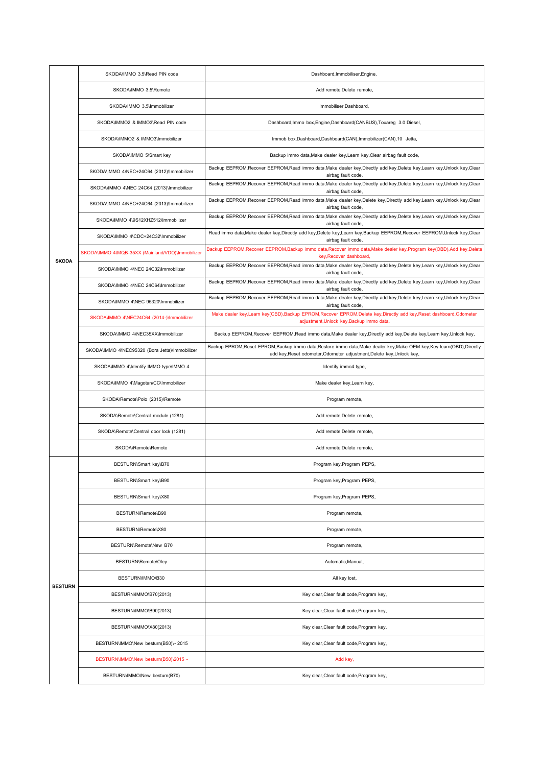|                | SKODA\IMMO 3.5\Read PIN code                     | Dashboard, Immobiliser, Engine,                                                                                                                                                                   |
|----------------|--------------------------------------------------|---------------------------------------------------------------------------------------------------------------------------------------------------------------------------------------------------|
|                | SKODA\IMMO 3.5\Remote                            | Add remote, Delete remote,                                                                                                                                                                        |
|                | SKODA\IMMO 3.5\Immobilizer                       | Immobiliser, Dashboard,                                                                                                                                                                           |
|                | SKODA\IMMO2 & IMMO3\Read PIN code                | Dashboard, Immo box, Engine, Dashboard (CANBUS), Touareg 3.0 Diesel,                                                                                                                              |
|                | SKODA\IMMO2 & IMMO3\Immobilizer                  | Immob box, Dashboard, Dashboard(CAN), Immobilizer(CAN), 10 Jetta,                                                                                                                                 |
|                | SKODA\IMMO 5\Smart key                           | Backup immo data, Make dealer key, Learn key, Clear airbag fault code,                                                                                                                            |
|                | SKODA\IMMO 4\NEC+24C64 (2012)\Immobilizer        | Backup EEPROM, Recover EEPROM, Read immo data, Make dealer key, Directly add key, Delete key, Learn key, Unlock key, Clear<br>airbag fault code,                                                  |
|                | SKODA\IMMO 4\NEC 24C64 (2013)\Immobilizer        | Backup EEPROM, Recover EEPROM, Read immo data, Make dealer key, Directly add key, Delete key, Learn key, Unlock key, Clear<br>airbag fault code,                                                  |
|                | SKODA\IMMO 4\NEC+24C64 (2013)\Immobilizer        | Backup EEPROM, Recover EEPROM, Read immo data, Make dealer key, Delete key, Directly add key, Learn key, Unlock key, Clear<br>airbag fault code,                                                  |
|                | SKODA\IMMO 4\9S12XHZ512\Immobilizer              | Backup EEPROM, Recover EEPROM, Read immo data, Make dealer key, Directly add key, Delete key, Learn key, Unlock key, Clear<br>airbag fault code,                                                  |
|                | SKODA\IMMO 4\CDC+24C32\Immobilizer               | Read immo data, Make dealer key, Directly add key, Delete key, Learn key, Backup EEPROM, Recover EEPROM, Unlock key, Clear<br>airbag fault code,                                                  |
|                | SKODA\IMMO 4\MQB-35XX (Mainland/VDO)\Immobilizer | Backup EEPROM, Recover EEPROM, Backup immo data, Recover immo data, Make dealer key, Program key(OBD), Add key, Delete<br>key, Recover dashboard,                                                 |
| <b>SKODA</b>   | SKODA\IMMO 4\NEC 24C32\Immobilizer               | Backup EEPROM, Recover EEPROM, Read immo data, Make dealer key, Directly add key, Delete key, Learn key, Unlock key, Clear<br>airbag fault code,                                                  |
|                | SKODA\IMMO 4\NEC 24C64\Immobilizer               | Backup EEPROM, Recover EEPROM, Read immo data, Make dealer key, Directly add key, Delete key, Learn key, Unlock key, Clear<br>airbag fault code,                                                  |
|                | SKODA\IMMO 4\NEC 95320\Immobilizer               | Backup EEPROM, Recover EEPROM, Read immo data, Make dealer key, Directly add key, Delete key, Learn key, Unlock key, Clear<br>airbag fault code,                                                  |
|                | SKODA\IMMO 4\NEC24C64 (2014-)\Immobilizer        | Make dealer key,Learn key(OBD),Backup EPROM,Recover EPROM,Delete key,Directly add key,Reset dashboard,Odometer<br>adjustment, Unlock key, Backup immo data,                                       |
|                | SKODA\IMMO 4\NEC35XX\Immobilizer                 | Backup EEPROM, Recover EEPROM, Read immo data, Make dealer key, Directly add key, Delete key, Learn key, Unlock key,                                                                              |
|                | SKODA\IMMO 4\NEC95320 (Bora Jetta)\Immobilizer   | Backup EPROM, Reset EPROM, Backup immo data, Restore immo data, Make dealer key, Make OEM key, Key learn (OBD), Directly<br>add key, Reset odometer, Odometer adjustment, Delete key, Unlock key, |
|                | SKODA\IMMO 4\Identify IMMO type\IMMO 4           | Identify immo4 type,                                                                                                                                                                              |
|                | SKODA\IMMO 4\Magotan/CC\Immobilizer              | Make dealer key, Learn key,                                                                                                                                                                       |
|                | SKODA\Remote\Polo (2015)\Remote                  | Program remote,                                                                                                                                                                                   |
|                | SKODA\Remote\Central module (1281)               | Add remote, Delete remote,                                                                                                                                                                        |
|                | SKODA\Remote\Central door lock (1281)            | Add remote, Delete remote,                                                                                                                                                                        |
|                | SKODA\Remote\Remote                              | Add remote, Delete remote,                                                                                                                                                                        |
|                | BESTURN\Smart key\B70                            | Program key, Program PEPS,                                                                                                                                                                        |
|                | BESTURN\Smart key\B90                            | Program key, Program PEPS,                                                                                                                                                                        |
|                | BESTURN\Smart key\X80                            | Program key, Program PEPS,                                                                                                                                                                        |
|                | BESTURN\Remote\B90                               | Program remote,                                                                                                                                                                                   |
|                | BESTURN\Remote\X80                               | Program remote,                                                                                                                                                                                   |
|                | BESTURN\Remote\New B70                           | Program remote,                                                                                                                                                                                   |
|                | BESTURN\Remote\Oley                              | Automatic, Manual,                                                                                                                                                                                |
|                | BESTURN\IMMO\B30                                 | All key lost,                                                                                                                                                                                     |
| <b>BESTURN</b> | BESTURN\IMMO\B70(2013)                           | Key clear, Clear fault code, Program key,                                                                                                                                                         |
|                | BESTURN\IMMO\B90(2013)                           | Key clear, Clear fault code, Program key,                                                                                                                                                         |
|                | BESTURN\IMMO\X80(2013)                           | Key clear, Clear fault code, Program key,                                                                                                                                                         |
|                | BESTURN\IMMO\New besturn(B50)\- 2015             | Key clear, Clear fault code, Program key,                                                                                                                                                         |
|                | BESTURN\IMMO\New besturn(B50)\2015 -             | Add key,                                                                                                                                                                                          |
|                | BESTURN\IMMO\New besturn(B70)                    | Key clear, Clear fault code, Program key,                                                                                                                                                         |
|                |                                                  |                                                                                                                                                                                                   |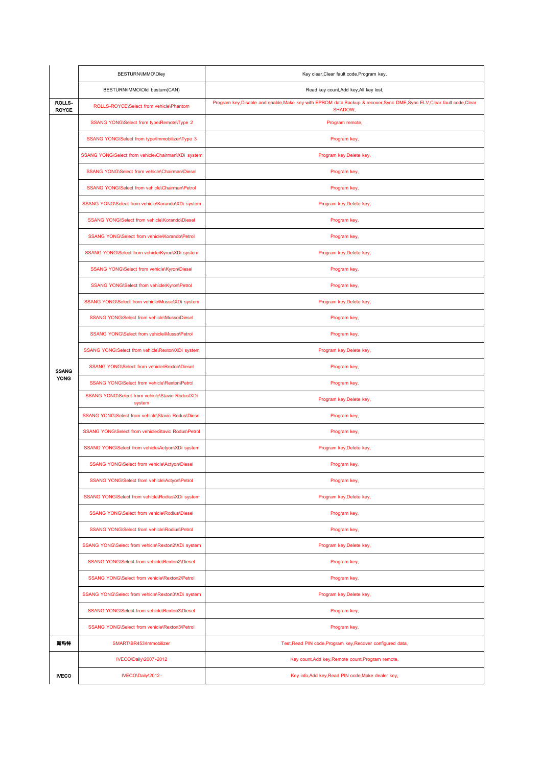|                        | BESTURN\IMMO\Oley                                         | Key clear, Clear fault code, Program key,                                                                                           |
|------------------------|-----------------------------------------------------------|-------------------------------------------------------------------------------------------------------------------------------------|
|                        | BESTURN\IMMO\Old besturn(CAN)                             | Read key count, Add key, All key lost,                                                                                              |
| ROLLS-<br><b>ROYCE</b> | ROLLS-ROYCE\Select from vehicle\Phantom                   | Program key, Disable and enable, Make key with EPROM data, Backup & recover, Sync DME, Sync ELV, Clear fault code, Clear<br>SHADOW, |
|                        | SSANG YONG\Select from type\Remote\Type 2                 | Program remote,                                                                                                                     |
|                        | SSANG YONG\Select from type\Immobilizer\Type 3            | Program key,                                                                                                                        |
|                        | SSANG YONG\Select from vehicle\Chairman\XDi system        | Program key, Delete key,                                                                                                            |
|                        | SSANG YONG\Select from vehicle\Chairman\Diesel            | Program key,                                                                                                                        |
|                        | SSANG YONG\Select from vehicle\Chairman\Petrol            | Program key,                                                                                                                        |
|                        | SSANG YONG\Select from vehicle\Korando\XDi system         | Program key, Delete key,                                                                                                            |
|                        | SSANG YONG\Select from vehicle\Korando\Diesel             | Program key,                                                                                                                        |
|                        | SSANG YONG\Select from vehicle\Korando\Petrol             | Program key,                                                                                                                        |
|                        | SSANG YONG\Select from vehicle\Kyron\XDi system           | Program key, Delete key,                                                                                                            |
|                        | SSANG YONG\Select from vehicle\Kyron\Diesel               | Program key,                                                                                                                        |
|                        | SSANG YONG\Select from vehicle\Kyron\Petrol               | Program key,                                                                                                                        |
|                        | SSANG YONG\Select from vehicle\Musso\XDi system           | Program key, Delete key,                                                                                                            |
|                        | SSANG YONG\Select from vehicle\Musso\Diesel               | Program key,                                                                                                                        |
|                        | SSANG YONG\Select from vehicle\Musso\Petrol               | Program key,                                                                                                                        |
|                        | SSANG YONG\Select from vehicle\Rexton\XDi system          | Program key, Delete key,                                                                                                            |
| <b>SSANG</b>           | SSANG YONG\Select from vehicle\Rexton\Diesel              | Program key,                                                                                                                        |
| <b>YONG</b>            | SSANG YONG\Select from vehicle\Rexton\Petrol              | Program key,                                                                                                                        |
|                        | SSANG YONG\Select from vehicle\Stavic Rodus\XDi<br>system | Program key, Delete key,                                                                                                            |
|                        | SSANG YONG\Select from vehicle\Stavic Rodus\Diesel        | Program key,                                                                                                                        |
|                        | SSANG YONG\Select from vehicle\Stavic Rodus\Petrol        | Program key,                                                                                                                        |
|                        | SSANG YONG\Select from vehicle\Actyon\XDi system          | Program key, Delete key,                                                                                                            |
|                        | SSANG YONG\Select from vehicle\Actyon\Diesel              | Program key,                                                                                                                        |
|                        | SSANG YONG\Select from vehicle\Actyon\Petrol              | Program key,                                                                                                                        |
|                        | SSANG YONG\Select from vehicle\Rodius\XDi system          | Program key, Delete key,                                                                                                            |
|                        | SSANG YONG\Select from vehicle\Rodius\Diesel              | Program key,                                                                                                                        |
|                        | SSANG YONG\Select from vehicle\Rodius\Petrol              | Program key,                                                                                                                        |
|                        | SSANG YONG\Select from vehicle\Rexton2\XDi system         | Program key, Delete key,                                                                                                            |
|                        | SSANG YONG\Select from vehicle\Rexton2\Diesel             | Program key,                                                                                                                        |
|                        | SSANG YONG\Select from vehicle\Rexton2\Petrol             | Program key,                                                                                                                        |
|                        | SSANG YONG\Select from vehicle\Rexton3\XDi system         | Program key, Delete key,                                                                                                            |
|                        | SSANG YONG\Select from vehicle\Rexton3\Diesel             | Program key,                                                                                                                        |
|                        | SSANG YONG\Select from vehicle\Rexton3\Petrol             | Program key,                                                                                                                        |
| 斯玛特                    | SMART\BR453\Immobilizer                                   | Test, Read PIN code, Program key, Recover configured data,                                                                          |
|                        | IVECO\Daily\2007-2012                                     | Key count, Add key, Remote count, Program remote,                                                                                   |
| <b>IVECO</b>           | IVECO\Daily\2012-                                         | Key info, Add key, Read PIN ocde, Make dealer key,                                                                                  |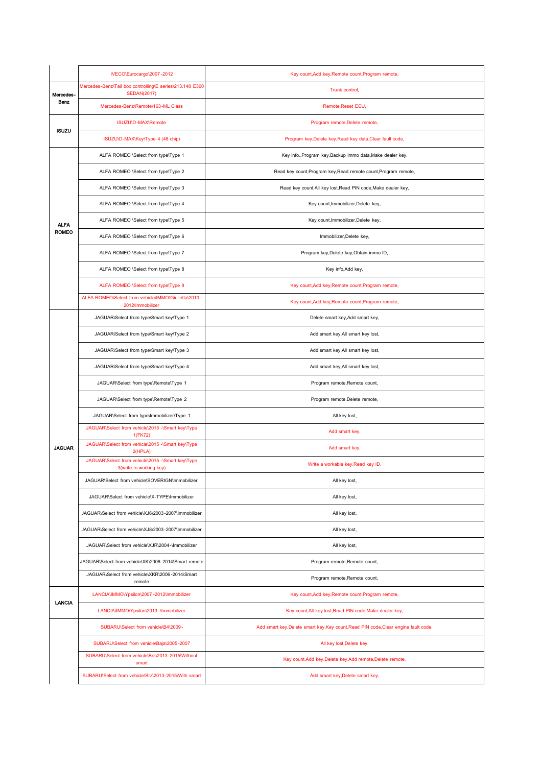|               | IVECO\Eurocargo\2007-2012                                                      | Key count, Add key, Remote count, Program remote,                                   |
|---------------|--------------------------------------------------------------------------------|-------------------------------------------------------------------------------------|
| Mercedes-     | Mercedes-Benz\Tail box controlling\E series\213.148 E300<br><b>SEDAN(2017)</b> | Trunk control,                                                                      |
| Benz          | Mercedes-Benz\Remote\163-ML Class                                              | Remote, Reset ECU,                                                                  |
| <b>ISUZU</b>  | ISUZU\D-MAX\Remote                                                             | Program remote, Delete remote,                                                      |
|               | ISUZU\D-MAX\Key\Type 4 (48 chip)                                               | Program key, Delete key, Read key data, Clear fault code,                           |
|               | ALFA ROMEO \Select from type\Type 1                                            | Key info., Program key, Backup immo data, Make dealer key,                          |
|               | ALFA ROMEO \Select from type\Type 2                                            | Read key count, Program key, Read remote count, Program remote,                     |
|               | ALFA ROMEO \Select from type\Type 3                                            | Read key count, All key lost, Read PIN code, Make dealer key,                       |
|               | ALFA ROMEO \Select from type\Type 4                                            | Key count, Immobilizer, Delete key,                                                 |
| <b>ALFA</b>   | ALFA ROMEO \Select from type\Type 5                                            | Key count, Immobilizer, Delete key,                                                 |
| <b>ROMEO</b>  | ALFA ROMEO \Select from type\Type 6                                            | Immobilizer, Delete key,                                                            |
|               | ALFA ROMEO \Select from type\Type 7                                            | Program key, Delete key, Obtain immo ID,                                            |
|               | ALFA ROMEO \Select from type\Type 8                                            | Key info, Add key,                                                                  |
|               | ALFA ROMEO \Select from type\Type 9                                            | Key count, Add key, Remote count, Program remote,                                   |
|               | ALFA ROMEO\Select from vehicle\IMMO\Giulietta\2010<br>2012\Immobilizer         | Key count, Add key, Remote count, Program remote,                                   |
|               | JAGUAR\Select from type\Smart key\Type 1                                       | Delete smart key, Add smart key,                                                    |
|               | JAGUAR\Select from type\Smart key\Type 2                                       | Add smart key, All smart key lost,                                                  |
|               | JAGUAR\Select from type\Smart key\Type 3                                       | Add smart key, All smart key lost,                                                  |
|               | JAGUAR\Select from type\Smart key\Type 4                                       | Add smart key, All smart key lost,                                                  |
|               | JAGUAR\Select from type\Remote\Type 1                                          | Program remote, Remote count,                                                       |
|               | JAGUAR\Select from type\Remote\Type 2                                          | Program remote, Delete remote,                                                      |
|               | JAGUAR\Select from type\Immobilizer\Type 1                                     | All key lost,                                                                       |
|               | JAGUAR\Select from vehicle\2015 -\Smart key\Type<br>1(FK72)                    | Add smart key,                                                                      |
| <b>JAGUAR</b> | JAGUAR\Select from vehicle\2015 -\Smart key\Type<br>2(HPLA)                    | Add smart key,                                                                      |
|               | JAGUAR\Select from vehicle\2015 -\Smart key\Type<br>3(write to working key)    | Write a workable key, Read key ID,                                                  |
|               | JAGUAR\Select from vehicle\SOVERIGN\Immobilizer                                | All key lost,                                                                       |
|               | JAGUAR\Select from vehicle\X-TYPE\Immobilizer                                  | All key lost,                                                                       |
|               | JAGUAR\Select from vehicle\XJ6\2003-2007\Immobilizer                           | All key lost,                                                                       |
|               | JAGUAR\Select from vehicle\XJ8\2003-2007\Immobilizer                           | All key lost,                                                                       |
|               | JAGUAR\Select from vehicle\XJR\2004-\Immobilizer                               | All key lost,                                                                       |
|               | JAGUAR\Select from vehicle\XK\2006-2014\Smart remote                           | Program remote, Remote count,                                                       |
|               | JAGUAR\Select from vehicle\XKR\2006-2014\Smart<br>remote                       | Program remote, Remote count,                                                       |
| <b>LANCIA</b> | LANCIA\IMMO\Ypsilon\2007 -2012\Immobilizer                                     | Key count, Add key, Remote count, Program remote,                                   |
|               | LANCIA\IMMO\Ypsilon\2013 -\Immobilizer                                         | Key count, All key lost, Read PIN code, Make dealer key,                            |
|               | SUBARU\Select from vehicle\B4\2009 -                                           | Add smart key, Delete smart key, Key count, Read PIN code, Clear engine fault code, |
|               | SUBARU\Select from vehicle\Baja\2005-2007                                      | All key lost, Delete key,                                                           |
|               | SUBARU\Select from vehicle\Brz\2013-2015\Without<br>smart                      | Key count, Add key, Delete key, Add remote, Delete remote,                          |
|               | SUBARU\Select from vehicle\Brz\2013-2015\With smart                            | Add smart key, Delete smart key,                                                    |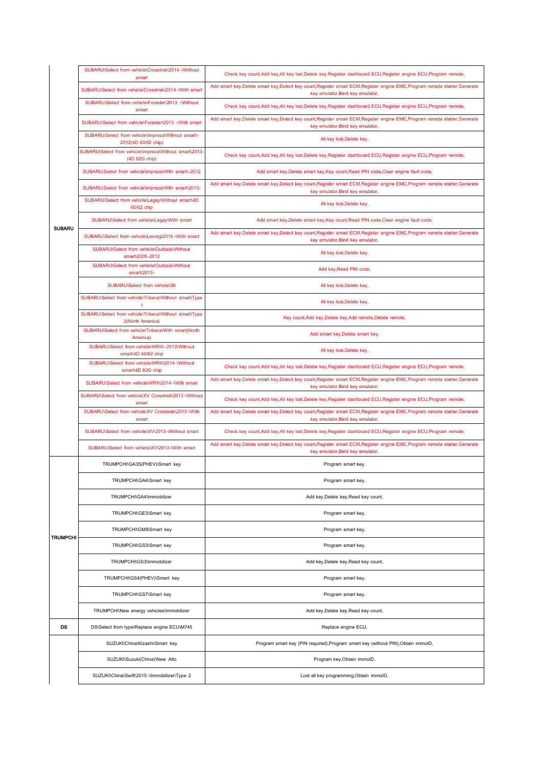|                 | SUBARU\Select from vehicle\Crosstrek\2014 -\Without<br>smart              | Check key count, Add key, All key lost, Delete key, Register dashboard ECU, Register engine ECU, Program remote,                                                 |
|-----------------|---------------------------------------------------------------------------|------------------------------------------------------------------------------------------------------------------------------------------------------------------|
|                 | SUBARU\Select from vehicle\Crosstrek\2014 -\With smart                    | Add smart key, Delete smart key, Detect key count, Register smart ECM, Register engine EMC, Program remote starter, Generate<br>key emulator, Bind key emulator, |
|                 | SUBARU\Select from vehicle\Forester\2013 -\Without<br>smart               | Check key count, Add key, All key lost, Delete key, Register dashboard ECU, Register engine ECU, Program remote,                                                 |
|                 | SUBARU\Select from vehicle\Forester\2013 -\With smart                     | Add smart key, Delete smart key, Detect key count, Register smart ECM, Register engine EMC, Program remote starter, Generate<br>key emulator, Bind key emulator, |
|                 | SUBARU\Select from vehicle\Impreza\Without smart\-<br>2012(4D 60/62 chip) | All key lost, Delete key,                                                                                                                                        |
|                 | SUBARU\Select from vehicle\Impreza\Without smart\2013<br>(4D 82G chip)    | Check key count, Add key, All key lost, Delete key, Register dashboard ECU, Register engine ECU, Program remote,                                                 |
|                 | SUBARU\Select from vehicle\Impreza\With smart\-2012                       | Add smart key, Delete smart key, Key count, Read PIN code, Clear engine fault code,                                                                              |
|                 | SUBARU\Select from vehicle\Impreza\With smart\2013-                       | Add smart key, Delete smart key, Detect key count, Register smart ECM, Register engine EMC, Program remote starter, Generate<br>key emulator, Bind key emulator, |
|                 | SUBARU\Select from vehicle\Legay\Without smart\4D<br>60/62 chip           | All key lost, Delete key,                                                                                                                                        |
| <b>SUBARU</b>   | SUBARU\Select from vehicle\Legay\With smart                               | Add smart key, Delete smart key, Key count, Read PIN code, Clear engine fault code,                                                                              |
|                 | SUBARU\Select from vehicle\Levorg\2015-\With smart                        | Add smart key, Delete smart key, Detect key count, Register smart ECM, Register engine EMC, Program remote starter, Generate<br>key emulator, Bind key emulator, |
|                 | SUBARU\Select from vehicle\Outback\Without<br>smart\2005-2012             | All key lost, Delete key,                                                                                                                                        |
|                 | SUBARU\Select from vehicle\Outback\Without<br>smart\2013-                 | Add key, Read PIN code,                                                                                                                                          |
|                 | SUBARU\Select from vehicle\Sti                                            | All key lost, Delete key,                                                                                                                                        |
|                 | SUBARU\Select from vehicle\Tribeca\Without smart\Type                     | All key lost, Delete key,                                                                                                                                        |
|                 | SUBARU\Select from vehicle\Tribeca\Without smart\Type<br>2(North America) | Key count, Add key, Delete key, Add remote, Delete remote,                                                                                                       |
|                 | SUBARU\Select from vehicle\Tribeca\With smart(North<br>America)           | Add smart key, Delete smart key,                                                                                                                                 |
|                 | SUBARU\Select from vehicle\WRX\-2013\Without<br>smart\4D 60/62 chip       | All key lost, Delete key,                                                                                                                                        |
|                 | SUBARU\Select from vehicle\WRX\2014-\Without<br>smart\4D 82G chip         | Check key count, Add key, All key lost, Delete key, Register dashboard ECU, Register engine ECU, Program remote,                                                 |
|                 | SUBARU\Select from vehicle\WRX\2014-\With smart                           | Add smart key, Delete smart key, Detect key count, Register smart ECM, Register engine EMC, Program remote starter, Generate<br>key emulator, Bind key emulator, |
|                 | SUBARU\Select from vehicle\XV Crosstrek\2013-\Without<br>smart            | Check key count, Add key, All key lost, Delete key, Register dashboard ECU, Register engine ECU, Program remote,                                                 |
|                 | SUBARU\Select from vehicle\XV Crosstrek\2013-\With<br>smart               | Add smart key, Delete smart key, Detect key count, Register smart ECM, Register engine EMC, Program remote starter, Generate<br>key emulator, Bind key emulator, |
|                 | SUBARU\Select from vehicle\XV\2013-\Without smart                         | Check key count, Add key, All key lost, Delete key, Register dashboard ECU, Register engine ECU, Program remote,                                                 |
|                 | SUBARU\Select from vehicle\XV\2013-\With smart                            | Add smart key, Delete smart key, Detect key count, Register smart ECM, Register engine EMC, Program remote starter, Generate<br>key emulator, Bind key emulator, |
|                 | TRUMPCHI\GA3S(PHEV)\Smart key                                             | Program smart key,                                                                                                                                               |
|                 | TRUMPCHI\GA4\Smart key                                                    | Program smart key,                                                                                                                                               |
|                 | TRUMPCHI\GA4\Immobilizer                                                  | Add key, Delete key, Read key count,                                                                                                                             |
|                 | TRUMPCHI\GE3\Smart key                                                    | Program smart key,                                                                                                                                               |
| <b>TRUMPCHI</b> | TRUMPCHI\GM8\Smart key                                                    | Program smart key,                                                                                                                                               |
|                 | TRUMPCHI\GS3\Smart key                                                    | Program smart key,                                                                                                                                               |
|                 | TRUMPCHI\GS3\Immobilizer                                                  | Add key, Delete key, Read key count,                                                                                                                             |
|                 | TRUMPCHI\GS4(PHEV)\Smart key                                              | Program smart key,                                                                                                                                               |
|                 | TRUMPCHI\GS7\Smart key                                                    | Program smart key,                                                                                                                                               |
|                 | TRUMPCHI\New energy vehicles\Immobilizer                                  | Add key, Delete key, Read key count,                                                                                                                             |
| DS              | DS\Select from type\Replace engine ECU\M745                               | Replace engine ECU,                                                                                                                                              |
|                 | SUZUKI\China\Kizashi\Smart key                                            | Program smart key (PIN required), Program smart key (without PIN), Obtain immoID,                                                                                |
|                 | SUZUKI\Suzuki(China)\New Alto                                             | Program key, Obtain immoID,                                                                                                                                      |
|                 | SUZUKI\China\Swift\2015 -\Immobilizer\Type 2                              | Lost all key programming, Obtain immoID,                                                                                                                         |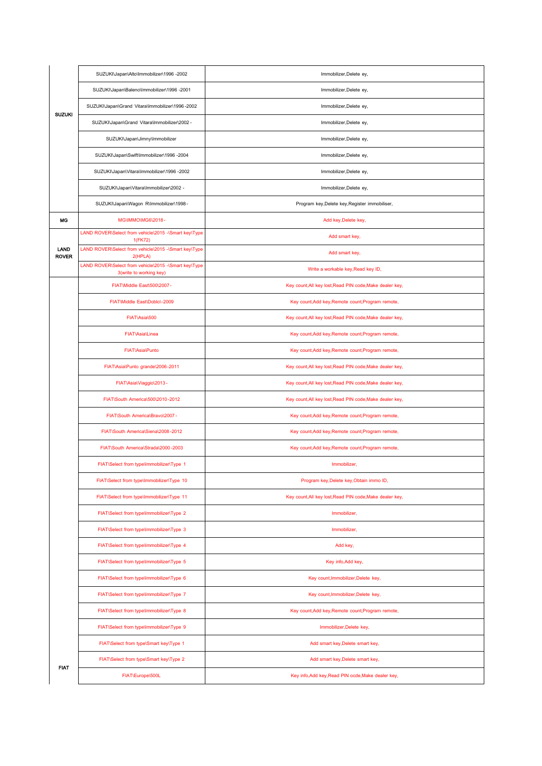|                      | SUZUKI\Japan\Alto\Immobilizer\1996 -2002                                        | Immobilizer, Delete ey,                                  |
|----------------------|---------------------------------------------------------------------------------|----------------------------------------------------------|
|                      | SUZUKI\Japan\Baleno\Immobilizer\1996 -2001                                      | Immobilizer, Delete ey,                                  |
|                      | SUZUKI\Japan\Grand Vitara\Immobilizer\1996-2002                                 | Immobilizer, Delete ey,                                  |
| SUZUKI               | SUZUKI\Japan\Grand Vitara\Immobilizer\2002 -                                    | Immobilizer, Delete ey,                                  |
|                      | SUZUKI\Japan\Jimny\Immobilizer                                                  | Immobilizer, Delete ey,                                  |
|                      | SUZUKI\Japan\Swift\Immobilizer\1996 -2004                                       | Immobilizer, Delete ey,                                  |
|                      | SUZUKI\Japan\Vitara\Immobilizer\1996 -2002                                      | Immobilizer, Delete ey,                                  |
|                      | SUZUKI\Japan\Vitara\Immobilizer\2002 -                                          | Immobilizer, Delete ey,                                  |
|                      | SUZUKI\Japan\Wagon R\Immobilizer\1998 -                                         | Program key, Delete key, Register immobiliser,           |
| MG                   | MG\IMMO\MG6\2018-                                                               | Add key, Delete key,                                     |
|                      | LAND ROVER\Select from vehicle\2015 -\Smart key\Type<br>1(FK72)                 | Add smart key,                                           |
| LAND<br><b>ROVER</b> | LAND ROVER\Select from vehicle\2015 -\Smart key\Type<br>2(HPLA)                 | Add smart key,                                           |
|                      | LAND ROVER\Select from vehicle\2015 -\Smart key\Type<br>3(write to working key) | Write a workable key, Read key ID,                       |
|                      | FIAT\Middle East\500\2007 -                                                     | Key count, All key lost, Read PIN code, Make dealer key, |
|                      | FIAT\Middle East\Doblo\-2009                                                    | Key count, Add key, Remote count, Program remote,        |
|                      | FIAT\Asia\500                                                                   | Key count, All key lost, Read PIN code, Make dealer key, |
|                      | <b>FIAT\Asia\Linea</b>                                                          | Key count, Add key, Remote count, Program remote,        |
|                      | FIAT\Asia\Punto                                                                 | Key count, Add key, Remote count, Program remote,        |
|                      | FIAT\Asia\Punto_grande\2006-2011                                                | Key count, All key lost, Read PIN code, Make dealer key, |
|                      | FIAT\Asia\Viaggio\2013 -                                                        | Key count, All key lost, Read PIN code, Make dealer key, |
|                      | FIAT\South America\500\2010-2012                                                | Key count, All key lost, Read PIN code, Make dealer key, |
|                      | FIAT\South America\Bravo\2007 -                                                 | Key count, Add key, Remote count, Program remote,        |
|                      | FIAT\South America\Siena\2008-2012                                              | Key count, Add key, Remote count, Program remote,        |
|                      | FIAT\South America\Strada\2000-2003                                             | Key count, Add key, Remote count, Program remote,        |
|                      | FIAT\Select from type\Immobilizer\Type 1                                        | Immobilizer,                                             |
|                      | FIAT\Select from type\Immobilizer\Type 10                                       | Program key, Delete key, Obtain immo ID,                 |
|                      | FIAT\Select from type\Immobilizer\Type 11                                       | Key count, All key lost, Read PIN code, Make dealer key, |
|                      | FIAT\Select from type\Immobilizer\Type 2                                        | Immobilizer,                                             |
|                      | FIAT\Select from type\Immobilizer\Type 3                                        | Immobilizer,                                             |
|                      | FIAT\Select from type\Immobilizer\Type 4                                        | Add key,                                                 |
|                      | FIAT\Select from type\Immobilizer\Type 5                                        | Key info, Add key,                                       |
|                      | FIAT\Select from type\Immobilizer\Type 6                                        | Key count, Immobilizer, Delete key,                      |
|                      | FIAT\Select from type\Immobilizer\Type 7                                        | Key count, Immobilizer, Delete key,                      |
|                      | FIAT\Select from type\Immobilizer\Type 8                                        | Key count, Add key, Remote count, Program remote,        |
|                      | FIAT\Select from type\Immobilizer\Type 9                                        | Immobilizer, Delete key,                                 |
|                      | FIAT\Select from type\Smart key\Type 1                                          | Add smart key, Delete smart key,                         |
|                      | FIAT\Select from type\Smart key\Type 2                                          | Add smart key, Delete smart key,                         |
| <b>FIAT</b>          | FIAT\Europe\500L                                                                | Key info, Add key, Read PIN ocde, Make dealer key,       |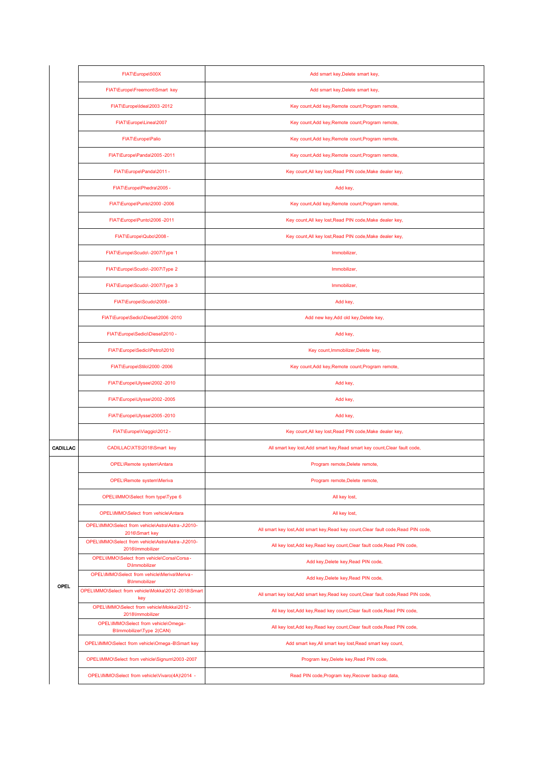|          | FIAT\Europe\500X                                                      | Add smart key, Delete smart key,                                                    |
|----------|-----------------------------------------------------------------------|-------------------------------------------------------------------------------------|
|          | FIAT\Europe\Freemont\Smart key                                        | Add smart key, Delete smart key,                                                    |
|          | FIAT\Europe\Idea\2003-2012                                            | Key count, Add key, Remote count, Program remote,                                   |
|          | FIAT\Europe\Linea\2007                                                | Key count, Add key, Remote count, Program remote,                                   |
|          | FIAT\Europe\Palio                                                     | Key count, Add key, Remote count, Program remote,                                   |
|          | FIAT\Europe\Panda\2005-2011                                           | Key count, Add key, Remote count, Program remote,                                   |
|          | FIAT\Europe\Panda\2011 -                                              | Key count, All key lost, Read PIN code, Make dealer key,                            |
|          | FIAT\Europe\Phedra\2005 -                                             | Add key,                                                                            |
|          | FIAT\Europe\Punto\2000 -2006                                          | Key count, Add key, Remote count, Program remote,                                   |
|          | FIAT\Europe\Punto\2006-2011                                           | Key count, All key lost, Read PIN code, Make dealer key,                            |
|          | FIAT\Europe\Qubo\2008 -                                               | Key count, All key lost, Read PIN code, Make dealer key,                            |
|          | FIAT\Europe\Scudo\-2007\Type 1                                        | Immobilizer,                                                                        |
|          | FIAT\Europe\Scudo\-2007\Type 2                                        | Immobilizer,                                                                        |
|          | FIAT\Europe\Scudo\-2007\Type 3                                        | Immobilizer,                                                                        |
|          | FIAT\Europe\Scudo\2008 -                                              | Add key,                                                                            |
|          | FIAT\Europe\Sedici\Diesel\2006 -2010                                  | Add new key, Add old key, Delete key,                                               |
|          | FIAT\Europe\Sedici\Diesel\2010 -                                      | Add key,                                                                            |
|          | FIAT\Europe\Sedici\Petrol\2010                                        | Key count, Immobilizer, Delete key,                                                 |
|          | FIAT\Europe\Stilo\2000-2006                                           | Key count, Add key, Remote count, Program remote,                                   |
|          | FIAT\Europe\Ulysee\2002-2010                                          | Add key,                                                                            |
|          | FIAT\Europe\Ulysse\2002-2005                                          | Add key,                                                                            |
|          | FIAT\Europe\Ulysse\2005-2010                                          | Add key,                                                                            |
|          | FIAT\Europe\Viaggio\2012 -                                            | Key count, All key lost, Read PIN code, Make dealer key,                            |
| CADILLAC | CADILLACVXTS\2018\Smart key                                           | All smart key lost, Add smart key, Read smart key count, Clear fault code,          |
|          | OPEL\Remote system\Antara                                             | Program remote, Delete remote,                                                      |
|          | OPEL\Remote system\Meriva                                             | Program remote, Delete remote,                                                      |
|          | OPEL\IMMO\Select from type\Type 6                                     | All key lost,                                                                       |
|          | OPEL\IMMO\Select from vehicle\Antara                                  | All key lost,                                                                       |
|          | OPEL\IMMO\Select_from_vehicle\Astra\Astra-J\2010-<br>2016\Smart kev   | All smart key lost, Add smart key, Read key count, Clear fault code, Read PIN code, |
|          | OPEL\IMMO\Select_from_vehicle\Astra\Astra-J\2010-<br>2016\Immobilizer | All key lost, Add key, Read key count, Clear fault code, Read PIN code,             |
|          | OPEL\IMMO\Select_from_vehicle\Corsa\Corsa-<br><b>D</b> \Immobilizer   | Add key, Delete key, Read PIN code,                                                 |
| OPEL     | OPEL\IMMO\Select from vehicle\Meriva\Meriva-<br><b>B</b> \Immobilizer | Add key, Delete key, Read PIN code,                                                 |
|          | OPEL\IMMO\Select from vehicle\Mokka\2012-2018\Smart<br>key            | All smart key lost, Add smart key, Read key count, Clear fault code, Read PIN code, |
|          | OPEL\IMMO\Select from vehicle\Mokka\2012 -<br>2018\Immobilizer        | All key lost, Add key, Read key count, Clear fault code, Read PIN code,             |
|          | OPEL\IMMO\Select from vehicle\Omega-<br>B\Immobilizer\Type 2(CAN)     | All key lost, Add key, Read key count, Clear fault code, Read PIN code,             |
|          | OPEL\IMMO\Select from vehicle\Omega-B\Smart key                       | Add smart key, All smart key lost, Read smart key count,                            |
|          | OPEL\IMMO\Select from vehicle\Signum\2003-2007                        | Program key, Delete key, Read PIN code,                                             |
|          | OPEL\IMMO\Select from vehicle\Vivaro(4A)\2014 -                       | Read PIN code, Program key, Recover backup data,                                    |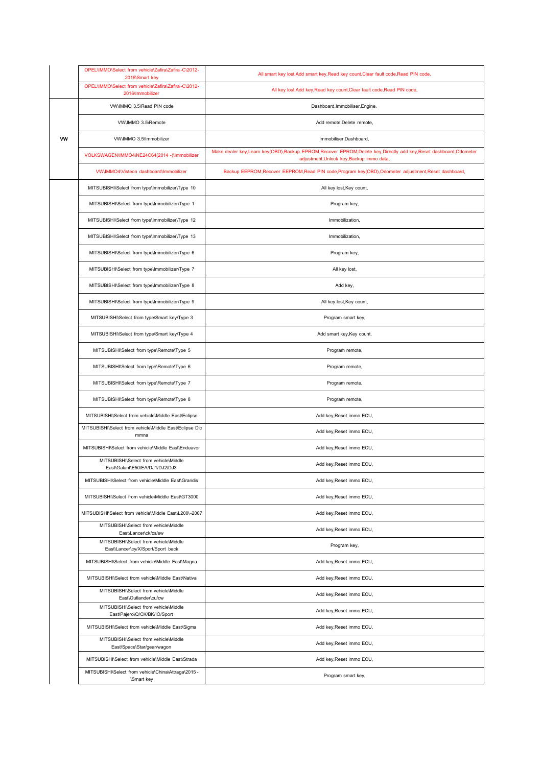|   | OPEL\IMMO\Select_from_vehicle\Zafira\Zafira-C\2012-<br>2016\Smart key      | All smart key lost, Add smart key, Read key count, Clear fault code, Read PIN code,                                                                                |
|---|----------------------------------------------------------------------------|--------------------------------------------------------------------------------------------------------------------------------------------------------------------|
|   | OPEL\IMMO\Select_from_vehicle\Zafira\Zafira-C\2012-<br>2016\Immobilizer    | All key lost, Add key, Read key count, Clear fault code, Read PIN code,                                                                                            |
|   | VW\IMMO 3.5\Read PIN code                                                  | Dashboard, Immobiliser, Engine,                                                                                                                                    |
|   | VW\IMMO 3.5\Remote                                                         | Add remote, Delete remote,                                                                                                                                         |
| w | VW\IMMO 3.5\Immobilizer                                                    | Immobiliser, Dashboard,                                                                                                                                            |
|   | VOLKSWAGEN\IMMO4\NE24C64(2014 -)\Immobilizer                               | Make dealer key, Learn key(OBD), Backup EPROM, Recover EPROM, Delete key, Directly add key, Reset dashboard, Odometer<br>adjustment, Unlock key, Backup immo data, |
|   | VW\IMMO4\Visteon_dashboard\Immobilizer                                     | Backup EEPROM, Recover EEPROM, Read PIN code, Program key(OBD), Odometer adjustment, Reset dashboard,                                                              |
|   | MITSUBISHI\Select from type\Immobilizer\Type 10                            | All key lost, Key count,                                                                                                                                           |
|   | MITSUBISHI\Select from type\Immobilizer\Type 1                             | Program key,                                                                                                                                                       |
|   | MITSUBISHI\Select from type\Immobilizer\Type 12                            | Immobilization,                                                                                                                                                    |
|   | MITSUBISHI\Select from type\Immobilizer\Type 13                            | Immobilization,                                                                                                                                                    |
|   | MITSUBISHI\Select from type\Immobilizer\Type 6                             | Program key,                                                                                                                                                       |
|   | MITSUBISHI\Select from type\Immobilizer\Type 7                             | All key lost,                                                                                                                                                      |
|   | MITSUBISHI\Select from type\Immobilizer\Type 8                             | Add key,                                                                                                                                                           |
|   | MITSUBISHI\Select from type\Immobilizer\Type 9                             | All key lost, Key count,                                                                                                                                           |
|   | MITSUBISHI\Select from type\Smart key\Type 3                               | Program smart key,                                                                                                                                                 |
|   | MITSUBISHI\Select from type\Smart key\Type 4                               | Add smart key, Key count,                                                                                                                                          |
|   | MITSUBISHI\Select from type\Remote\Type 5                                  | Program remote,                                                                                                                                                    |
|   | MITSUBISHI\Select from type\Remote\Type 6                                  | Program remote,                                                                                                                                                    |
|   | MITSUBISHI\Select from type\Remote\Type 7                                  | Program remote,                                                                                                                                                    |
|   | MITSUBISHI\Select from type\Remote\Type 8                                  | Program remote,                                                                                                                                                    |
|   | MITSUBISHI\Select from vehicle\Middle East\Eclipse                         | Add key, Reset immo ECU,                                                                                                                                           |
|   | MITSUBISHI\Select from vehicle\Middle East\Eclipse Dic<br>mmna             | Add key, Reset immo ECU,                                                                                                                                           |
|   | MITSUBISHI\Select from vehicle\Middle East\Endeavor                        | Add key, Reset immo ECU,                                                                                                                                           |
|   | MITSUBISHI\Select from vehicle\Middle<br>East\Galant\E50/EA/DJ1/DJ2/DJ3    | Add key, Reset immo ECU,                                                                                                                                           |
|   | MITSUBISHI\Select from vehicle\Middle East\Grandis                         | Add key, Reset immo ECU,                                                                                                                                           |
|   | MITSUBISHI\Select from vehicle\Middle East\GT3000                          | Add key, Reset immo ECU,                                                                                                                                           |
|   | MITSUBISHI\Select from vehicle\Middle East\L200\-2007                      | Add key, Reset immo ECU,                                                                                                                                           |
|   | MITSUBISHI\Select from vehicle\Middle<br>East\Lancer\ck/cs/sw              | Add key, Reset immo ECU,                                                                                                                                           |
|   | MITSUBISHI\Select from vehicle\Middle<br>East\Lancer\cy/X/Sport/Sport back | Program key,                                                                                                                                                       |
|   | MITSUBISHI\Select from vehicle\Middle East\Magna                           | Add key, Reset immo ECU,                                                                                                                                           |
|   | MITSUBISHI\Select from vehicle\Middle East\Nativa                          | Add key, Reset immo ECU,                                                                                                                                           |
|   | MITSUBISHI\Select from vehicle\Middle<br>East\Outlander\cu/cw              | Add key, Reset immo ECU,                                                                                                                                           |
|   | MITSUBISHI\Select from vehicle\Middle<br>East\Pajero\Q/CK/BK/IO/Sport      | Add key, Reset immo ECU,                                                                                                                                           |
|   | MITSUBISHI\Select from vehicle\Middle East\Sigma                           | Add key, Reset immo ECU,                                                                                                                                           |
|   | MITSUBISHI\Select from vehicle\Middle<br>East\Space\Star/gear/wagon        | Add key, Reset immo ECU,                                                                                                                                           |
|   | MITSUBISHI\Select from vehicle\Middle East\Strada                          | Add key, Reset immo ECU,                                                                                                                                           |
|   | MITSUBISHI\Select from vehicle\China\Attraga\2015 -<br>\Smart key          | Program smart key,                                                                                                                                                 |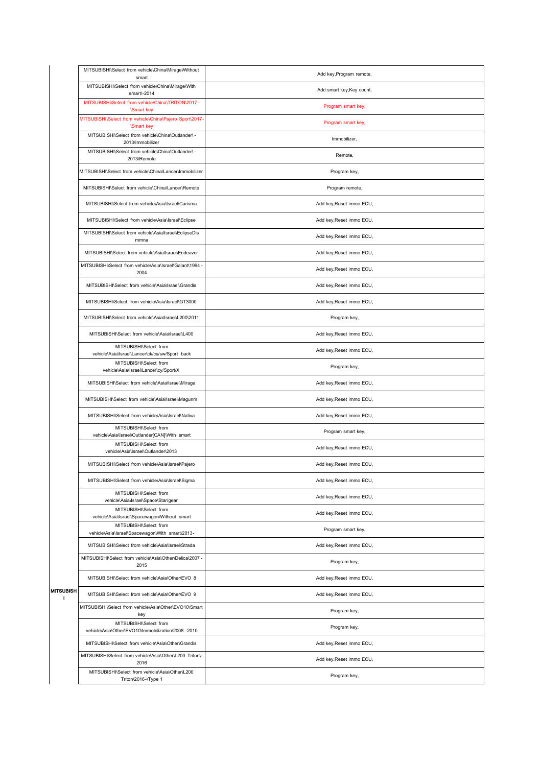| MITSUBISHI\Select from vehicle\China\Mirage\Without<br>smart                 | Add key, Program remote,  |
|------------------------------------------------------------------------------|---------------------------|
| MITSUBISHI\Select from vehicle\China\Mirage\With<br>smart\-2014              | Add smart key, Key count, |
| MITSUBISHI\Select from vehicle\China\TRITON\2017 -<br><b>\Smart key</b>      | Program smart key,        |
| MITSUBISHI\Select from vehicle\China\Pajero Sport\2017-<br><b>\Smart key</b> | Program smart key,        |
| MITSUBISHI\Select from vehicle\China\Outlander\ -<br>2013\Immobilizer        | Immobilizer,              |
| MITSUBISHI\Select from vehicle\China\Outlander\ -<br>2013\Remote             | Remote,                   |
| MITSUBISHI\Select from vehicle\China\Lancer\Immobilizer                      | Program key,              |
| MITSUBISHI\Select from vehicle\China\Lancer\Remote                           | Program remote,           |
| MITSUBISHI\Select from vehicle\Asia\Israel\Carisma                           | Add key, Reset immo ECU,  |
| MITSUBISHI\Select from vehicle\Asia\Israel\Eclipse                           | Add key, Reset immo ECU,  |
| MITSUBISHI\Select from vehicle\Asia\Israel\EclipseDis<br>mmna                | Add key, Reset immo ECU,  |
| MITSUBISHI\Select from vehicle\Asia\Israel\Endeavor                          | Add key, Reset immo ECU,  |
| MITSUBISHI\Select from vehicle\Asia\Israel\Galant\1994 -<br>2004             | Add key, Reset immo ECU,  |
| MITSUBISHI\Select from vehicle\Asia\Israel\Grandis                           | Add key, Reset immo ECU,  |
| MITSUBISHI\Select from vehicle\Asia\Israel\GT3000                            | Add key, Reset immo ECU,  |
| MITSUBISHI\Select from vehicle\Asia\Israel\L200\2011                         | Program key,              |
| MITSUBISHI\Select from vehicle\Asia\Israel\L400                              | Add key, Reset immo ECU,  |
| MITSUBISHI\Select from<br>vehicle\Asia\Israel\Lancer\ck/cs/sw/Sport back     | Add key, Reset immo ECU,  |
| MITSUBISHI\Select from<br>vehicle\Asia\Israel\Lancer\cy/Sport/X              | Program key,              |
| MITSUBISHI\Select from vehicle\Asia\Israel\Mirage                            | Add key, Reset immo ECU,  |
| MITSUBISHI\Select from vehicle\Asia\Israel\Magunm                            | Add key, Reset immo ECU,  |
| MITSUBISHI\Select from vehicle\Asia\Israel\Nativa                            | Add key, Reset immo ECU,  |
| MITSUBISHI\Select from<br>vehicle\Asia\Israel\Outlander[CAN]\With smart      | Program smart key,        |
| MITSUBISHI\Select from<br>vehicle\Asia\Israel\Outlander\2013                 | Add key, Reset immo ECU,  |
| MITSUBISHI\Select from vehicle\Asia\Israel\Pajero                            | Add key, Reset immo ECU,  |
| MITSUBISHI\Select from vehicle\Asia\Israel\Sigma                             | Add key, Reset immo ECU,  |
| MITSUBISHI\Select from<br>vehicle\Asia\Israel\Space\Star/gear                | Add key, Reset immo ECU,  |
| MITSUBISHI\Select from<br>vehicle\Asia\Israel\Spacewagon\Without smart       | Add key, Reset immo ECU,  |
| MITSUBISHI\Select from<br>vehicle\Asia\Israel\Spacewagon\With smart\2013-    | Program smart key,        |
| MITSUBISHI\Select from vehicle\Asia\Israel\Strada                            | Add key, Reset immo ECU,  |
| MITSUBISHI\Select from vehicle\Asia\Other\Delica\2007 -<br>2015              | Program key,              |
| MITSUBISHI\Select from vehicle\Asia\Other\EVO 8                              | Add key, Reset immo ECU,  |
| MITSUBISHI\Select from vehicle\Asia\Other\EVO 9                              | Add key, Reset immo ECU,  |
| MITSUBISHI\Select from vehicle\Asia\Other\EVO10\Smart<br>key                 | Program key,              |
| MITSUBISHI\Select from<br>vehicle\Asia\Other\EVO10\Immobilization\2008 -2010 | Program key,              |
| MITSUBISHI\Select from vehicle\Asia\Other\Grandis                            | Add key, Reset immo ECU,  |
| MITSUBISHI\Select from vehicle\Asia\Other\L200 Triton\-<br>2016              | Add key, Reset immo ECU,  |
| MITSUBISHI\Select from vehicle\Asia\Other\L200<br>Triton\2016-\Type 1        | Program key,              |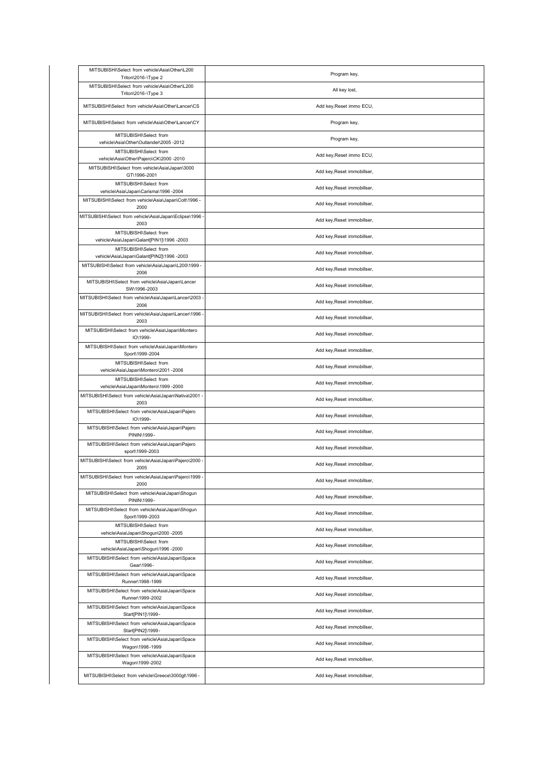| MITSUBISHI\Select from vehicle\Asia\Other\L200<br>Triton\2016-\Type 2                               | Program key,                |
|-----------------------------------------------------------------------------------------------------|-----------------------------|
| MITSUBISHI\Select from vehicle\Asia\Other\L200<br>Triton\2016-\Type 3                               | All key lost,               |
| MITSUBISHI\Select from vehicle\Asia\Other\Lancer\CS                                                 | Add key, Reset immo ECU,    |
| MITSUBISHI\Select from vehicle\Asia\Other\Lancer\CY                                                 | Program key,                |
| MITSUBISHI\Select from<br>vehicle\Asia\Other\Outlander\2005 -2012                                   | Program key,                |
| MITSUBISHI\Select from<br>vehicle\Asia\Other\Pajero\CK\2000 -2010                                   | Add key, Reset immo ECU,    |
| MITSUBISHI\Select from vehicle\Asia\Japan\3000<br>GT\1996-2001                                      | Add key, Reset immobillser, |
| MITSUBISHI\Select from<br>vehicle\Asia\Japan\Carisma\1996 -2004                                     | Add key, Reset immobillser, |
| MITSUBISHI\Select from vehicle\Asia\Japan\Colt\1996 -<br>2000                                       | Add key, Reset immobillser, |
| MITSUBISHI\Select from vehicle\Asia\Japan\Eclipse\1996<br>2003                                      | Add key, Reset immobillser, |
| MITSUBISHI\Select from                                                                              | Add key, Reset immobillser, |
| vehicle\Asia\Japan\Galant[PIN1]\1996 -2003<br>MITSUBISHI\Select from                                | Add key, Reset immobillser, |
| vehicle\Asia\Japan\Galant[PIN2]\1996 -2003<br>MITSUBISHI\Select from vehicle\Asia\Japan\L200\1999 - | Add key, Reset immobillser, |
| 2006<br>MITSUBISHI\Select from vehicle\Asia\Japan\Lancer                                            | Add key, Reset immobillser, |
| SW\1996-2003<br>MITSUBISHI\Select from vehicle\Asia\Japan\Lancer\2003                               | Add key, Reset immobillser, |
| 2006<br>MITSUBISHI\Select from vehicle\Asia\Japan\Lancer\1996                                       |                             |
| 2003<br>MITSUBISHI\Select from vehicle\Asia\Japan\Montero                                           | Add key, Reset immobillser, |
| IO\1999-<br>MITSUBISHI\Select from vehicle\Asia\Japan\Montero                                       | Add key, Reset immobillser, |
| Sport\1999-2004                                                                                     | Add key, Reset immobillser, |
| MITSUBISHI\Select from<br>vehicle\Asia\Japan\Montero\2001 -2006                                     | Add key, Reset immobillser, |
| MITSUBISHI\Select from<br>vehicle\Asia\Japan\Montero\1999 -2000                                     | Add key, Reset immobillser, |
| MITSUBISHI\Select from vehicle\Asia\Japan\Nativa\2001<br>2003                                       | Add key, Reset immobillser, |
| MITSUBISHI\Select from vehicle\Asia\Japan\Pajero<br>IO\1999-                                        | Add key, Reset immobillser, |
| MITSUBISHI\Select from vehicle\Asia\Japan\Pajero<br>PININ\1999-                                     | Add key, Reset immobillser, |
| MITSUBISHI\Select from vehicle\Asia\Japan\Pajero<br>sport\1999-2003                                 | Add key, Reset immobillser, |
| MITSUBISHI\Select from vehicle\Asia\Japan\Pajero\2000<br>2005                                       | Add key, Reset immobillser, |
| MITSUBISHI\Select from vehicle\Asia\Japan\Pajero\1999<br>2000                                       | Add key, Reset immobillser, |
| MITSUBISHI\Select from vehicle\Asia\Japan\Shogun<br>PININ\1999-                                     | Add key, Reset immobillser, |
| MITSUBISHI\Select from vehicle\Asia\Japan\Shogun<br>Sport\1999-2003                                 | Add key, Reset immobillser, |
| MITSUBISHI\Select from<br>vehicle\Asia\Japan\Shogun\2000 -2005                                      | Add key, Reset immobillser, |
| MITSUBISHI\Select from<br>vehicle\Asia\Japan\Shogun\1996 -2000                                      | Add key, Reset immobillser, |
| MITSUBISHI\Select from vehicle\Asia\Japan\Space<br>Gear\1996-                                       | Add key, Reset immobillser, |
| MITSUBISHI\Select from vehicle\Asia\Japan\Space<br>Runner\1998-1999                                 | Add key, Reset immobillser, |
| MITSUBISHI\Select from vehicle\Asia\Japan\Space<br>Runner\1999-2002                                 | Add key, Reset immobillser, |
| MITSUBISHI\Select from vehicle\Asia\Japan\Space                                                     | Add key, Reset immobillser, |
| Start[PIN1]\1999-<br>MITSUBISHI\Select from vehicle\Asia\Japan\Space                                | Add key, Reset immobillser, |
| Start[PIN2]\1999-<br>MITSUBISHI\Select from vehicle\Asia\Japan\Space                                | Add key, Reset immobillser, |
| Wagon\1998-1999<br>MITSUBISHI\Select from vehicle\Asia\Japan\Space                                  | Add key, Reset immobillser, |
| Wagon\1999-2002                                                                                     |                             |
| MITSUBISHI\Select from vehicle\Greece\3000gt\1996 -                                                 | Add key, Reset immobillser, |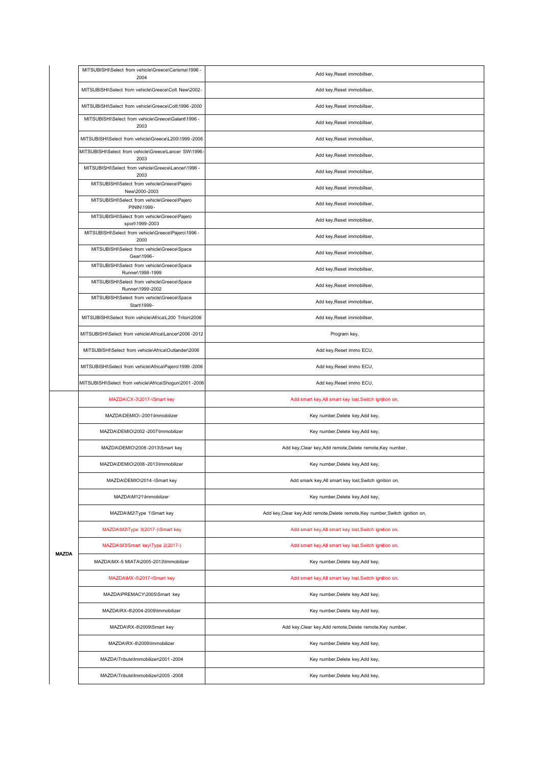|       | MITSUBISHI\Select from vehicle\Greece\Carisma\1996 -<br>2004    | Add key, Reset immobillser,                                                    |
|-------|-----------------------------------------------------------------|--------------------------------------------------------------------------------|
|       | MITSUBISHI\Select from vehicle\Greece\Colt New\2002-            | Add key, Reset immobillser,                                                    |
|       | MITSUBISHI\Select from vehicle\Greece\Colt\1996-2000            | Add key, Reset immobillser,                                                    |
|       | MITSUBISHI\Select from vehicle\Greece\Galant\1996 -<br>2003     | Add key, Reset immobillser,                                                    |
|       | MITSUBISHI\Select from vehicle\Greece\L200\1999-2006            | Add key, Reset immobillser,                                                    |
|       | MITSUBISHI\Select from vehicle\Greece\Lancer SW\1996<br>2003    | Add key, Reset immobillser,                                                    |
|       | MITSUBISHI\Select from vehicle\Greece\Lancer\1996 -<br>2003     | Add key, Reset immobillser,                                                    |
|       | MITSUBISHI\Select from vehicle\Greece\Pajero<br>New\2000-2003   | Add key, Reset immobillser,                                                    |
|       | MITSUBISHI\Select from vehicle\Greece\Pajero<br>PININ\1999-     | Add key, Reset immobillser,                                                    |
|       | MITSUBISHI\Select from vehicle\Greece\Pajero<br>sport\1999-2003 | Add key, Reset immobillser,                                                    |
|       | MITSUBISHI\Select from vehicle\Greece\Pajero\1996 -<br>2000     | Add key, Reset immobillser,                                                    |
|       | MITSUBISHI\Select from vehicle\Greece\Space<br>Gear\1996-       | Add key, Reset immobillser,                                                    |
|       | MITSUBISHI\Select from vehicle\Greece\Space<br>Runner\1998-1999 | Add key, Reset immobillser,                                                    |
|       | MITSUBISHI\Select from vehicle\Greece\Space<br>Runner\1999-2002 | Add key, Reset immobillser,                                                    |
|       | MITSUBISHI\Select from vehicle\Greece\Space<br>Start\1999-      | Add key, Reset immobillser,                                                    |
|       | MITSUBISHI\Select from vehicle\Africa\L200 Triton\2006          | Add key, Reset immobillser,                                                    |
|       | MITSUBISHI\Select from vehicle\Africa\Lancer\2006 -2012         | Program key,                                                                   |
|       | MITSUBISHI\Select from vehicle\Africa\Outlander\2006            | Add key, Reset immo ECU,                                                       |
|       | MITSUBISHI\Select from vehicle\Africa\Pajero\1999-2006          | Add key, Reset immo ECU,                                                       |
|       | MITSUBISHI\Select from vehicle\Africa\Shogun\2001-2006          | Add key, Reset immo ECU,                                                       |
|       | MAZDA\CX-3\2017-\Smart key                                      | Add smart key, All smart key lost, Switch ignition on,                         |
|       | MAZDA\DEMIO\-2001\Immobilizer                                   | Key number, Delete key, Add key,                                               |
|       | MAZDA\DEMIO\2002 -2007\Immobilizer                              | Key number, Delete key, Add key,                                               |
|       | MAZDA\DEMIO\2008-2013\Smart key                                 | Add key, Clear key, Add remote, Delete remote, Key number,                     |
|       | MAZDA\DEMIO\2008 -2013\Immobilizer                              | Key number, Delete key, Add key,                                               |
|       | MAZDA\DEMIO\2014 -\Smart key                                    | Add smark key, All smart key lost, Switch ignition on,                         |
|       | MAZDA\M121\Immobilizer                                          | Key number, Delete key, Add key,                                               |
|       | MAZDA\M2\Type 1\Smart key                                       | Add key, Clear key, Add remote, Delete remote, Key number, Switch ignition on, |
|       | MAZDA\M2\Type 3(2017-)\Smart key                                | Add smart key, All smart key lost, Switch ignition on,                         |
|       | MAZDA\M3\Smart key\Type 2(2017-)                                | Add smart key, All smart key lost, Switch ignition on,                         |
| MAZDA | MAZDA\MX-5 MIATA\2005-2013\Immobilizer                          | Key number, Delete key, Add key,                                               |
|       | MAZDA\MX-5\2017-\Smart key                                      | Add smart key, All smart key lost, Switch ignition on,                         |
|       | MAZDA\PREMACY\2005\Smart key                                    | Key number, Delete key, Add key,                                               |
|       | MAZDA\RX-8\2004-2009\Immobilizer                                | Key number, Delete key, Add key,                                               |
|       | MAZDA\RX-8\2009\Smart key                                       | Add key, Clear key, Add remote, Delete remote, Key number,                     |
|       | MAZDA\RX-8\2009\Immobilizer                                     | Key number, Delete key, Add key,                                               |
|       | MAZDA\Tribute\Immobilizer\2001 -2004                            | Key number, Delete key, Add key,                                               |
|       | MAZDA\Tribute\Immobilizer\2005 -2008                            | Key number, Delete key, Add key,                                               |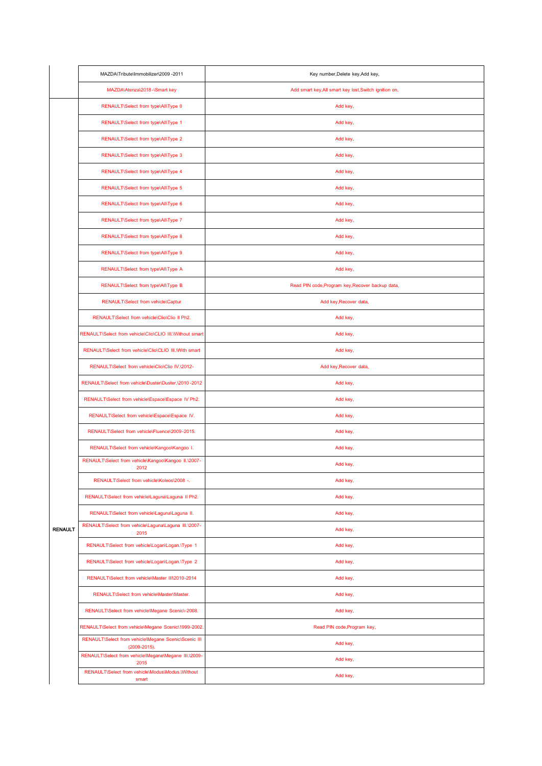|                | MAZDA\Tribute\Immobilizer\2009 -2011                                 | Key number, Delete key, Add key,                       |
|----------------|----------------------------------------------------------------------|--------------------------------------------------------|
|                | MAZDA\Atenza\2018-\Smart key                                         | Add smart key, All smart key lost, Switch ignition on, |
|                | RENAULT\Select from type\All\Type 0                                  | Add key,                                               |
|                | RENAULT\Select from type\All\Type 1                                  | Add key,                                               |
|                | RENAULT\Select from type\All\Type 2                                  | Add key,                                               |
|                | RENAULT\Select from type\All\Type 3                                  | Add key,                                               |
|                | RENAULT\Select from type\All\Type 4                                  | Add key,                                               |
|                | RENAULT\Select from type\All\Type 5                                  | Add key,                                               |
|                | RENAULT\Select from type\All\Type 6                                  | Add key,                                               |
|                | RENAULT\Select from type\All\Type 7                                  | Add key,                                               |
|                | RENAULT\Select from type\All\Type 8                                  | Add key,                                               |
|                | RENAULT\Select from type\All\Type 9                                  | Add key,                                               |
|                | RENAULT\Select from type\All\Type A                                  | Add key,                                               |
|                | RENAULT\Select from type\All\Type B                                  | Read PIN code, Program key, Recover backup data,       |
|                | RENAULT\Select from vehicle\Captur                                   | Add key, Recover data,                                 |
|                | RENAULT\Select from vehicle\Clio\Clio II Ph2.                        | Add key,                                               |
|                | RENAULT\Select from vehicle\Clio\CLIO III.\Without smart             | Add key,                                               |
|                | RENAULT\Select from vehicle\Clio\CLIO III.\With smart                | Add key,                                               |
|                | RENAULT\Select from vehicle\Clio\Clio IV.\2012-                      | Add key, Recover data,                                 |
|                | RENAULT\Select from vehicle\Duster\Duster.\2010 -2012                | Add key,                                               |
|                | RENAULT\Select from vehicle\Espace\Espace IV Ph2.                    | Add key,                                               |
|                | RENAULT\Select from vehicle\Espace\Espace IV.                        | Add key,                                               |
|                | RENAULT\Select_from_vehicle\Fluence\2009-2015.                       | Add key,                                               |
|                | RENAULT\Select from vehicle\Kangoo\Kangoo I.                         | Add key,                                               |
|                | RENAULT\Select from vehicle\Kangoo\Kangoo II.\2007-<br>2012          | Add key,                                               |
|                | RENAULT\Select from vehicle\Koleos\2008 -.                           | Add key,                                               |
|                | RENAULT\Select from vehicle\Laguna\Laguna II Ph2.                    | Add key,                                               |
|                | RENAULT\Select from vehicle\Laguna\Laguna II.                        | Add key,                                               |
| <b>RENAULT</b> | RENAULT\Select from vehicle\Laguna\Laguna III.\2007-<br>2015         | Add key,                                               |
|                | RENAULT\Select from vehicle\Logan\Logan.\Type 1                      | Add key,                                               |
|                | RENAULT\Select from vehicle\Logan\Logan.\Type 2                      | Add key,                                               |
|                | RENAULT\Select from vehicle\Master III\2010-2014                     | Add key,                                               |
|                | RENAULT\Select from vehicle\Master\Master.                           | Add key,                                               |
|                | RENAULT\Select from vehicle\Megane Scenic\-2008.                     | Add key,                                               |
|                | RENAULT\Select from vehicle\Megane Scenic\1999-2002.                 | Read PIN code, Program key,                            |
|                | RENAULT\Select from vehicle\Megane Scenic\Scenic III<br>(2009-2015). | Add key,                                               |
|                | RENAULT\Select from vehicle\Megane\Megane III.\2009-<br>2015         | Add key,                                               |
|                | RENAULT\Select from vehicle\Modus\Modus.\Without<br>smart            | Add key,                                               |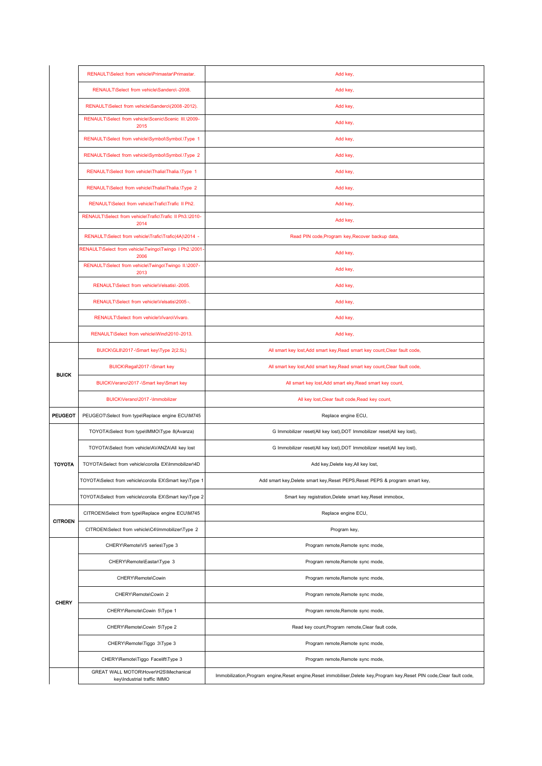|                | RENAULT\Select from vehicle\Primastar\Primastar.                     | Add key,                                                                                                                    |
|----------------|----------------------------------------------------------------------|-----------------------------------------------------------------------------------------------------------------------------|
|                | RENAULT\Select from vehicle\Sandero\-2008.                           | Add key,                                                                                                                    |
|                | RENAULT\Select from vehicle\Sandero\(2008-2012).                     | Add key,                                                                                                                    |
|                | RENAULT\Select from vehicle\Scenic\Scenic III.\2009-<br>2015         | Add key,                                                                                                                    |
|                | RENAULT\Select from vehicle\Symbol\Symbol.\Type 1                    | Add key,                                                                                                                    |
|                | RENAULT\Select from vehicle\Symbol\Symbol.\Type 2                    | Add key,                                                                                                                    |
|                | RENAULT\Select from vehicle\Thalia\Thalia.\Type 1                    | Add key,                                                                                                                    |
|                | RENAULT\Select from vehicle\Thalia\Thalia.\Type 2                    | Add key,                                                                                                                    |
|                | RENAULT\Select from vehicle\Trafic\Trafic II Ph2.                    | Add key,                                                                                                                    |
|                | RENAULT\Select from vehicle\Trafic\Trafic II Ph3.\2010-<br>2014      | Add key,                                                                                                                    |
|                | RENAULT\Select from vehicle\Trafic\Trafic(4A)\2014 -                 | Read PIN code, Program key, Recover backup data,                                                                            |
|                | RENAULT\Select from vehicle\Twingo\Twingo I Ph2.\2001-<br>2006       | Add key,                                                                                                                    |
|                | RENAULT\Select from vehicle\Twingo\Twingo II.\2007-<br>2013          | Add key,                                                                                                                    |
|                | RENAULT\Select from vehicle\Velsatis\-2005.                          | Add key,                                                                                                                    |
|                | RENAULT\Select from vehicle\Velsatis\2005 -.                         | Add key,                                                                                                                    |
|                | RENAULT\Select from vehicle\Vivaro\Vivaro.                           | Add key,                                                                                                                    |
|                | RENAULT\Select from vehicle\Wind\2010-2013.                          | Add key,                                                                                                                    |
|                | BUICK\GL8\2017-\Smart key\Type 2(2.5L)                               | All smart key lost, Add smart key, Read smart key count, Clear fault code,                                                  |
|                | BUICK\Regal\2017-\Smart key                                          | All smart key lost, Add smart key, Read smart key count, Clear fault code,                                                  |
| <b>BUICK</b>   | BUICK\Verano\2017 -\Smart key\Smart key                              | All smart key lost, Add smart eky, Read smart key count,                                                                    |
|                | BUICK\Verano\2017-\Immobilizer                                       | All key lost, Clear fault code, Read key count,                                                                             |
| <b>PEUGEOT</b> | PEUGEOT\Select from type\Replace engine ECU\M745                     | Replace engine ECU,                                                                                                         |
|                | TOYOTA\Select from type\IMMO\Type 8(Avanza)                          | G Immobilizer reset(All key lost), DOT Immobilizer reset(All key lost),                                                     |
|                | TOYOTA\Select from vehicle\AVANZA\All key lost                       | G Immobilizer reset(All key lost), DOT Immobilizer reset(All key lost),                                                     |
| <b>TOYOTA</b>  | TOYOTA\Select from vehicle\corolla EX\Immobilizer\4D                 | Add key, Delete key, All key lost,                                                                                          |
|                | TOYOTA\Select from vehicle\corolla EX\Smart key\Type 1               | Add smart key, Delete smart key, Reset PEPS, Reset PEPS & program smart key,                                                |
|                | TOYOTA\Select from vehicle\corolla EX\Smart key\Type 2               | Smart key registration, Delete smart key, Reset immobox,                                                                    |
| <b>CITROEN</b> | CITROEN\Select from type\Replace engine ECU\M745                     | Replace engine ECU,                                                                                                         |
|                | CITROEN\Select from vehicle\C4\Immobilizer\Type 2                    | Program key,                                                                                                                |
|                | CHERY\Remote\V5 series\Type 3                                        | Program remote, Remote sync mode,                                                                                           |
|                | CHERY\Remote\Eastar\Type 3                                           | Program remote, Remote sync mode,                                                                                           |
|                | CHERY\Remote\Cowin                                                   | Program remote, Remote sync mode,                                                                                           |
| <b>CHERY</b>   | CHERY\Remote\Cowin 2                                                 | Program remote, Remote sync mode,                                                                                           |
|                | CHERY\Remote\Cowin 5\Type 1                                          | Program remote, Remote sync mode,                                                                                           |
|                | CHERY\Remote\Cowin 5\Type 2                                          | Read key count, Program remote, Clear fault code,                                                                           |
|                | CHERY\Remote\Tiggo 3\Type 3                                          | Program remote, Remote sync mode,                                                                                           |
|                | CHERY\Remote\Tiggo Facelift\Type 3                                   | Program remote, Remote sync mode,                                                                                           |
|                | GREAT WALL MOTOR\Hover\H2S\Mechanical<br>key\Industrial traffic IMMO | Immobilization, Program engine, Reset engine, Reset immobiliser, Delete key, Program key, Reset PIN code, Clear fault code, |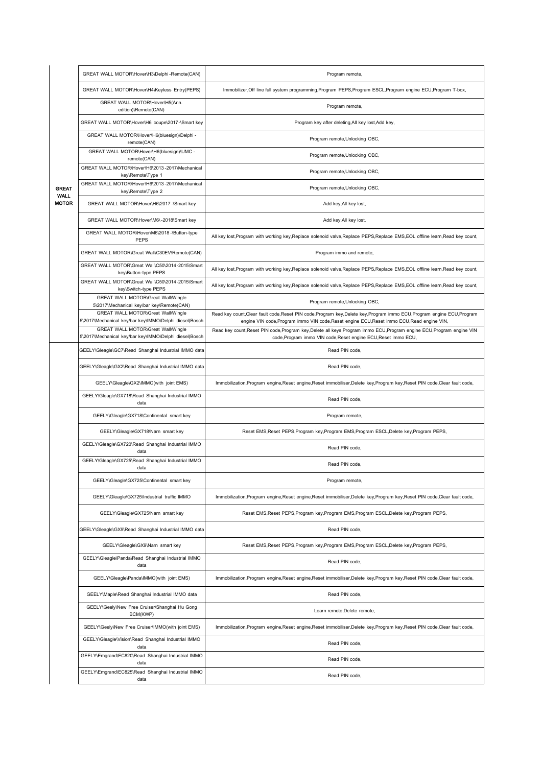|                             | GREAT WALL MOTOR\Hover\H3\Delphi -Remote(CAN)                                                | Program remote,                                                                                                                                                                                                        |
|-----------------------------|----------------------------------------------------------------------------------------------|------------------------------------------------------------------------------------------------------------------------------------------------------------------------------------------------------------------------|
|                             | GREAT WALL MOTOR\Hover\H4\Keyless Entry(PEPS)                                                | Immobilizer, Off line full system programming, Program PEPS, Program ESCL, Program engine ECU, Program T-box,                                                                                                          |
|                             | GREAT WALL MOTOR\Hover\H5(Ann.<br>edition)\Remote(CAN)                                       | Program remote,                                                                                                                                                                                                        |
|                             | GREAT WALL MOTOR\Hover\H6 coupe\2017-\Smart key                                              | Program key after deleting, All key lost, Add key,                                                                                                                                                                     |
|                             | GREAT WALL MOTOR\Hover\H6(bluesign)\Delphi -<br>remote(CAN)                                  | Program remote, Unlocking OBC,                                                                                                                                                                                         |
|                             | GREAT WALL MOTOR\Hover\H6(bluesign)\UMC -<br>remote(CAN)                                     | Program remote, Unlocking OBC,                                                                                                                                                                                         |
|                             | GREAT WALL MOTOR\Hover\H6\2013-2017\Mechanical<br>key\Remote\Type 1                          | Program remote, Unlocking OBC,                                                                                                                                                                                         |
| <b>GREAT</b>                | GREAT WALL MOTOR\Hover\H6\2013-2017\Mechanical<br>key\Remote\Type 2                          | Program remote, Unlocking OBC,                                                                                                                                                                                         |
| <b>WALL</b><br><b>MOTOR</b> | GREAT WALL MOTOR\Hover\H6\2017 -\Smart key                                                   | Add key, All key lost,                                                                                                                                                                                                 |
|                             | GREAT WALL MOTOR\Hover\M6\-2018\Smart key                                                    | Add key, All key lost,                                                                                                                                                                                                 |
|                             | GREAT WALL MOTOR\Hover\M6\2018 -\Button-type<br><b>PEPS</b>                                  | All key lost, Program with working key, Replace solenoid valve, Replace PEPS, Replace EMS, EOL offline learn, Read key count,                                                                                          |
|                             | GREAT WALL MOTOR\Great Wall\C30EV\Remote(CAN)                                                | Program immo and remote,                                                                                                                                                                                               |
|                             | GREAT WALL MOTOR\Great Wall\C50\2014-2015\Smart<br>key\Button-type PEPS                      | All key lost, Program with working key, Replace solenoid valve, Replace PEPS, Replace EMS, EOL offline learn, Read key count,                                                                                          |
|                             | GREAT WALL MOTOR\Great Wall\C50\2014-2015\Smart<br>key\Switch-type PEPS                      | All key lost, Program with working key, Replace solenoid valve, Replace PEPS, Replace EMS, EOL offline learn, Read key count,                                                                                          |
|                             | GREAT WALL MOTOR\Great Wall\Wingle<br>5\2017\Mechanical key/bar key\Remote(CAN)              | Program remote, Unlocking OBC,                                                                                                                                                                                         |
|                             | GREAT WALL MOTOR\Great Wall\Wingle<br>5\2017\Mechanical key/bar key\IMMO\Delphi diesel(Bosch | Read key count, Clear fault code, Reset PIN code, Program key, Delete key, Program immo ECU, Program engine ECU, Program<br>engine VIN code, Program immo VIN code, Reset engine ECU, Reset immo ECU, Read engine VIN, |
|                             | GREAT WALL MOTOR\Great Wall\Wingle<br>5\2017\Mechanical key/bar key\IMMO\Delphi diesel(Bosch | Read key count, Reset PIN code, Program key, Delete all keys, Program immo ECU, Program engine ECU, Program engine VIN<br>code, Program immo VIN code, Reset engine ECU, Reset immo ECU,                               |
|                             | GEELY\Gleagle\GC7\Read Shanghai Industrial IMMO data                                         | Read PIN code,                                                                                                                                                                                                         |
|                             | GEELY\Gleagle\GX2\Read Shanghai Industrial IMMO data                                         | Read PIN code,                                                                                                                                                                                                         |
|                             | GEELY\Gleagle\GX2\IMMO(with joint EMS)                                                       | Immobilization, Program engine, Reset engine, Reset immobiliser, Delete key, Program key, Reset PIN code, Clear fault code,                                                                                            |
|                             | GEELY\Gleagle\GX718\Read Shanghai Industrial IMMO<br>data                                    | Read PIN code,                                                                                                                                                                                                         |
|                             | GEELY\Gleagle\GX718\Continental smart key                                                    | Program remote,                                                                                                                                                                                                        |
|                             | GEELY\Gleagle\GX718\Narn smart key                                                           | Reset EMS, Reset PEPS, Program key, Program EMS, Program ESCL, Delete key, Program PEPS,                                                                                                                               |
|                             | GEELY\Gleagle\GX720\Read Shanghai Industrial IMMO<br>data                                    | Read PIN code,                                                                                                                                                                                                         |
|                             | GEELY\Gleagle\GX725\Read Shanghai Industrial IMMO<br>data                                    | Read PIN code,                                                                                                                                                                                                         |
|                             | GEELY\Gleagle\GX725\Continental smart key                                                    | Program remote,                                                                                                                                                                                                        |
|                             | GEELY\Gleagle\GX725\Industrial_traffic IMMO                                                  | Immobilization, Program engine, Reset engine, Reset immobiliser, Delete key, Program key, Reset PIN code, Clear fault code,                                                                                            |
|                             | GEELY\Gleagle\GX725\Narn smart key                                                           | Reset EMS, Reset PEPS, Program key, Program EMS, Program ESCL, Delete key, Program PEPS,                                                                                                                               |
|                             | GEELY\Gleagle\GX9\Read Shanghai Industrial IMMO data                                         | Read PIN code,                                                                                                                                                                                                         |
|                             | GEELY\Gleagle\GX9\Narn smart key                                                             | Reset EMS, Reset PEPS, Program key, Program EMS, Program ESCL, Delete key, Program PEPS,                                                                                                                               |
|                             | GEELY\Gleagle\Panda\Read Shanghai Industrial IMMO<br>data                                    | Read PIN code,                                                                                                                                                                                                         |
|                             | GEELY\Gleagle\Panda\IMMO(with joint EMS)                                                     | Immobilization, Program engine, Reset engine, Reset immobiliser, Delete key, Program key, Reset PIN code, Clear fault code,                                                                                            |
|                             | GEELY\Maple\Read Shanghai Industrial IMMO data                                               | Read PIN code,                                                                                                                                                                                                         |
|                             | GEELY\Geely\New Free Cruiser\Shanghai Hu Gong<br>BCM(KWP)                                    | Learn remote, Delete remote,                                                                                                                                                                                           |
|                             | GEELY\Geely\New Free Cruiser\IMMO(with joint EMS)                                            | Immobilization, Program engine, Reset engine, Reset immobiliser, Delete key, Program key, Reset PIN code, Clear fault code,                                                                                            |
|                             | GEELY\Gleagle\Vision\Read Shanghai Industrial IMMO<br>data                                   | Read PIN code,                                                                                                                                                                                                         |
|                             | GEELY\Emgrand\EC820\Read Shanghai Industrial IMMO<br>data                                    | Read PIN code,                                                                                                                                                                                                         |
|                             | GEELY\Emgrand\EC825\Read Shanghai Industrial IMMO<br>data                                    | Read PIN code,                                                                                                                                                                                                         |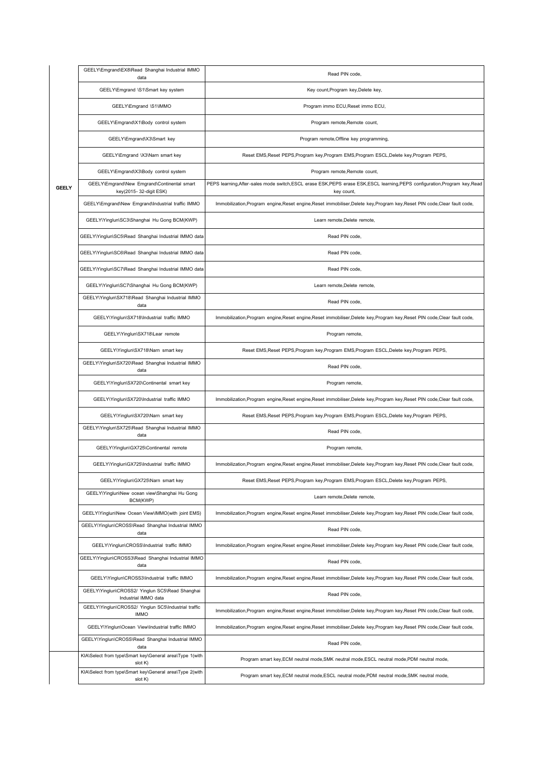|              | GEELY\Emgrand\EX8\Read Shanghai Industrial IMMO<br>data                 | Read PIN code,                                                                                                                             |
|--------------|-------------------------------------------------------------------------|--------------------------------------------------------------------------------------------------------------------------------------------|
|              | GEELY\Emgrand \S1\Smart key system                                      | Key count, Program key, Delete key,                                                                                                        |
|              | GEELY\Emgrand \S1\IMMO                                                  | Program immo ECU, Reset immo ECU,                                                                                                          |
|              | GEELY\Emgrand\X1\Body control system                                    | Program remote, Remote count,                                                                                                              |
|              | GEELY\Emgrand\X3\Smart key                                              | Program remote, Offline key programming,                                                                                                   |
|              | GEELY\Emgrand \X3\Narn smart key                                        | Reset EMS, Reset PEPS, Program key, Program EMS, Program ESCL, Delete key, Program PEPS,                                                   |
|              | GEELY\Emgrand\X3\Body control system                                    | Program remote, Remote count,                                                                                                              |
| <b>GEELY</b> | GEELY\Emgrand\New Emgrand\Continental smart<br>key(2015-32-digit ESK)   | PEPS learning, After-sales mode switch, ESCL erase ESK, PEPS erase ESK, ESCL learning, PEPS configuration, Program key, Read<br>key count, |
|              | GEELY\Emgrand\New Emgrand\Industrial traffic IMMO                       | Immobilization, Program engine, Reset engine, Reset immobiliser, Delete key, Program key, Reset PIN code, Clear fault code,                |
|              | GEELY\Yinglun\SC3\Shanghai Hu Gong BCM(KWP)                             | Learn remote, Delete remote,                                                                                                               |
|              | GEELY\Yinglun\SC5\Read Shanghai Industrial IMMO data                    | Read PIN code,                                                                                                                             |
|              | GEELY\Yinglun\SC6\Read Shanghai Industrial IMMO data                    | Read PIN code,                                                                                                                             |
|              | GEELY\Yinglun\SC7\Read Shanghai Industrial IMMO data                    | Read PIN code,                                                                                                                             |
|              | GEELY\Yinglun\SC7\Shanghai Hu Gong BCM(KWP)                             | Learn remote, Delete remote,                                                                                                               |
|              | GEELY\Yinglun\SX718\Read Shanghai Industrial IMMO<br>data               | Read PIN code,                                                                                                                             |
|              | GEELY\Yinglun\SX718\Industrial_traffic IMMO                             | Immobilization, Program engine, Reset engine, Reset immobiliser, Delete key, Program key, Reset PIN code, Clear fault code,                |
|              | GEELY\Yinglun\SX718\Lear remote                                         | Program remote,                                                                                                                            |
|              | GEELY\Yinglun\SX718\Narn smart key                                      | Reset EMS, Reset PEPS, Program key, Program EMS, Program ESCL, Delete key, Program PEPS,                                                   |
|              | GEELY\Yinglun\SX720\Read Shanghai Industrial IMMO<br>data               | Read PIN code,                                                                                                                             |
|              | GEELY\Yinglun\SX720\Continental smart key                               | Program remote,                                                                                                                            |
|              | GEELY\Yinglun\SX720\Industrial traffic IMMO                             | Immobilization, Program engine, Reset engine, Reset immobiliser, Delete key, Program key, Reset PIN code, Clear fault code,                |
|              | GEELY\Yinglun\SX720\Narn smart key                                      | Reset EMS, Reset PEPS, Program key, Program EMS, Program ESCL, Delete key, Program PEPS,                                                   |
|              | GEELY\Yinglun\SX725\Read Shanghai Industrial IMMO<br>data               | Read PIN code,                                                                                                                             |
|              | GEELY\Yinglun\GX725\Continental remote                                  | Program remote,                                                                                                                            |
|              | GEELY\Yinglun\GX725\Industrial traffic IMMO                             | Immobilization, Program engine, Reset engine, Reset immobiliser, Delete key, Program key, Reset PIN code, Clear fault code,                |
|              | GEELY\Yinglun\GX725\Narn smart key                                      | Reset EMS, Reset PEPS, Program key, Program EMS, Program ESCL, Delete key, Program PEPS,                                                   |
|              | GEELY\Yinglun\New ocean view\Shanghai Hu Gong<br>BCM(KWP)               | Learn remote, Delete remote,                                                                                                               |
|              | GEELY\Yinglun\New Ocean View\IMMO(with joint EMS)                       | Immobilization, Program engine, Reset engine, Reset immobiliser, Delete key, Program key, Reset PIN code, Clear fault code,                |
|              | GEELY\Yinglun\CROSS\Read Shanghai Industrial IMMO<br>data               | Read PIN code,                                                                                                                             |
|              | GEELY\Yinglun\CROSS\Industrial_traffic IMMO                             | Immobilization, Program engine, Reset engine, Reset immobiliser, Delete key, Program key, Reset PIN code, Clear fault code,                |
|              | GEELY\Yinglun\CROSS3\Read Shanghai Industrial IMMO<br>data              | Read PIN code,                                                                                                                             |
|              | GEELY\Yinglun\CROSS3\Industrial_traffic IMMO                            | Immobilization, Program engine, Reset engine, Reset immobiliser, Delete key, Program key, Reset PIN code, Clear fault code,                |
|              | GEELY\Yinglun\CROSS2/ Yinglun SC5\Read Shanghai<br>Industrial IMMO data | Read PIN code,                                                                                                                             |
|              | GEELY\Yinglun\CROSS2/ Yinglun SC5\Industrial traffic<br><b>IMMO</b>     | Immobilization, Program engine, Reset engine, Reset immobiliser, Delete key, Program key, Reset PIN code, Clear fault code,                |
|              | GEELY\Yinglun\Ocean View\Industrial traffic IMMO                        | Immobilization, Program engine, Reset engine, Reset immobiliser, Delete key, Program key, Reset PIN code, Clear fault code,                |
|              | GEELY\Yinglun\CROSS\Read Shanghai Industrial IMMO<br>data               | Read PIN code,                                                                                                                             |
|              | KIA\Select from type\Smart key\General area\Type 1(with<br>slot K)      | Program smart key, ECM neutral mode, SMK neutral mode, ESCL neutral mode, PDM neutral mode,                                                |
|              | KIA\Select from type\Smart key\General area\Type 2(with<br>slot K)      | Program smart key, ECM neutral mode, ESCL neutral mode, PDM neutral mode, SMK neutral mode,                                                |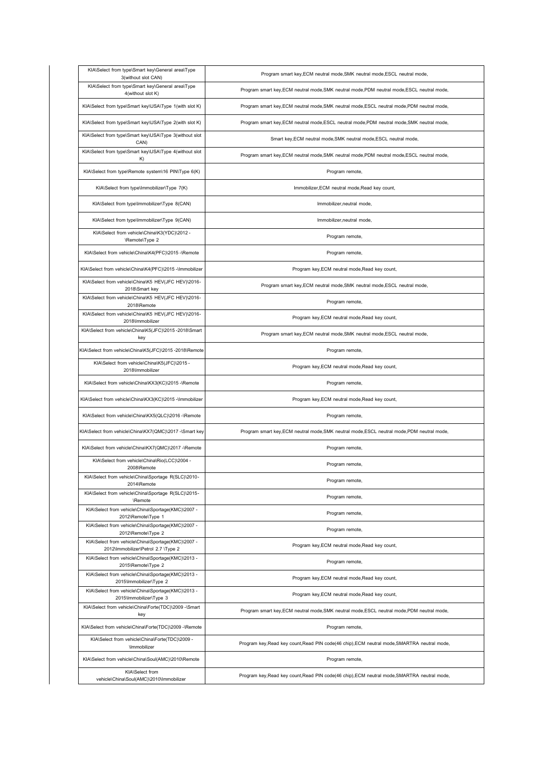| KIA\Select from type\Smart key\General area\Type<br>3(without slot CAN)                                                                                                                     | Program smart key, ECM neutral mode, SMK neutral mode, ESCL neutral mode,                    |
|---------------------------------------------------------------------------------------------------------------------------------------------------------------------------------------------|----------------------------------------------------------------------------------------------|
| KIA\Select from type\Smart key\General area\Type<br>4(without slot K)                                                                                                                       | Program smart key, ECM neutral mode, SMK neutral mode, PDM neutral mode, ESCL neutral mode,  |
| KIA\Select from type\Smart key\USA\Type 1(with slot K)                                                                                                                                      | Program smart key, ECM neutral mode, SMK neutral mode, ESCL neutral mode, PDM neutral mode,  |
| KIA\Select from type\Smart key\USA\Type 2(with slot K)                                                                                                                                      | Program smart key, ECM neutral mode, ESCL neutral mode, PDM neutral mode, SMK neutral mode,  |
| KIA\Select from type\Smart key\USA\Type 3(without slot<br>CAN)                                                                                                                              | Smart key, ECM neutral mode, SMK neutral mode, ESCL neutral mode,                            |
| KIA\Select from type\Smart key\USA\Type 4(without slot<br>K)                                                                                                                                | Program smart key, ECM neutral mode, SMK neutral mode, PDM neutral mode, ESCL neutral mode,  |
| KIA\Select from type\Remote system\16 PIN\Type 6(K)                                                                                                                                         | Program remote,                                                                              |
| KIA\Select from type\Immobilizer\Type 7(K)                                                                                                                                                  | Immobilizer, ECM neutral mode, Read key count,                                               |
| KIA\Select from type\Immobilizer\Type 8(CAN)                                                                                                                                                | Immobilizer, neutral mode,                                                                   |
| KIA\Select from type\Immobilizer\Type 9(CAN)                                                                                                                                                | Immobilizer, neutral mode,                                                                   |
| KIA\Select from vehicle\China\K3(YDC)\2012 -<br>\Remote\Type 2                                                                                                                              | Program remote,                                                                              |
| KIA\Select from vehicle\China\K4(PFC)\2015 -\Remote                                                                                                                                         | Program remote,                                                                              |
| KIA\Select from vehicle\China\K4(PFC)\2015 -\Immobilizer                                                                                                                                    | Program key, ECM neutral mode, Read key count,                                               |
| KIA\Select from vehicle\China\K5 HEV(JFC HEV)\2016-<br>2018\Smart key                                                                                                                       | Program smart key, ECM neutral mode, SMK neutral mode, ESCL neutral mode,                    |
| KIA\Select from vehicle\China\K5 HEV(JFC HEV)\2016-<br>2018\Remote                                                                                                                          | Program remote,                                                                              |
| KIA\Select from vehicle\China\K5 HEV(JFC HEV)\2016-<br>2018\Immobilizer                                                                                                                     | Program key, ECM neutral mode, Read key count,                                               |
| KIA\Select from vehicle\China\K5(JFC)\2015 -2018\Smart<br>key                                                                                                                               | Program smart key, ECM neutral mode, SMK neutral mode, ESCL neutral mode,                    |
| KIA\Select from vehicle\China\K5(JFC)\2015 -2018\Remote                                                                                                                                     | Program remote,                                                                              |
| KIA\Select from vehicle\China\K5(JFC)\2015 -<br>2018\Immobilizer                                                                                                                            | Program key, ECM neutral mode, Read key count,                                               |
| KIA\Select from vehicle\China\KX3(KC)\2015 -\Remote                                                                                                                                         | Program remote,                                                                              |
| KIA\Select from vehicle\China\KX3(KC)\2015 -\Immobilizer                                                                                                                                    | Program key, ECM neutral mode, Read key count,                                               |
| KIA\Select from vehicle\China\KX5(QLC)\2016 -\Remote                                                                                                                                        | Program remote,                                                                              |
| <ia\select -\smart="" from="" key<="" td="" vehicle\china\kx7(qmc)\2017=""><td>Program smart key, ECM neutral mode, SMK neutral mode, ESCL neutral mode, PDM neutral mode,</td></ia\select> | Program smart key, ECM neutral mode, SMK neutral mode, ESCL neutral mode, PDM neutral mode,  |
| KIA\Select from vehicle\China\KX7(QMC)\2017 -\Remote                                                                                                                                        | Program remote,                                                                              |
| KIA\Select from vehicle\China\Rio(LCC)\2004 -<br>2008\Remote                                                                                                                                | Program remote,                                                                              |
| KIA\Select from vehicle\China\Sportage R(SLC)\2010-<br>2014\Remote                                                                                                                          | Program remote,                                                                              |
| KIA\Select from vehicle\China\Sportage R(SLC)\2015-<br>\Remote                                                                                                                              | Program remote,                                                                              |
| KIA\Select from vehicle\China\Sportage(KMC)\2007 -<br>2012\Remote\Type 1                                                                                                                    | Program remote,                                                                              |
| KIA\Select from vehicle\China\Sportage(KMC)\2007 -<br>2012\Remote\Type 2                                                                                                                    | Program remote,                                                                              |
| KIA\Select from vehicle\China\Sportage(KMC)\2007 -<br>2012\Immobilizer\Petrol 2.7 \Type 2                                                                                                   | Program key, ECM neutral mode, Read key count,                                               |
| KIA\Select from vehicle\China\Sportage(KMC)\2013 -<br>2015\Remote\Type 2                                                                                                                    | Program remote,                                                                              |
| KIA\Select from vehicle\China\Sportage(KMC)\2013 -<br>2015\Immobilizer\Type 2                                                                                                               | Program key, ECM neutral mode, Read key count,                                               |
| KIA\Select from vehicle\China\Sportage(KMC)\2013 -<br>2015\Immobilizer\Type 3                                                                                                               | Program key, ECM neutral mode, Read key count,                                               |
| KIA\Select from vehicle\China\Forte(TDC)\2009 -\Smart<br>key                                                                                                                                | Program smart key, ECM neutral mode, SMK neutral mode, ESCL neutral mode, PDM neutral mode,  |
| KIA\Select from vehicle\China\Forte(TDC)\2009 -\Remote                                                                                                                                      | Program remote,                                                                              |
| KIA\Select from vehicle\China\Forte(TDC)\2009 -<br><b>Immobilizer</b>                                                                                                                       | Program key, Read key count, Read PIN code(46 chip), ECM neutral mode, SMARTRA neutral mode, |
| KIA\Select from vehicle\China\Soul(AMC)\2010\Remote                                                                                                                                         | Program remote,                                                                              |
| KIA\Select from<br>vehicle\China\Soul(AMC)\2010\Immobilizer                                                                                                                                 | Program key, Read key count, Read PIN code(46 chip), ECM neutral mode, SMARTRA neutral mode, |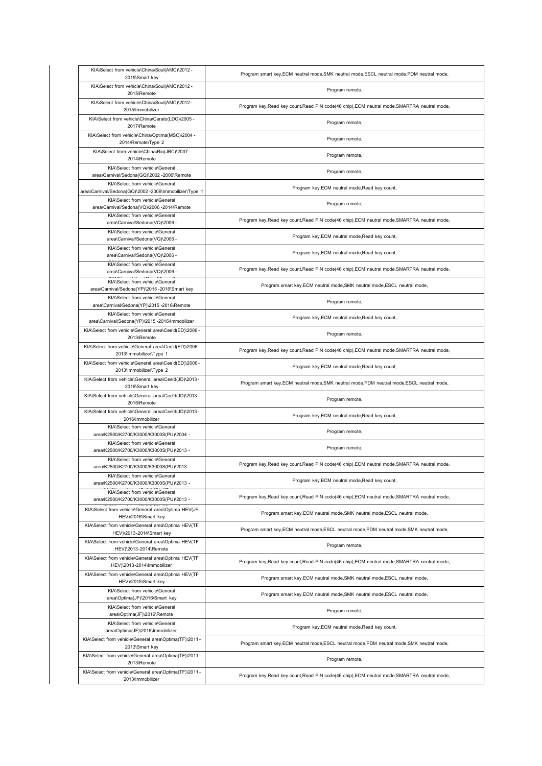| KIA\Select from vehicle\China\Soul(AMC)\2012 -                                            |                                                                                              |
|-------------------------------------------------------------------------------------------|----------------------------------------------------------------------------------------------|
| 2015\Smart key                                                                            | Program smart key, ECM neutral mode, SMK neutral mode, ESCL neutral mode, PDM neutral mode,  |
| KIA\Select from vehicle\China\Soul(AMC)\2012 -<br>2015\Remote                             | Program remote,                                                                              |
| KIA\Select from vehicle\China\Soul(AMC)\2012 -<br>2015\Immobilizer                        | Program key, Read key count, Read PIN code(46 chip), ECM neutral mode, SMARTRA neutral mode, |
| KIA\Select from vehicle\China\Cerato(LDC)\2005 -<br>2017\Remote                           | Program remote,                                                                              |
| KIA\Select from vehicle\China\Optima(MSC)\2004 -<br>2014\Remote\Type 2                    | Program remote,                                                                              |
| KIA\Select from vehicle\China\Rio(JBC)\2007 -<br>2014\Remote                              | Program remote,                                                                              |
| KIA\Select from vehicle\General<br>area\Carnival/Sedona(GQ)\2002 -2006\Remote             | Program remote,                                                                              |
| KIA\Select from vehicle\General<br>area\Carnival/Sedona(GQ)\2002 -2006\Immobilizer\Type 1 | Program key, ECM neutral mode, Read key count,                                               |
| KIA\Select from vehicle\General<br>area\Carnival/Sedona(VQ)\2006 -2014\Remote             | Program remote,                                                                              |
| KIA\Select from vehicle\General<br>area\Carnival/Sedona(VQ)\2006 -                        | Program key, Read key count, Read PIN code(46 chip), ECM neutral mode, SMARTRA neutral mode, |
| KIA\Select from vehicle\General<br>area\Carnival/Sedona(VQ)\2006 -                        | Program key, ECM neutral mode, Read key count,                                               |
| KIA\Select from vehicle\General<br>area\Carnival/Sedona(VQ)\2006 -                        | Program key, ECM neutral mode, Read key count,                                               |
| KIA\Select from vehicle\General<br>area\Carnival/Sedona(VQ)\2006 -                        | Program key, Read key count, Read PIN code(46 chip), ECM neutral mode, SMARTRA neutral mode, |
| KIA\Select from vehicle\General<br>area\Carnival/Sedona(YP)\2015 -2016\Smart key          | Program smart key, ECM neutral mode, SMK neutral mode, ESCL neutral mode,                    |
| KIA\Select from vehicle\General<br>area\Carnival/Sedona(YP)\2015 -2016\Remote             | Program remote,                                                                              |
| KIA\Select from vehicle\General<br>area\Carnival/Sedona(YP)\2015 -2016\Immobilizer        | Program key, ECM neutral mode, Read key count,                                               |
| KIA\Select from vehicle\General area\Cee'd(ED)\2006 -<br>2013\Remote                      | Program remote,                                                                              |
| KIA\Select from vehicle\General area\Cee'd(ED)\2006 -<br>2013\Immobilizer\Type 1          | Program key, Read key count, Read PIN code(46 chip), ECM neutral mode, SMARTRA neutral mode, |
| KIA\Select from vehicle\General area\Cee'd(ED)\2006 -<br>2013\Immobilizer\Type 2          | Program key, ECM neutral mode, Read key count,                                               |
| KIA\Select from vehicle\General area\Cee'd(JD)\2013 -<br>2016\Smart key                   | Program smart key, ECM neutral mode, SMK neutral mode, PDM neutral mode, ESCL neutral mode,  |
| KIA\Select from vehicle\General area\Cee'd(JD)\2013 -<br>2016\Remote                      | Program remote,                                                                              |
| KIA\Select from vehicle\General area\Cee'd(JD)\2013 -<br>2016\Immobilizer                 | Program key, ECM neutral mode, Read key count,                                               |
| KIA\Select from vehicle\General<br>area\K2500/K2700/K3000/K3000S(PU)\2004 -               | Program remote,                                                                              |
| KIA\Select from vehicle\General<br>area\K2500/K2700/K3000/K3000S(PU)\2013 -               | Program remote,                                                                              |
| KIA\Select from vehicle\General<br>area\K2500/K2700/K3000/K3000S(PU)\2013 -               | Program key, Read key count, Read PIN code(46 chip), ECM neutral mode, SMARTRA neutral mode, |
| KIA\Select from vehicle\General<br>area\K2500/K2700/K3000/K3000S(PU)\2013 -               | Program key, ECM neutral mode, Read key count,                                               |
| KIA\Select from vehicle\General<br>area\K2500/K2700/K3000/K3000S(PU)\2013 -               | Program key, Read key count, Read PIN code(46 chip), ECM neutral mode, SMARTRA neutral mode, |
| KIA\Select from vehicle\General area\Optima HEV(JF<br>HEV)\2016\Smart key                 | Program smart key, ECM neutral mode, SMK neutral mode, ESCL neutral mode,                    |
| KIA\Select from vehicle\General area\Optima HEV(TF<br>HEV)\2013-2014\Smart key            | Program smart key, ECM neutral mode, ESCL neutral mode, PDM neutral mode, SMK neutral mode,  |
| KIA\Select from vehicle\General area\Optima HEV(TF<br>HEV)\2013-2014\Remote               | Program remote,                                                                              |
| KIA\Select from vehicle\General area\Optima HEV(TF<br>HEV)\2013-2014\Immobilizer          | Program key, Read key count, Read PIN code(46 chip), ECM neutral mode, SMARTRA neutral mode, |
| KIA\Select from vehicle\General area\Optima HEV(TF<br>HEV)\2015\Smart key                 | Program smart key, ECM neutral mode, SMK neutral mode, ESCL neutral mode,                    |
| KIA\Select from vehicle\General<br>area\Optima(JF)\2016\Smart key                         | Program smart key, ECM neutral mode, SMK neutral mode, ESCL neutral mode,                    |
| KIA\Select from vehicle\General<br>area\Optima(JF)\2016\Remote                            | Program remote,                                                                              |
| KIA\Select from vehicle\General<br>area\Optima(JF)\2016\Immobilizer                       | Program key, ECM neutral mode, Read key count,                                               |
| KIA\Select from vehicle\General area\Optima(TF)\2011 -<br>2013\Smart key                  | Program smart key, ECM neutral mode, ESCL neutral mode, PDM neutral mode, SMK neutral mode,  |
| KIA\Select from vehicle\General area\Optima(TF)\2011 -<br>2013\Remote                     | Program remote,                                                                              |
| KIA\Select from vehicle\General area\Optima(TF)\2011 -<br>2013\Immobilizer                | Program key, Read key count, Read PIN code(46 chip), ECM neutral mode, SMARTRA neutral mode, |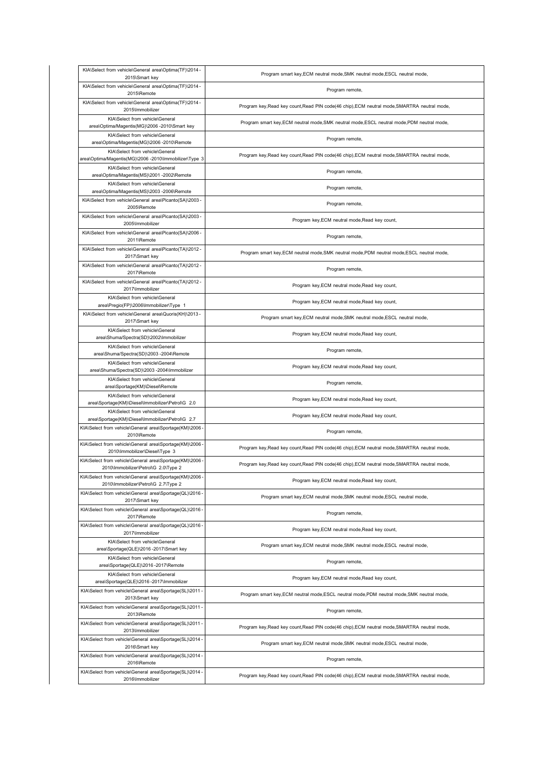| KIA\Select from vehicle\General area\Optima(TF)\2014 -<br>2015\Smart key                         | Program smart key, ECM neutral mode, SMK neutral mode, ESCL neutral mode,                    |
|--------------------------------------------------------------------------------------------------|----------------------------------------------------------------------------------------------|
| KIA\Select from vehicle\General area\Optima(TF)\2014 -<br>2015\Remote                            | Program remote,                                                                              |
| KIA\Select from vehicle\General area\Optima(TF)\2014 -<br>2015\Immobilizer                       | Program key, Read key count, Read PIN code(46 chip), ECM neutral mode, SMARTRA neutral mode, |
| KIA\Select from vehicle\General<br>area\Optima/Magentis(MG)\2006 -2010\Smart key                 | Program smart key, ECM neutral mode, SMK neutral mode, ESCL neutral mode, PDM neutral mode,  |
| KIA\Select from vehicle\General<br>area\Optima/Magentis(MG)\2006 -2010\Remote                    | Program remote,                                                                              |
| KIA\Select from vehicle\General<br>area\Optima/Magentis(MG)\2006 -2010\Immobilizer\Type 3        | Program key, Read key count, Read PIN code(46 chip), ECM neutral mode, SMARTRA neutral mode, |
| KIA\Select from vehicle\General<br>area\Optima/Magentis(MS)\2001 -2002\Remote                    | Program remote,                                                                              |
| KIA\Select from vehicle\General<br>area\Optima/Magentis(MS)\2003 -2006\Remote                    | Program remote,                                                                              |
| KIA\Select from vehicle\General area\Picanto(SA)\2003 -<br>2005\Remote                           | Program remote,                                                                              |
| KIA\Select from vehicle\General area\Picanto(SA)\2003 -<br>2005\Immobilizer                      | Program key, ECM neutral mode, Read key count,                                               |
| KIA\Select from vehicle\General area\Picanto(SA)\2006 -<br>2011\Remote                           | Program remote,                                                                              |
| KIA\Select from vehicle\General area\Picanto(TA)\2012 -<br>2017\Smart key                        | Program smart key, ECM neutral mode, SMK neutral mode, PDM neutral mode, ESCL neutral mode,  |
| KIA\Select from vehicle\General area\Picanto(TA)\2012 -<br>2017\Remote                           | Program remote,                                                                              |
| KIA\Select from vehicle\General area\Picanto(TA)\2012 -<br>2017\Immobilizer                      | Program key, ECM neutral mode, Read key count,                                               |
| KIA\Select from vehicle\General<br>area\Pregio(FP)\2006\Immobilizer\Type 1                       | Program key, ECM neutral mode, Read key count,                                               |
| KIA\Select from vehicle\General area\Quoris(KH)\2013-<br>2017\Smart key                          | Program smart key, ECM neutral mode, SMK neutral mode, ESCL neutral mode,                    |
| KIA\Select from vehicle\General<br>area\Shuma/Spectra(SD)\2002\Immobilizer                       | Program key, ECM neutral mode, Read key count,                                               |
| KIA\Select from vehicle\General<br>area\Shuma/Spectra(SD)\2003 -2004\Remote                      | Program remote,                                                                              |
| KIA\Select from vehicle\General<br>area\Shuma/Spectra(SD)\2003 -2004\Immobilizer                 | Program key, ECM neutral mode, Read key count,                                               |
| KIA\Select from vehicle\General<br>area\Sportage(KM)\Diesel\Remote                               | Program remote,                                                                              |
| KIA\Select from vehicle\General<br>area\Sportage(KM)\Diesel\Immobilizer\Petrol\G 2.0             | Program key, ECM neutral mode, Read key count,                                               |
| KIA\Select from vehicle\General<br>area\Sportage(KM)\Diesel\Immobilizer\Petrol\G 2.7             | Program key, ECM neutral mode, Read key count,                                               |
| KIA\Select from vehicle\General area\Sportage(KM)\2006<br>2010\Remote                            | Program remote,                                                                              |
| KIA\Select from vehicle\General area\Sportage(KM)\2006<br>2010\Immobilizer\Diesel\Type 3         | Program key, Read key count, Read PIN code(46 chip), ECM neutral mode, SMARTRA neutral mode, |
| KIA\Select from vehicle\General area\Sportage(KM)\2006 -<br>2010\Immobilizer\Petrol\G 2.0\Type 2 | Program key, Read key count, Read PIN code(46 chip), ECM neutral mode, SMARTRA neutral mode, |
| KIA\Select from vehicle\General area\Sportage(KM)\2006 -<br>2010\Immobilizer\Petrol\G_2.7\Type 2 | Program key, ECM neutral mode, Read key count,                                               |
| KIA\Select from vehicle\General area\Sportage(QL)\2016 -<br>2017\Smart key                       | Program smart key, ECM neutral mode, SMK neutral mode, ESCL neutral mode,                    |
| KIA\Select from vehicle\General area\Sportage(QL)\2016 -<br>2017\Remote                          | Program remote,                                                                              |
| KIA\Select from vehicle\General area\Sportage(QL)\2016 -<br>2017\Immobilizer                     | Program key, ECM neutral mode, Read key count,                                               |
| KIA\Select from vehicle\General<br>area\Sportage(QLE)\2016-2017\Smart key                        | Program smart key, ECM neutral mode, SMK neutral mode, ESCL neutral mode,                    |
| KIA\Select from vehicle\General<br>area\Sportage(QLE)\2016-2017\Remote                           | Program remote,                                                                              |
| KIA\Select from vehicle\General<br>area\Sportage(QLE)\2016-2017\Immobilizer                      | Program key, ECM neutral mode, Read key count,                                               |
| KIA\Select from vehicle\General area\Sportage(SL)\2011-<br>2013\Smart key                        | Program smart key, ECM neutral mode, ESCL neutral mode, PDM neutral mode, SMK neutral mode,  |
| KIA\Select from vehicle\General area\Sportage(SL)\2011-<br>2013\Remote                           | Program remote,                                                                              |
| KIA\Select from vehicle\General area\Sportage(SL)\2011-<br>2013\Immobilizer                      | Program key, Read key count, Read PIN code(46 chip), ECM neutral mode, SMARTRA neutral mode, |
| KIA\Select from vehicle\General area\Sportage(SL)\2014 -<br>2016\Smart key                       | Program smart key, ECM neutral mode, SMK neutral mode, ESCL neutral mode,                    |
| KIA\Select from vehicle\General area\Sportage(SL)\2014 -<br>2016\Remote                          | Program remote,                                                                              |
| KIA\Select from vehicle\General area\Sportage(SL)\2014 -<br>2016\Immobilizer                     | Program key, Read key count, Read PIN code(46 chip), ECM neutral mode, SMARTRA neutral mode, |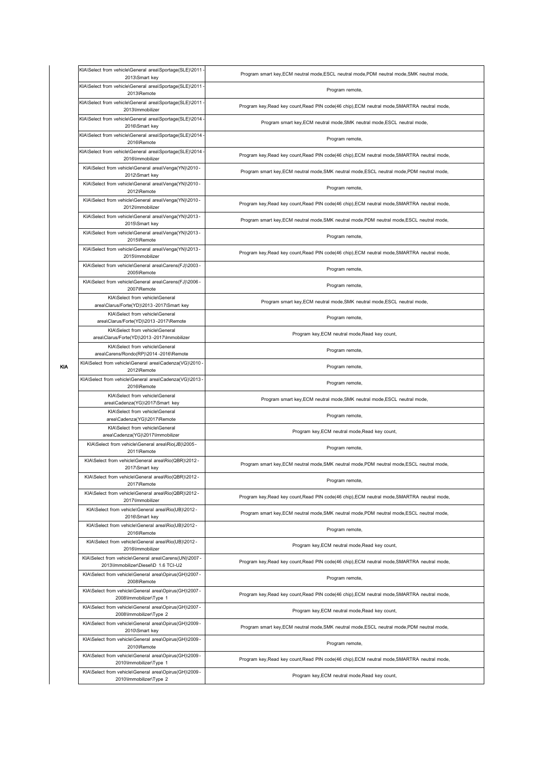| KIA\Select from vehicle\General area\Sportage(SLE)\2011 -<br>2013\Smart key                    | Program smart key, ECM neutral mode, ESCL neutral mode, PDM neutral mode, SMK neutral mode,  |
|------------------------------------------------------------------------------------------------|----------------------------------------------------------------------------------------------|
| KIA\Select from vehicle\General area\Sportage(SLE)\2011<br>2013\Remote                         | Program remote,                                                                              |
| KIA\Select from vehicle\General area\Sportage(SLE)\2011<br>2013\Immobilizer                    | Program key, Read key count, Read PIN code(46 chip), ECM neutral mode, SMARTRA neutral mode, |
| KIA\Select from vehicle\General area\Sportage(SLE)\2014<br>2016\Smart key                      | Program smart key, ECM neutral mode, SMK neutral mode, ESCL neutral mode,                    |
| KIA\Select from vehicle\General area\Sportage(SLE)\2014<br>2016\Remote                         | Program remote,                                                                              |
| KIA\Select from vehicle\General area\Sportage(SLE)\2014<br>2016\Immobilizer                    | Program key, Read key count, Read PIN code(46 chip), ECM neutral mode, SMARTRA neutral mode, |
| KIA\Select from vehicle\General area\Venga(YN)\2010-<br>2012\Smart key                         | Program smart key, ECM neutral mode, SMK neutral mode, ESCL neutral mode, PDM neutral mode,  |
| KIA\Select from vehicle\General area\Venga(YN)\2010-<br>2012\Remote                            | Program remote,                                                                              |
| KIA\Select from vehicle\General area\Venga(YN)\2010-<br>2012\Immobilizer                       | Program key, Read key count, Read PIN code(46 chip), ECM neutral mode, SMARTRA neutral mode, |
| KIA\Select from vehicle\General area\Venga(YN)\2013-<br>2015\Smart key                         | Program smart key, ECM neutral mode, SMK neutral mode, PDM neutral mode, ESCL neutral mode,  |
| KIA\Select from vehicle\General area\Venga(YN)\2013-<br>2015\Remote                            | Program remote,                                                                              |
| KIA\Select from vehicle\General area\Venga(YN)\2013-<br>2015\Immobilizer                       | Program key, Read key count, Read PIN code(46 chip), ECM neutral mode, SMARTRA neutral mode, |
| KIA\Select from vehicle\General area\Carens(FJ)\2003 -<br>2005\Remote                          | Program remote,                                                                              |
| KIA\Select from vehicle\General area\Carens(FJ)\2006 -<br>2007\Remote                          | Program remote,                                                                              |
| KIA\Select from vehicle\General<br>area\Clarus/Forte(YD)\2013 -2017\Smart key                  | Program smart key, ECM neutral mode, SMK neutral mode, ESCL neutral mode,                    |
| KIA\Select from vehicle\General<br>area\Clarus/Forte(YD)\2013 -2017\Remote                     | Program remote,                                                                              |
| KIA\Select from vehicle\General<br>area\Clarus/Forte(YD)\2013 -2017\Immobilizer                | Program key, ECM neutral mode, Read key count,                                               |
| KIA\Select from vehicle\General<br>area\Carens/Rondo(RP)\2014 -2016\Remote                     | Program remote,                                                                              |
| KIA\Select from vehicle\General area\Cadenza(VG)\2010<br>2012\Remote                           | Program remote,                                                                              |
| KIA\Select from vehicle\General area\Cadenza(VG)\2013<br>2016\Remote                           | Program remote,                                                                              |
| KIA\Select from vehicle\General<br>area\Cadenza(YG)\2017\Smart key                             | Program smart key, ECM neutral mode, SMK neutral mode, ESCL neutral mode,                    |
| KIA\Select from vehicle\General<br>area\Cadenza(YG)\2017\Remote                                | Program remote,                                                                              |
| KIA\Select from vehicle\General<br>area\Cadenza(YG)\2017\Immobilizer                           | Program key, ECM neutral mode, Read key count,                                               |
| KIA\Select from vehicle\General area\Rio(JB)\2005 -<br>2011\Remote                             | Program remote,                                                                              |
| KIA\Select from vehicle\General area\Rio(QBR)\2012 -<br>2017\Smart key                         | Program smart key, ECM neutral mode, SMK neutral mode, PDM neutral mode, ESCL neutral mode,  |
| KIA\Select from vehicle\General area\Rio(QBR)\2012 -<br>2017\Remote                            | Program remote,                                                                              |
| KIA\Select from vehicle\General area\Rio(QBR)\2012 -<br>2017\Immobilizer                       | Program key, Read key count, Read PIN code(46 chip), ECM neutral mode, SMARTRA neutral mode, |
| KIA\Select from vehicle\General area\Rio(UB)\2012 -<br>2016\Smart key                          | Program smart key, ECM neutral mode, SMK neutral mode, PDM neutral mode, ESCL neutral mode,  |
| KIA\Select from vehicle\General area\Rio(UB)\2012 -<br>2016\Remote                             | Program remote,                                                                              |
| KIA\Select from vehicle\General area\Rio(UB)\2012 -<br>2016\Immobilizer                        | Program key, ECM neutral mode, Read key count,                                               |
| KIA\Select from vehicle\General area\Carens(UN)\2007 -<br>2013\Immobilizer\Diesel\D 1.6 TCI-U2 | Program key, Read key count, Read PIN code(46 chip), ECM neutral mode, SMARTRA neutral mode, |
| KIA\Select from vehicle\General area\Opirus(GH)\2007 -<br>2008\Remote                          | Program remote,                                                                              |
| KIA\Select from vehicle\General area\Opirus(GH)\2007 -<br>2008\Immobilizer\Type 1              | Program key, Read key count, Read PIN code(46 chip), ECM neutral mode, SMARTRA neutral mode, |
| KIA\Select from vehicle\General area\Opirus(GH)\2007 -<br>2008\Immobilizer\Type 2              | Program key, ECM neutral mode, Read key count,                                               |
| KIA\Select from vehicle\General area\Opirus(GH)\2009-<br>2010\Smart key                        | Program smart key, ECM neutral mode, SMK neutral mode, ESCL neutral mode, PDM neutral mode,  |
| KIA\Select from vehicle\General area\Opirus(GH)\2009-<br>2010\Remote                           | Program remote,                                                                              |
| KIA\Select from vehicle\General area\Opirus(GH)\2009 -<br>2010\Immobilizer\Type 1              | Program key, Read key count, Read PIN code(46 chip), ECM neutral mode, SMARTRA neutral mode, |
| KIA\Select from vehicle\General area\Opirus(GH)\2009 -<br>2010\Immobilizer\Type 2              | Program key, ECM neutral mode, Read key count,                                               |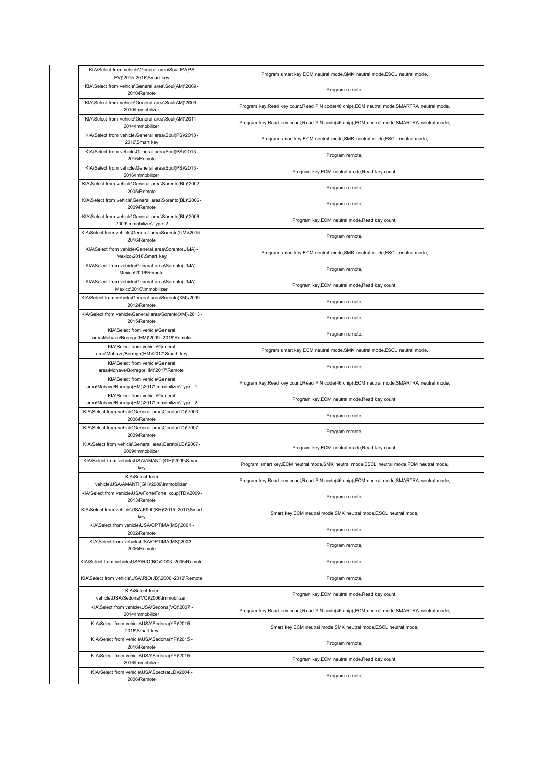| KIA\Select from vehicle\General area\Soul EV(PS<br>EV)\2015-2016\Smart key         | Program smart key, ECM neutral mode, SMK neutral mode, ESCL neutral mode,                    |
|------------------------------------------------------------------------------------|----------------------------------------------------------------------------------------------|
| KIA\Select from vehicle\General area\Soul(AM)\2009 -<br>2010\Remote                | Program remote,                                                                              |
| KIA\Select from vehicle\General area\Soul(AM)\2009 -<br>2010\Immobilizer           | Program key, Read key count, Read PIN code(46 chip), ECM neutral mode, SMARTRA neutral mode, |
| KIA\Select from vehicle\General area\Soul(AM)\2011-<br>2014\Immobilizer            | Program key, Read key count, Read PIN code(46 chip), ECM neutral mode, SMARTRA neutral mode, |
| KIA\Select from vehicle\General area\Soul(PS)\2013-<br>2016\Smart key              | Program smart key, ECM neutral mode, SMK neutral mode, ESCL neutral mode,                    |
| KIA\Select from vehicle\General area\Soul(PS)\2013-<br>2016\Remote                 | Program remote,                                                                              |
| KIA\Select from vehicle\General area\Soul(PS)\2013-<br>2016\Immobilizer            | Program key, ECM neutral mode, Read key count,                                               |
| KIA\Select from vehicle\General area\Sorento(BL)\2002 -<br>2005\Remote             | Program remote,                                                                              |
| KIA\Select from vehicle\General area\Sorento(BL)\2006 -<br>2009\Remote             | Program remote,                                                                              |
| KIA\Select from vehicle\General area\Sorento(BL)\2006 -<br>2009\Immobilizer\Type 2 | Program key, ECM neutral mode, Read key count,                                               |
| KIA\Select from vehicle\General area\Sorento(UM)\2015 -<br>2016\Remote             | Program remote,                                                                              |
| KIA\Select from vehicle\General area\Sorento(UMA) -<br>Mexico\2016\Smart key       | Program smart key, ECM neutral mode, SMK neutral mode, ESCL neutral mode,                    |
| KIA\Select from vehicle\General area\Sorento(UMA) -<br>Mexico\2016\Remote          | Program remote,                                                                              |
| KIA\Select from vehicle\General area\Sorento(UMA) -<br>Mexico\2016\Immobilizer     | Program key, ECM neutral mode, Read key count,                                               |
| KIA\Select from vehicle\General area\Sorento(XM)\2009 -<br>2012\Remote             | Program remote,                                                                              |
| KIA\Select from vehicle\General area\Sorento(XM)\2013 -<br>2015\Remote             | Program remote,                                                                              |
| KIA\Select from vehicle\General<br>area\Mohave/Borrego(HM)\2009 -2016\Remote       | Program remote,                                                                              |
| KIA\Select from vehicle\General<br>area\Mohave/Borrego(HM)\2017\Smart key          | Program smart key, ECM neutral mode, SMK neutral mode, ESCL neutral mode,                    |
| KIA\Select from vehicle\General<br>area\Mohave/Borrego(HM)\2017\Remote             | Program remote,                                                                              |
| KIA\Select from vehicle\General<br>area\Mohave/Borrego(HM)\2017\Immobilizer\Type 1 | Program key, Read key count, Read PIN code(46 chip), ECM neutral mode, SMARTRA neutral mode, |
| KIA\Select from vehicle\General<br>area\Mohave/Borrego(HM)\2017\Immobilizer\Type 2 | Program key, ECM neutral mode, Read key count,                                               |
| KIA\Select from vehicle\General area\Cerato(LD)\2003-<br>2006\Remote               | Program remote,                                                                              |
| KIA\Select from vehicle\General area\Cerato(LD)\2007 -<br>2009\Remote              | Program remote,                                                                              |
| KIA\Select from vehicle\General area\Cerato(LD)\2007 -<br>2009\Immobilizer         | Program key, ECM neutral mode, Read key count,                                               |
| KIA\Select from vehicle\USA\AMANTI(GH)\2009\Smart<br>key                           | Program smart key, ECM neutral mode, SMK neutral mode, ESCL neutral mode, PDM neutral mode,  |
| KIA\Select from<br>vehicle\USA\AMANTI(GH)\2009\Immobilizer                         | Program key, Read key count, Read PIN code(46 chip), ECM neutral mode, SMARTRA neutral mode, |
| KIA\Select from vehicle\USA\Forte/Forte koup(TD)\2009-<br>2013\Remote              | Program remote,                                                                              |
| KIA\Select from vehicle\USA\K900(KH)\2015 -2017\Smart<br>key                       | Smart key, ECM neutral mode, SMK neutral mode, ESCL neutral mode,                            |
| KIA\Select from vehicle\USA\OPTIMA(MS)\2001 -<br>2002\Remote                       | Program remote,                                                                              |
| KIA\Select from vehicle\USA\OPTIMA(MS)\2003 -<br>2006\Remote                       | Program remote,                                                                              |
| KIA\Select from vehicle\USA\RIO(BC)\2003 -2005\Remote                              | Program remote,                                                                              |
| KIA\Select from vehicle\USA\RIO(JB)\2006 -2012\Remote                              | Program remote,                                                                              |
| KIA\Select from<br>vehicle\USA\Sedona(VQ)\2006\Immobilizer                         | Program key, ECM neutral mode, Read key count,                                               |
| KIA\Select from vehicle\USA\Sedona(VQ)\2007 -<br>2014\Immobilizer                  | Program key, Read key count, Read PIN code(46 chip), ECM neutral mode, SMARTRA neutral mode, |
| KIA\Select from vehicle\USA\Sedona(YP)\2015 -<br>2016\Smart key                    | Smart key, ECM neutral mode, SMK neutral mode, ESCL neutral mode,                            |
| KIA\Select from vehicle\USA\Sedona(YP)\2015 -                                      |                                                                                              |
| 2016\Remote                                                                        | Program remote,                                                                              |
| KIA\Select from vehicle\USA\Sedona(YP)\2015 -<br>2016\Immobilizer                  | Program key, ECM neutral mode, Read key count,                                               |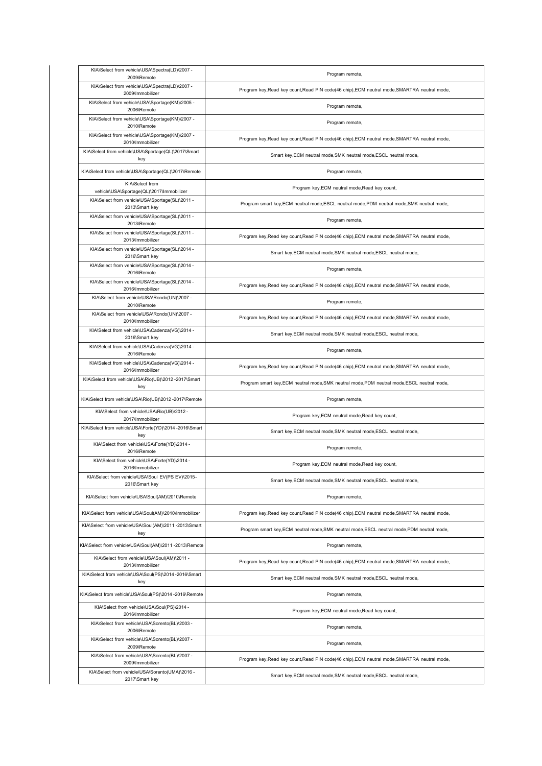| KIA\Select from vehicle\USA\Spectra(LD)\2007 -<br>2009\Remote       | Program remote,                                                                              |
|---------------------------------------------------------------------|----------------------------------------------------------------------------------------------|
| KIA\Select from vehicle\USA\Spectra(LD)\2007 -<br>2009\Immobilizer  | Program key, Read key count, Read PIN code(46 chip), ECM neutral mode, SMARTRA neutral mode, |
| KIA\Select from vehicle\USA\Sportage(KM)\2005 -<br>2006\Remote      | Program remote,                                                                              |
| KIA\Select from vehicle\USA\Sportage(KM)\2007 -<br>2010\Remote      | Program remote,                                                                              |
| KIA\Select from vehicle\USA\Sportage(KM)\2007 -<br>2010\Immobilizer | Program key, Read key count, Read PIN code(46 chip), ECM neutral mode, SMARTRA neutral mode, |
| KIA\Select from vehicle\USA\Sportage(QL)\2017\Smart<br>key          | Smart key, ECM neutral mode, SMK neutral mode, ESCL neutral mode,                            |
| KIA\Select from vehicle\USA\Sportage(QL)\2017\Remote                | Program remote,                                                                              |
| KIA\Select from<br>vehicle\USA\Sportage(QL)\2017\Immobilizer        | Program key, ECM neutral mode, Read key count,                                               |
| KIA\Select from vehicle\USA\Sportage(SL)\2011 -<br>2013\Smart key   | Program smart key, ECM neutral mode, ESCL neutral mode, PDM neutral mode, SMK neutral mode,  |
| KIA\Select from vehicle\USA\Sportage(SL)\2011 -<br>2013\Remote      | Program remote,                                                                              |
| KIA\Select from vehicle\USA\Sportage(SL)\2011 -<br>2013\Immobilizer | Program key, Read key count, Read PIN code(46 chip), ECM neutral mode, SMARTRA neutral mode, |
| KIA\Select from vehicle\USA\Sportage(SL)\2014 -<br>2016\Smart key   | Smart key, ECM neutral mode, SMK neutral mode, ESCL neutral mode,                            |
| KIA\Select from vehicle\USA\Sportage(SL)\2014 -<br>2016\Remote      | Program remote,                                                                              |
| KIA\Select from vehicle\USA\Sportage(SL)\2014 -<br>2016\Immobilizer | Program key, Read key count, Read PIN code(46 chip), ECM neutral mode, SMARTRA neutral mode, |
| KIA\Select from vehicle\USA\Rondo(UN)\2007 -<br>2010\Remote         | Program remote,                                                                              |
| KIA\Select from vehicle\USA\Rondo(UN)\2007 -<br>2010\Immobilizer    | Program key, Read key count, Read PIN code(46 chip), ECM neutral mode, SMARTRA neutral mode, |
| KIA\Select from vehicle\USA\Cadenza(VG)\2014 -<br>2016\Smart key    | Smart key, ECM neutral mode, SMK neutral mode, ESCL neutral mode,                            |
| KIA\Select from vehicle\USA\Cadenza(VG)\2014 -<br>2016\Remote       | Program remote,                                                                              |
| KIA\Select from vehicle\USA\Cadenza(VG)\2014 -<br>2016\Immobilizer  | Program key, Read key count, Read PIN code(46 chip), ECM neutral mode, SMARTRA neutral mode, |
| KIA\Select from vehicle\USA\Rio(UB)\2012 -2017\Smart<br>key         | Program smart key, ECM neutral mode, SMK neutral mode, PDM neutral mode, ESCL neutral mode,  |
| KIA\Select from vehicle\USA\Rio(UB)\2012 -2017\Remote               | Program remote,                                                                              |
| KIA\Select from vehicle\USA\Rio(UB)\2012 -<br>2017\Immobilizer      | Program key, ECM neutral mode, Read key count,                                               |
| KIA\Select from vehicle\USA\Forte(YD)\2014 -2016\Smart<br>key       | Smart key, ECM neutral mode, SMK neutral mode, ESCL neutral mode,                            |
| KIA\Select from vehicle\USA\Forte(YD)\2014 -<br>2016\Remote         | Program remote,                                                                              |
| KIA\Select from vehicle\USA\Forte(YD)\2014 -<br>2016\Immobilizer    | Program key, ECM neutral mode, Read key count,                                               |
| KIA\Select from vehicle\USA\Soul EV(PS EV)\2015-<br>2016\Smart key  | Smart key, ECM neutral mode, SMK neutral mode, ESCL neutral mode,                            |
| KIA\Select from vehicle\USA\Soul(AM)\2010\Remote                    | Program remote,                                                                              |
| KIA\Select from vehicle\USA\Soul(AM)\2010\Immobilizer               | Program key, Read key count, Read PIN code(46 chip), ECM neutral mode, SMARTRA neutral mode, |
| KIA\Select from vehicle\USA\Soul(AM)\2011-2013\Smart<br>key         | Program smart key, ECM neutral mode, SMK neutral mode, ESCL neutral mode, PDM neutral mode,  |
| KIA\Select from vehicle\USA\Soul(AM)\2011-2013\Remote               | Program remote,                                                                              |
| KIA\Select from vehicle\USA\Soul(AM)\2011 -<br>2013\Immobilizer     | Program key, Read key count, Read PIN code(46 chip), ECM neutral mode, SMARTRA neutral mode, |
| KIA\Select from vehicle\USA\Soul(PS)\2014 -2016\Smart<br>key        | Smart key, ECM neutral mode, SMK neutral mode, ESCL neutral mode,                            |
| KIA\Select from vehicle\USA\Soul(PS)\2014 -2016\Remote              | Program remote,                                                                              |
| KIA\Select from vehicle\USA\Soul(PS)\2014 -<br>2016\Immobilizer     | Program key, ECM neutral mode, Read key count,                                               |
| KIA\Select from vehicle\USA\Sorento(BL)\2003 -<br>2006\Remote       | Program remote,                                                                              |
| KIA\Select from vehicle\USA\Sorento(BL)\2007 -<br>2009\Remote       | Program remote,                                                                              |
| KIA\Select from vehicle\USA\Sorento(BL)\2007 -<br>2009\Immobilizer  | Program key, Read key count, Read PIN code(46 chip), ECM neutral mode, SMARTRA neutral mode, |
| KIA\Select from vehicle\USA\Sorento(UMA)\2016 -<br>2017\Smart key   | Smart key, ECM neutral mode, SMK neutral mode, ESCL neutral mode,                            |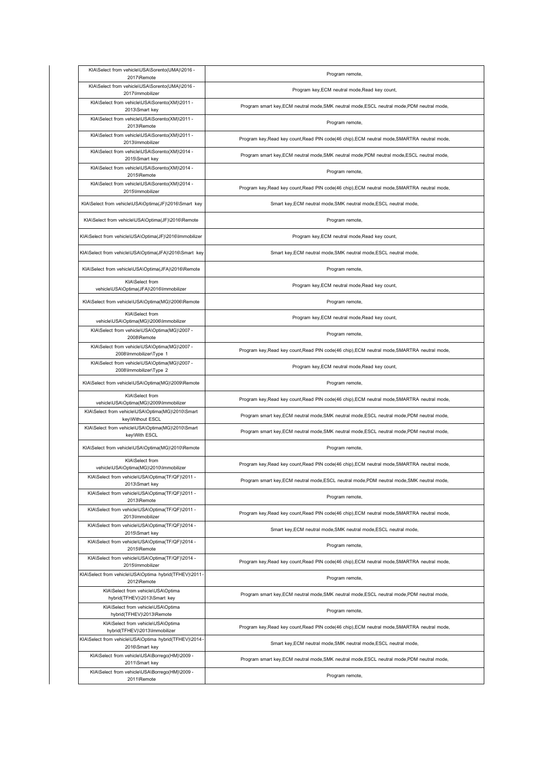| KIA\Select from vehicle\USA\Sorento(UMA)\2016 -<br>2017\Remote                                                     | Program remote,                                                                              |
|--------------------------------------------------------------------------------------------------------------------|----------------------------------------------------------------------------------------------|
| KIA\Select from vehicle\USA\Sorento(UMA)\2016 -<br>2017\Immobilizer                                                | Program key, ECM neutral mode, Read key count,                                               |
| KIA\Select from vehicle\USA\Sorento(XM)\2011 -<br>2013\Smart key                                                   | Program smart key, ECM neutral mode, SMK neutral mode, ESCL neutral mode, PDM neutral mode,  |
| KIA\Select from vehicle\USA\Sorento(XM)\2011 -<br>2013\Remote                                                      | Program remote,                                                                              |
| KIA\Select from vehicle\USA\Sorento(XM)\2011 -<br>2013\Immobilizer                                                 | Program key, Read key count, Read PIN code(46 chip), ECM neutral mode, SMARTRA neutral mode, |
| KIA\Select from vehicle\USA\Sorento(XM)\2014 -<br>2015\Smart key                                                   | Program smart key, ECM neutral mode, SMK neutral mode, PDM neutral mode, ESCL neutral mode,  |
| KIA\Select from vehicle\USA\Sorento(XM)\2014 -<br>2015\Remote                                                      | Program remote,                                                                              |
| KIA\Select from vehicle\USA\Sorento(XM)\2014 -<br>2015\Immobilizer                                                 | Program key, Read key count, Read PIN code(46 chip), ECM neutral mode, SMARTRA neutral mode, |
| KIA\Select from vehicle\USA\Optima(JF)\2016\Smart key                                                              | Smart key, ECM neutral mode, SMK neutral mode, ESCL neutral mode,                            |
| KIA\Select from vehicle\USA\Optima(JF)\2016\Remote                                                                 | Program remote,                                                                              |
| KIA\Select from vehicle\USA\Optima(JF)\2016\Immobilizer                                                            | Program key, ECM neutral mode, Read key count,                                               |
| KIA\Select from vehicle\USA\Optima(JFA)\2016\Smart key                                                             | Smart key, ECM neutral mode, SMK neutral mode, ESCL neutral mode,                            |
| KIA\Select from vehicle\USA\Optima(JFA)\2016\Remote                                                                | Program remote,                                                                              |
| KIA\Select from<br>vehicle\USA\Optima(JFA)\2016\Immobilizer                                                        | Program key, ECM neutral mode, Read key count,                                               |
| KIA\Select from vehicle\USA\Optima(MG)\2006\Remote                                                                 | Program remote,                                                                              |
| KIA\Select from<br>vehicle\USA\Optima(MG)\2006\Immobilizer                                                         | Program key, ECM neutral mode, Read key count,                                               |
| KIA\Select from vehicle\USA\Optima(MG)\2007 -<br>2008\Remote                                                       | Program remote,                                                                              |
| KIA\Select from vehicle\USA\Optima(MG)\2007 -<br>2008\Immobilizer\Type 1                                           | Program key, Read key count, Read PIN code(46 chip), ECM neutral mode, SMARTRA neutral mode, |
| KIA\Select from vehicle\USA\Optima(MG)\2007 -<br>2008\Immobilizer\Type 2                                           | Program key, ECM neutral mode, Read key count,                                               |
|                                                                                                                    |                                                                                              |
| KIA\Select from vehicle\USA\Optima(MG)\2009\Remote                                                                 | Program remote,                                                                              |
| KIA\Select from<br>vehicle\USA\Optima(MG)\2009\Immobilizer                                                         | Program key, Read key count, Read PIN code(46 chip), ECM neutral mode, SMARTRA neutral mode, |
| KIA\Select from vehicle\USA\Optima(MG)\2010\Smart<br>key\Without ESCL                                              | Program smart key, ECM neutral mode, SMK neutral mode, ESCL neutral mode, PDM neutral mode,  |
| KIA\Select from vehicle\USA\Optima(MG)\2010\Smart<br>key\With ESCL                                                 | Program smart key, ECM neutral mode, SMK neutral mode, ESCL neutral mode, PDM neutral mode,  |
| KIA\Select from vehicle\USA\Optima(MG)\2010\Remote                                                                 | Program remote,                                                                              |
| KIA\Select from<br>vehicle\USA\Optima(MG)\2010\Immobilizer                                                         | Program key, Read key count, Read PIN code(46 chip), ECM neutral mode, SMARTRA neutral mode, |
| KIA\Select from vehicle\USA\Optima(TF/QF)\2011 -<br>2013\Smart key                                                 | Program smart key, ECM neutral mode, ESCL neutral mode, PDM neutral mode, SMK neutral mode,  |
| KIA\Select from vehicle\USA\Optima(TF/QF)\2011 -<br>2013\Remote                                                    | Program remote,                                                                              |
| KIA\Select from vehicle\USA\Optima(TF/QF)\2011 -<br>2013\Immobilizer                                               | Program key, Read key count, Read PIN code(46 chip), ECM neutral mode, SMARTRA neutral mode, |
| KIA\Select from vehicle\USA\Optima(TF/QF)\2014 -<br>2015\Smart key                                                 | Smart key, ECM neutral mode, SMK neutral mode, ESCL neutral mode,                            |
| KIA\Select from vehicle\USA\Optima(TF/QF)\2014 -<br>2015\Remote                                                    | Program remote,                                                                              |
| KIA\Select from vehicle\USA\Optima(TF/QF)\2014 -<br>2015\Immobilizer                                               | Program key, Read key count, Read PIN code(46 chip), ECM neutral mode, SMARTRA neutral mode, |
| KIA\Select from vehicle\USA\Optima hybrid(TFHEV)\2011-<br>2012\Remote                                              | Program remote,                                                                              |
| KIA\Select from vehicle\USA\Optima<br>hybrid(TFHEV)\2013\Smart key                                                 | Program smart key, ECM neutral mode, SMK neutral mode, ESCL neutral mode, PDM neutral mode,  |
| KIA\Select from vehicle\USA\Optima<br>hybrid(TFHEV)\2013\Remote                                                    | Program remote,                                                                              |
| KIA\Select from vehicle\USA\Optima<br>hybrid(TFHEV)\2013\Immobilizer                                               | Program key, Read key count, Read PIN code(46 chip), ECM neutral mode, SMARTRA neutral mode, |
| KIA\Select from vehicle\USA\Optima hybrid(TFHEV)\2014-<br>2016\Smart key                                           | Smart key, ECM neutral mode, SMK neutral mode, ESCL neutral mode,                            |
| KIA\Select from vehicle\USA\Borrego(HM)\2009 -<br>2011\Smart key<br>KIA\Select from vehicle\USA\Borrego(HM)\2009 - | Program smart key, ECM neutral mode, SMK neutral mode, ESCL neutral mode, PDM neutral mode,  |